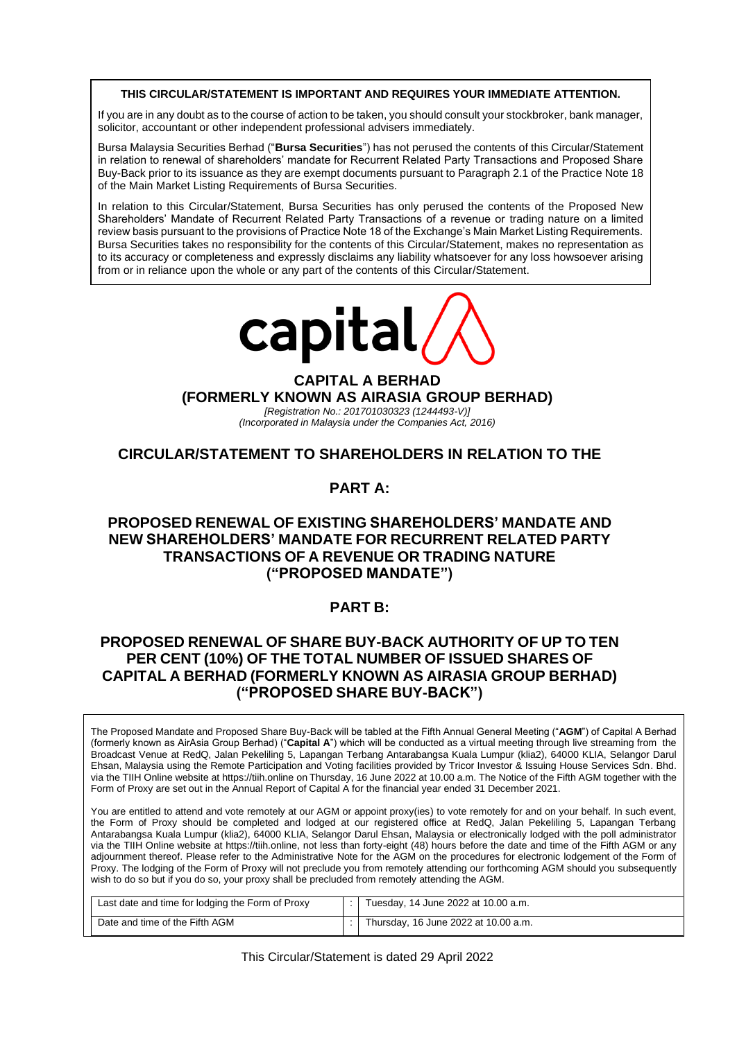#### **THIS CIRCULAR/STATEMENT IS IMPORTANT AND REQUIRES YOUR IMMEDIATE ATTENTION.**

If you are in any doubt as to the course of action to be taken, you should consult your stockbroker, bank manager, solicitor, accountant or other independent professional advisers immediately.

Bursa Malaysia Securities Berhad ("**Bursa Securities**") has not perused the contents of this Circular/Statement in relation to renewal of shareholders' mandate for Recurrent Related Party Transactions and Proposed Share Buy-Back prior to its issuance as they are exempt documents pursuant to Paragraph 2.1 of the Practice Note 18 of the Main Market Listing Requirements of Bursa Securities.

In relation to this Circular/Statement, Bursa Securities has only perused the contents of the Proposed New Shareholders' Mandate of Recurrent Related Party Transactions of a revenue or trading nature on a limited review basis pursuant to the provisions of Practice Note 18 of the Exchange's Main Market Listing Requirements. Bursa Securities takes no responsibility for the contents of this Circular/Statement, makes no representation as to its accuracy or completeness and expressly disclaims any liability whatsoever for any loss howsoever arising from or in reliance upon the whole or any part of the contents of this Circular/Statement.



# **CAPITAL A BERHAD (FORMERLY KNOWN AS AIRASIA GROUP BERHAD)** *[Registration No.: 201701030323 (1244493-V)]*

*(Incorporated in Malaysia under the Companies Act, 2016)*

# **CIRCULAR/STATEMENT TO SHAREHOLDERS IN RELATION TO THE**

# **PART A:**

# **PROPOSED RENEWAL OF EXISTING SHAREHOLDERS' MANDATE AND NEW SHAREHOLDERS' MANDATE FOR RECURRENT RELATED PARTY TRANSACTIONS OF A REVENUE OR TRADING NATURE ("PROPOSED MANDATE")**

# **PART B:**

# **PROPOSED RENEWAL OF SHARE BUY-BACK AUTHORITY OF UP TO TEN PER CENT (10%) OF THE TOTAL NUMBER OF ISSUED SHARES OF CAPITAL A BERHAD (FORMERLY KNOWN AS AIRASIA GROUP BERHAD) ("PROPOSED SHARE BUY-BACK")**

The Proposed Mandate and Proposed Share Buy-Back will be tabled at the Fifth Annual General Meeting ("**AGM**") of Capital A Berhad (formerly known as AirAsia Group Berhad) ("**Capital A**") which will be conducted as a virtual meeting through live streaming from the Broadcast Venue at RedQ, Jalan Pekeliling 5, Lapangan Terbang Antarabangsa Kuala Lumpur (klia2), 64000 KLIA, Selangor Darul Ehsan, Malaysia using the Remote Participation and Voting facilities provided by Tricor Investor & Issuing House Services Sdn. Bhd. via the TIIH Online website at https://tiih.online on Thursday, 16 June 2022 at 10.00 a.m. The Notice of the Fifth AGM together with the Form of Proxy are set out in the Annual Report of Capital A for the financial year ended 31 December 2021.

You are entitled to attend and vote remotely at our AGM or appoint proxy(ies) to vote remotely for and on your behalf. In such event, the Form of Proxy should be completed and lodged at our registered office at RedQ, Jalan Pekeliling 5, Lapangan Terbang Antarabangsa Kuala Lumpur (klia2), 64000 KLIA, Selangor Darul Ehsan, Malaysia or electronically lodged with the poll administrator via the TIIH Online website at https://tiih.online, not less than forty-eight (48) hours before the date and time of the Fifth AGM or any adjournment thereof. Please refer to the Administrative Note for the AGM on the procedures for electronic lodgement of the Form of Proxy. The lodging of the Form of Proxy will not preclude you from remotely attending our forthcoming AGM should you subsequently wish to do so but if you do so, your proxy shall be precluded from remotely attending the AGM.

| Last date and time for lodging the Form of Proxy | :   Tuesday, 14 June 2022 at 10.00 a.m. |
|--------------------------------------------------|-----------------------------------------|
| Date and time of the Fifth AGM                   | Thursday, 16 June 2022 at 10.00 a.m.    |

This Circular/Statement is dated 29 April 2022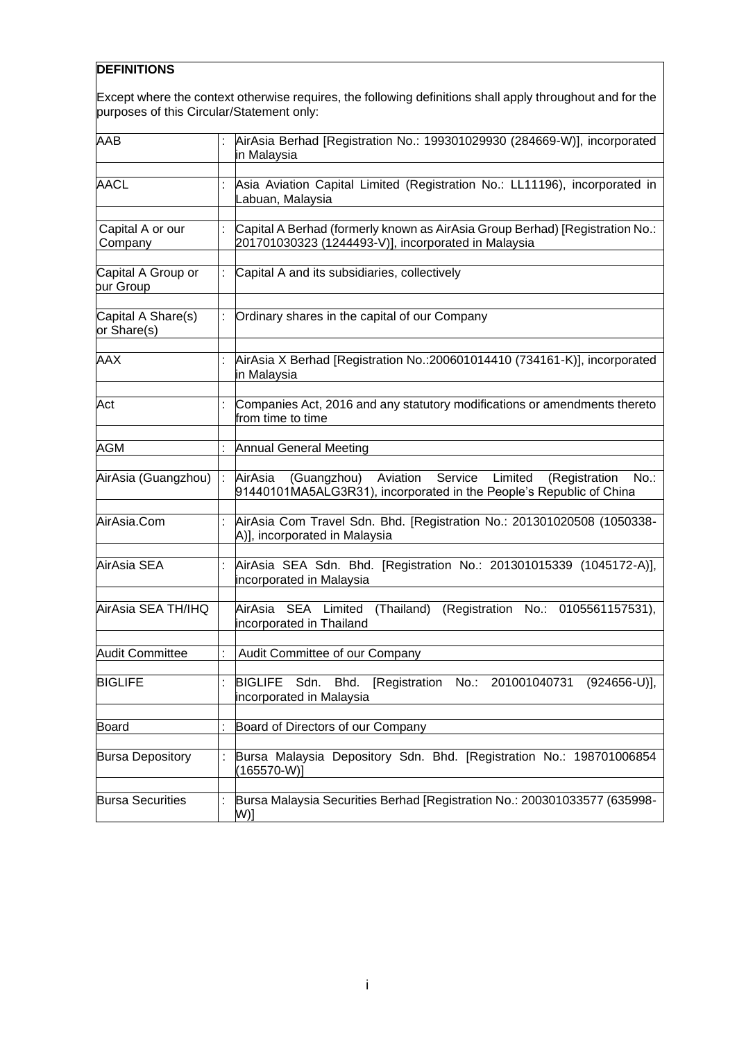# **DEFINITIONS**

Except where the context otherwise requires, the following definitions shall apply throughout and for the purposes of this Circular/Statement only:

| <b>AAB</b>                        | AirAsia Berhad [Registration No.: 199301029930 (284669-W)], incorporated<br>in Malaysia                                                               |
|-----------------------------------|-------------------------------------------------------------------------------------------------------------------------------------------------------|
| <b>AACL</b>                       | Asia Aviation Capital Limited (Registration No.: LL11196), incorporated in<br>Labuan, Malaysia                                                        |
| Capital A or our<br>Company       | Capital A Berhad (formerly known as AirAsia Group Berhad) [Registration No.:<br>201701030323 (1244493-V)], incorporated in Malaysia                   |
| Capital A Group or<br>bur Group   | Capital A and its subsidiaries, collectively                                                                                                          |
|                                   |                                                                                                                                                       |
| Capital A Share(s)<br>or Share(s) | Ordinary shares in the capital of our Company                                                                                                         |
| <b>AAX</b>                        | AirAsia X Berhad [Registration No.:200601014410 (734161-K)], incorporated<br>in Malaysia                                                              |
| Act                               | Companies Act, 2016 and any statutory modifications or amendments thereto<br>from time to time                                                        |
| <b>AGM</b>                        | <b>Annual General Meeting</b>                                                                                                                         |
| AirAsia (Guangzhou)               | (Guangzhou) Aviation Service<br>Limited<br>$No.$ :<br>AirAsia<br>(Registration<br>91440101MA5ALG3R31), incorporated in the People's Republic of China |
| AirAsia.Com                       | AirAsia Com Travel Sdn. Bhd. [Registration No.: 201301020508 (1050338-<br>A)], incorporated in Malaysia                                               |
| AirAsia SEA                       | AirAsia SEA Sdn. Bhd. [Registration No.: 201301015339 (1045172-A)],<br>incorporated in Malaysia                                                       |
| AirAsia SEA TH/IHQ                | (Thailand)<br>(Registration No.: 0105561157531),<br>AirAsia SEA Limited<br>incorporated in Thailand                                                   |
| <b>Audit Committee</b>            | Audit Committee of our Company                                                                                                                        |
| <b>BIGLIFE</b>                    | BIGLIFE Sdn. Bhd. [Registration No.: 201001040731 (924656-U)],<br>incorporated in Malaysia                                                            |
| <b>Board</b>                      | Board of Directors of our Company                                                                                                                     |
| <b>Bursa Depository</b>           | Bursa Malaysia Depository Sdn. Bhd. [Registration No.: 198701006854<br>$(165570-W)]$                                                                  |
| <b>Bursa Securities</b>           | Bursa Malaysia Securities Berhad [Registration No.: 200301033577 (635998-<br>W)]                                                                      |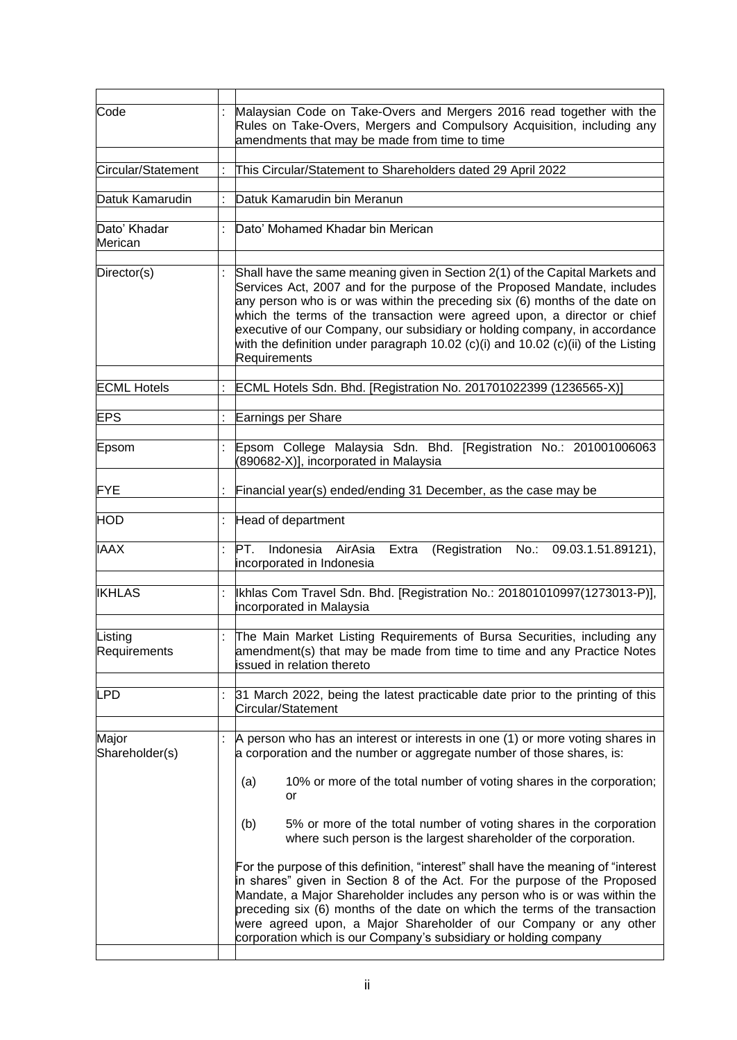| Code                    |                                                                                                                                                                                                                                                                                                                                                                                                                                                                                                        | Malaysian Code on Take-Overs and Mergers 2016 read together with the<br>Rules on Take-Overs, Mergers and Compulsory Acquisition, including any<br>amendments that may be made from time to time                                                                                                                                                                                                                                                                                                                                                                                                                                                                                                                                                                                                 |  |  |  |  |
|-------------------------|--------------------------------------------------------------------------------------------------------------------------------------------------------------------------------------------------------------------------------------------------------------------------------------------------------------------------------------------------------------------------------------------------------------------------------------------------------------------------------------------------------|-------------------------------------------------------------------------------------------------------------------------------------------------------------------------------------------------------------------------------------------------------------------------------------------------------------------------------------------------------------------------------------------------------------------------------------------------------------------------------------------------------------------------------------------------------------------------------------------------------------------------------------------------------------------------------------------------------------------------------------------------------------------------------------------------|--|--|--|--|
| Circular/Statement      |                                                                                                                                                                                                                                                                                                                                                                                                                                                                                                        | This Circular/Statement to Shareholders dated 29 April 2022                                                                                                                                                                                                                                                                                                                                                                                                                                                                                                                                                                                                                                                                                                                                     |  |  |  |  |
| Datuk Kamarudin         |                                                                                                                                                                                                                                                                                                                                                                                                                                                                                                        | Datuk Kamarudin bin Meranun                                                                                                                                                                                                                                                                                                                                                                                                                                                                                                                                                                                                                                                                                                                                                                     |  |  |  |  |
| Dato' Khadar<br>Merican |                                                                                                                                                                                                                                                                                                                                                                                                                                                                                                        | Dato' Mohamed Khadar bin Merican                                                                                                                                                                                                                                                                                                                                                                                                                                                                                                                                                                                                                                                                                                                                                                |  |  |  |  |
| Director(s)             | Shall have the same meaning given in Section 2(1) of the Capital Markets and<br>Services Act, 2007 and for the purpose of the Proposed Mandate, includes<br>any person who is or was within the preceding six (6) months of the date on<br>which the terms of the transaction were agreed upon, a director or chief<br>executive of our Company, our subsidiary or holding company, in accordance<br>with the definition under paragraph 10.02 (c)(i) and 10.02 (c)(ii) of the Listing<br>Requirements |                                                                                                                                                                                                                                                                                                                                                                                                                                                                                                                                                                                                                                                                                                                                                                                                 |  |  |  |  |
| <b>ECML Hotels</b>      |                                                                                                                                                                                                                                                                                                                                                                                                                                                                                                        | ECML Hotels Sdn. Bhd. [Registration No. 201701022399 (1236565-X)]                                                                                                                                                                                                                                                                                                                                                                                                                                                                                                                                                                                                                                                                                                                               |  |  |  |  |
| <b>EPS</b>              |                                                                                                                                                                                                                                                                                                                                                                                                                                                                                                        | Earnings per Share                                                                                                                                                                                                                                                                                                                                                                                                                                                                                                                                                                                                                                                                                                                                                                              |  |  |  |  |
|                         |                                                                                                                                                                                                                                                                                                                                                                                                                                                                                                        |                                                                                                                                                                                                                                                                                                                                                                                                                                                                                                                                                                                                                                                                                                                                                                                                 |  |  |  |  |
| Epsom                   |                                                                                                                                                                                                                                                                                                                                                                                                                                                                                                        | Epsom College Malaysia Sdn. Bhd. [Registration No.: 201001006063<br>(890682-X)], incorporated in Malaysia                                                                                                                                                                                                                                                                                                                                                                                                                                                                                                                                                                                                                                                                                       |  |  |  |  |
| <b>FYE</b>              |                                                                                                                                                                                                                                                                                                                                                                                                                                                                                                        | Financial year(s) ended/ending 31 December, as the case may be                                                                                                                                                                                                                                                                                                                                                                                                                                                                                                                                                                                                                                                                                                                                  |  |  |  |  |
| <b>HOD</b>              | $\ddot{\cdot}$                                                                                                                                                                                                                                                                                                                                                                                                                                                                                         | Head of department                                                                                                                                                                                                                                                                                                                                                                                                                                                                                                                                                                                                                                                                                                                                                                              |  |  |  |  |
| <b>IAAX</b>             | $\ddot{\phantom{a}}$                                                                                                                                                                                                                                                                                                                                                                                                                                                                                   | PT.<br>Indonesia AirAsia<br>(Registration No.: 09.03.1.51.89121),<br>Extra<br>incorporated in Indonesia                                                                                                                                                                                                                                                                                                                                                                                                                                                                                                                                                                                                                                                                                         |  |  |  |  |
| <b>IKHLAS</b>           |                                                                                                                                                                                                                                                                                                                                                                                                                                                                                                        | Ikhlas Com Travel Sdn. Bhd. [Registration No.: 201801010997(1273013-P)],<br>incorporated in Malaysia                                                                                                                                                                                                                                                                                                                                                                                                                                                                                                                                                                                                                                                                                            |  |  |  |  |
| Listing<br>Requirements |                                                                                                                                                                                                                                                                                                                                                                                                                                                                                                        | The Main Market Listing Requirements of Bursa Securities, including any<br>amendment(s) that may be made from time to time and any Practice Notes<br>issued in relation thereto                                                                                                                                                                                                                                                                                                                                                                                                                                                                                                                                                                                                                 |  |  |  |  |
| <b>LPD</b>              | ÷                                                                                                                                                                                                                                                                                                                                                                                                                                                                                                      | 31 March 2022, being the latest practicable date prior to the printing of this<br>Circular/Statement                                                                                                                                                                                                                                                                                                                                                                                                                                                                                                                                                                                                                                                                                            |  |  |  |  |
| Major<br>Shareholder(s) |                                                                                                                                                                                                                                                                                                                                                                                                                                                                                                        | A person who has an interest or interests in one (1) or more voting shares in<br>a corporation and the number or aggregate number of those shares, is:<br>10% or more of the total number of voting shares in the corporation;<br>(a)<br>or<br>5% or more of the total number of voting shares in the corporation<br>(b)<br>where such person is the largest shareholder of the corporation.<br>For the purpose of this definition, "interest" shall have the meaning of "interest<br>in shares" given in Section 8 of the Act. For the purpose of the Proposed<br>Mandate, a Major Shareholder includes any person who is or was within the<br>preceding six (6) months of the date on which the terms of the transaction<br>were agreed upon, a Major Shareholder of our Company or any other |  |  |  |  |
|                         |                                                                                                                                                                                                                                                                                                                                                                                                                                                                                                        | corporation which is our Company's subsidiary or holding company                                                                                                                                                                                                                                                                                                                                                                                                                                                                                                                                                                                                                                                                                                                                |  |  |  |  |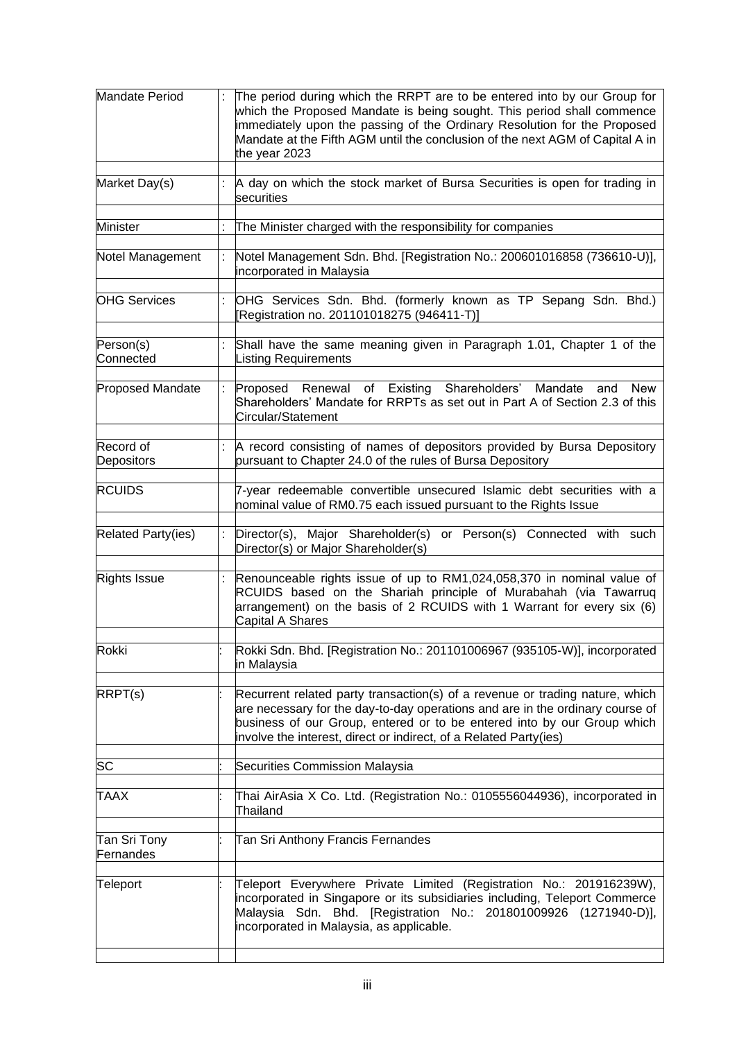| Mandate Period                                                                                  |  | The period during which the RRPT are to be entered into by our Group for<br>which the Proposed Mandate is being sought. This period shall commence<br>immediately upon the passing of the Ordinary Resolution for the Proposed<br>Mandate at the Fifth AGM until the conclusion of the next AGM of Capital A in<br>the year 2023 |  |  |  |
|-------------------------------------------------------------------------------------------------|--|----------------------------------------------------------------------------------------------------------------------------------------------------------------------------------------------------------------------------------------------------------------------------------------------------------------------------------|--|--|--|
| Market Day(s)                                                                                   |  | A day on which the stock market of Bursa Securities is open for trading in<br>securities                                                                                                                                                                                                                                         |  |  |  |
| <b>Minister</b>                                                                                 |  | The Minister charged with the responsibility for companies                                                                                                                                                                                                                                                                       |  |  |  |
| Notel Management                                                                                |  | Notel Management Sdn. Bhd. [Registration No.: 200601016858 (736610-U)],<br>incorporated in Malaysia                                                                                                                                                                                                                              |  |  |  |
| <b>OHG Services</b>                                                                             |  | OHG Services Sdn. Bhd. (formerly known as TP Sepang Sdn. Bhd.)<br>[Registration no. 201101018275 (946411-T)]                                                                                                                                                                                                                     |  |  |  |
| Person(s)<br>Connected                                                                          |  | Shall have the same meaning given in Paragraph 1.01, Chapter 1 of the<br><b>Listing Requirements</b>                                                                                                                                                                                                                             |  |  |  |
| Proposed Renewal of Existing Shareholders'<br>Proposed Mandate<br>Mandate<br>Circular/Statement |  | <b>New</b><br>and<br>Shareholders' Mandate for RRPTs as set out in Part A of Section 2.3 of this                                                                                                                                                                                                                                 |  |  |  |
| Record of<br>Depositors                                                                         |  | A record consisting of names of depositors provided by Bursa Depository<br>pursuant to Chapter 24.0 of the rules of Bursa Depository                                                                                                                                                                                             |  |  |  |
| <b>RCUIDS</b>                                                                                   |  | 7-year redeemable convertible unsecured Islamic debt securities with a<br>nominal value of RM0.75 each issued pursuant to the Rights Issue                                                                                                                                                                                       |  |  |  |
| <b>Related Party(ies)</b>                                                                       |  | Director(s), Major Shareholder(s) or Person(s) Connected with such<br>Director(s) or Major Shareholder(s)                                                                                                                                                                                                                        |  |  |  |
| <b>Rights Issue</b><br>Capital A Shares                                                         |  | Renounceable rights issue of up to RM1,024,058,370 in nominal value of<br>RCUIDS based on the Shariah principle of Murabahah (via Tawarruq<br>arrangement) on the basis of 2 RCUIDS with 1 Warrant for every six (6)                                                                                                             |  |  |  |
| Rokki                                                                                           |  | Rokki Sdn. Bhd. [Registration No.: 201101006967 (935105-W)], incorporated<br>in Malaysia                                                                                                                                                                                                                                         |  |  |  |
| RRPT(s)                                                                                         |  | Recurrent related party transaction(s) of a revenue or trading nature, which<br>are necessary for the day-to-day operations and are in the ordinary course of<br>business of our Group, entered or to be entered into by our Group which<br>involve the interest, direct or indirect, of a Related Party(ies)                    |  |  |  |
| SC                                                                                              |  | Securities Commission Malaysia                                                                                                                                                                                                                                                                                                   |  |  |  |
| <b>TAAX</b>                                                                                     |  | Thai AirAsia X Co. Ltd. (Registration No.: 0105556044936), incorporated in<br>Thailand                                                                                                                                                                                                                                           |  |  |  |
| Tan Sri Tony<br>Fernandes                                                                       |  | Tan Sri Anthony Francis Fernandes                                                                                                                                                                                                                                                                                                |  |  |  |
| Teleport                                                                                        |  | Teleport Everywhere Private Limited (Registration No.: 201916239W),<br>incorporated in Singapore or its subsidiaries including, Teleport Commerce<br>Malaysia Sdn. Bhd. [Registration No.: 201801009926 (1271940-D)],<br>incorporated in Malaysia, as applicable.                                                                |  |  |  |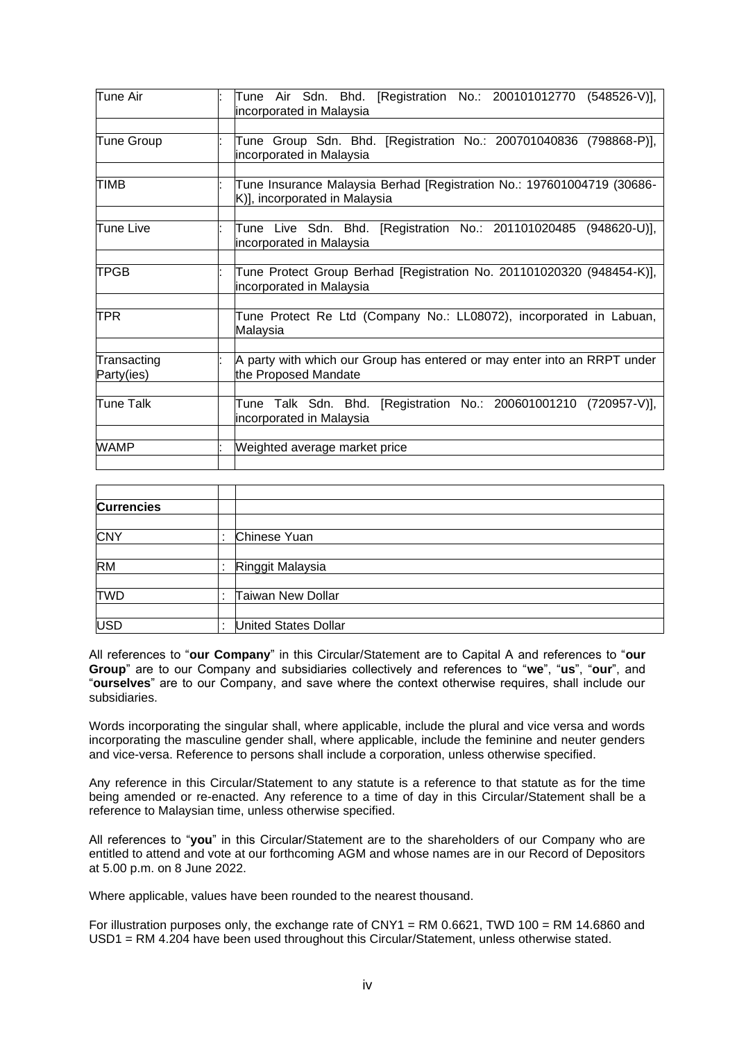| Tune Air                  | Tune Air Sdn. Bhd. [Registration No.: 200101012770 (548526-V)],<br>incorporated in Malaysia             |
|---------------------------|---------------------------------------------------------------------------------------------------------|
|                           |                                                                                                         |
| Tune Group                | Tune Group Sdn. Bhd. [Registration No.: 200701040836 (798868-P)],<br>incorporated in Malaysia           |
|                           |                                                                                                         |
| <b>TIMB</b>               | Tune Insurance Malaysia Berhad [Registration No.: 197601004719 (30686-<br>K)], incorporated in Malaysia |
|                           |                                                                                                         |
| Tune Live                 | Tune Live Sdn. Bhd. [Registration No.: 201101020485 (948620-U)],<br>incorporated in Malaysia            |
|                           |                                                                                                         |
| <b>TPGB</b>               | Tune Protect Group Berhad [Registration No. 201101020320 (948454-K)],<br>incorporated in Malaysia       |
|                           |                                                                                                         |
| <b>TPR</b>                | Tune Protect Re Ltd (Company No.: LL08072), incorporated in Labuan,<br>Malaysia                         |
|                           |                                                                                                         |
| Transacting<br>Party(ies) | A party with which our Group has entered or may enter into an RRPT under<br>the Proposed Mandate        |
|                           |                                                                                                         |
| Tune Talk                 | Tune Talk Sdn. Bhd. [Registration No.: 200601001210 (720957-V)],<br>incorporated in Malaysia            |
|                           |                                                                                                         |
| <b>WAMP</b>               | Weighted average market price                                                                           |

| <b>Currencies</b> |                          |
|-------------------|--------------------------|
|                   |                          |
| <b>CNY</b>        | Chinese Yuan             |
|                   |                          |
| <b>RM</b>         | Ringgit Malaysia         |
|                   |                          |
| <b>TWD</b>        | <b>Taiwan New Dollar</b> |
|                   |                          |
| <b>USD</b>        | United States Dollar     |

All references to "**our Company**" in this Circular/Statement are to Capital A and references to "**our Group**" are to our Company and subsidiaries collectively and references to "**we**", "**us**", "**our**", and "**ourselves**" are to our Company, and save where the context otherwise requires, shall include our subsidiaries.

Words incorporating the singular shall, where applicable, include the plural and vice versa and words incorporating the masculine gender shall, where applicable, include the feminine and neuter genders and vice-versa. Reference to persons shall include a corporation, unless otherwise specified.

Any reference in this Circular/Statement to any statute is a reference to that statute as for the time being amended or re-enacted. Any reference to a time of day in this Circular/Statement shall be a reference to Malaysian time, unless otherwise specified.

All references to "**you**" in this Circular/Statement are to the shareholders of our Company who are entitled to attend and vote at our forthcoming AGM and whose names are in our Record of Depositors at 5.00 p.m. on 8 June 2022.

Where applicable, values have been rounded to the nearest thousand.

For illustration purposes only, the exchange rate of CNY1 = RM 0.6621, TWD 100 = RM 14.6860 and USD1 = RM 4.204 have been used throughout this Circular/Statement, unless otherwise stated.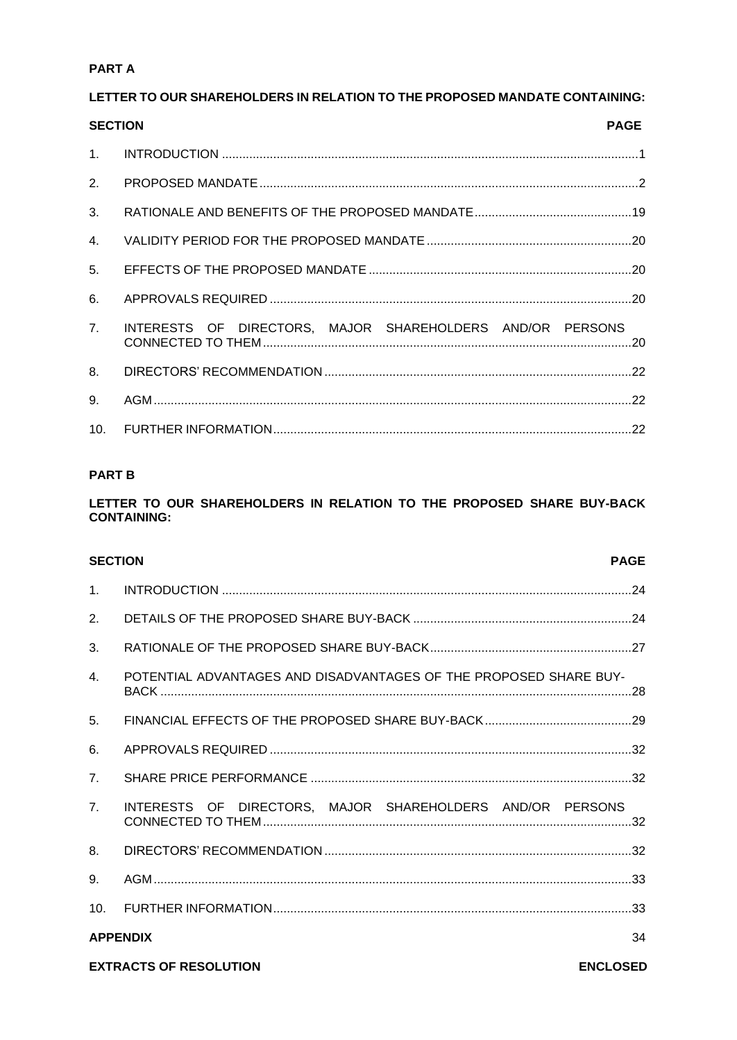# **PARTA**

# LETTER TO OUR SHAREHOLDERS IN RELATION TO THE PROPOSED MANDATE CONTAINING:

| <b>SECTION</b> |                                                           | <b>PAGE</b> |
|----------------|-----------------------------------------------------------|-------------|
|                |                                                           |             |
|                |                                                           |             |
| 3 <sub>1</sub> |                                                           |             |
| 4.             |                                                           |             |
|                |                                                           |             |
| 6.             |                                                           |             |
| 7.             | INTERESTS OF DIRECTORS, MAJOR SHAREHOLDERS AND/OR PERSONS |             |
|                |                                                           |             |
| 9.             |                                                           |             |
|                |                                                           |             |

# **PART B**

# LETTER TO OUR SHAREHOLDERS IN RELATION TO THE PROPOSED SHARE BUY-BACK **CONTAINING:**

| <b>SECTION</b>  |                                                                   | <b>PAGE</b> |
|-----------------|-------------------------------------------------------------------|-------------|
| 1 <sub>1</sub>  |                                                                   |             |
| 2.              |                                                                   |             |
| 3.              |                                                                   |             |
| $\mathbf{4}$ .  | POTENTIAL ADVANTAGES AND DISADVANTAGES OF THE PROPOSED SHARE BUY- |             |
| 5.              |                                                                   |             |
| 6.              |                                                                   |             |
| 7 <sub>1</sub>  |                                                                   |             |
| 7 <sub>1</sub>  | INTERESTS OF DIRECTORS, MAJOR SHAREHOLDERS AND/OR PERSONS         |             |
| 8.              |                                                                   |             |
| 9.              |                                                                   |             |
| 10 <sub>1</sub> |                                                                   |             |
| <b>APPENDIX</b> |                                                                   | 34          |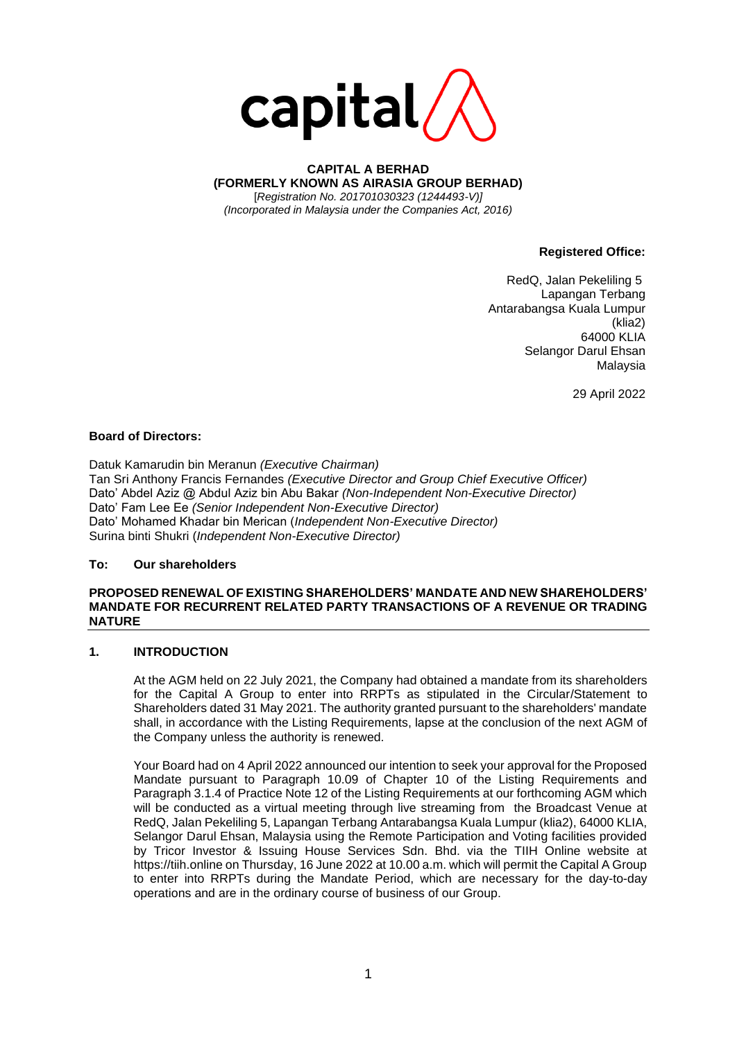

**CAPITAL A BERHAD (FORMERLY KNOWN AS AIRASIA GROUP BERHAD)** [*Registration No. 201701030323 (1244493-V)] (Incorporated in Malaysia under the Companies Act, 2016)*

**Registered Office:**

RedQ, Jalan Pekeliling 5 Lapangan Terbang Antarabangsa Kuala Lumpur (klia2) 64000 KLIA Selangor Darul Ehsan Malaysia

29 April 2022

#### **Board of Directors:**

Datuk Kamarudin bin Meranun *(Executive Chairman)*  Tan Sri Anthony Francis Fernandes *(Executive Director and Group Chief Executive Officer)*  Dato' Abdel Aziz @ Abdul Aziz bin Abu Bakar *(Non-Independent Non-Executive Director)*  Dato' Fam Lee Ee *(Senior Independent Non-Executive Director)*  Dato' Mohamed Khadar bin Merican (*Independent Non-Executive Director)* Surina binti Shukri (*Independent Non-Executive Director)*

#### **To: Our shareholders**

#### **PROPOSED RENEWAL OF EXISTING SHAREHOLDERS' MANDATE AND NEW SHAREHOLDERS' MANDATE FOR RECURRENT RELATED PARTY TRANSACTIONS OF A REVENUE OR TRADING NATURE**

# <span id="page-6-0"></span>**1. INTRODUCTION**

At the AGM held on 22 July 2021, the Company had obtained a mandate from its shareholders for the Capital A Group to enter into RRPTs as stipulated in the Circular/Statement to Shareholders dated 31 May 2021. The authority granted pursuant to the shareholders' mandate shall, in accordance with the Listing Requirements, lapse at the conclusion of the next AGM of the Company unless the authority is renewed.

Your Board had on 4 April 2022 announced our intention to seek your approval for the Proposed Mandate pursuant to Paragraph 10.09 of Chapter 10 of the Listing Requirements and Paragraph 3.1.4 of Practice Note 12 of the Listing Requirements at our forthcoming AGM which will be conducted as a virtual meeting through live streaming from the Broadcast Venue at RedQ, Jalan Pekeliling 5, Lapangan Terbang Antarabangsa Kuala Lumpur (klia2), 64000 KLIA, Selangor Darul Ehsan, Malaysia using the Remote Participation and Voting facilities provided by Tricor Investor & Issuing House Services Sdn. Bhd. via the TIIH Online website at https://tiih.online on Thursday, 16 June 2022 at 10.00 a.m. which will permit the Capital A Group to enter into RRPTs during the Mandate Period, which are necessary for the day-to-day operations and are in the ordinary course of business of our Group.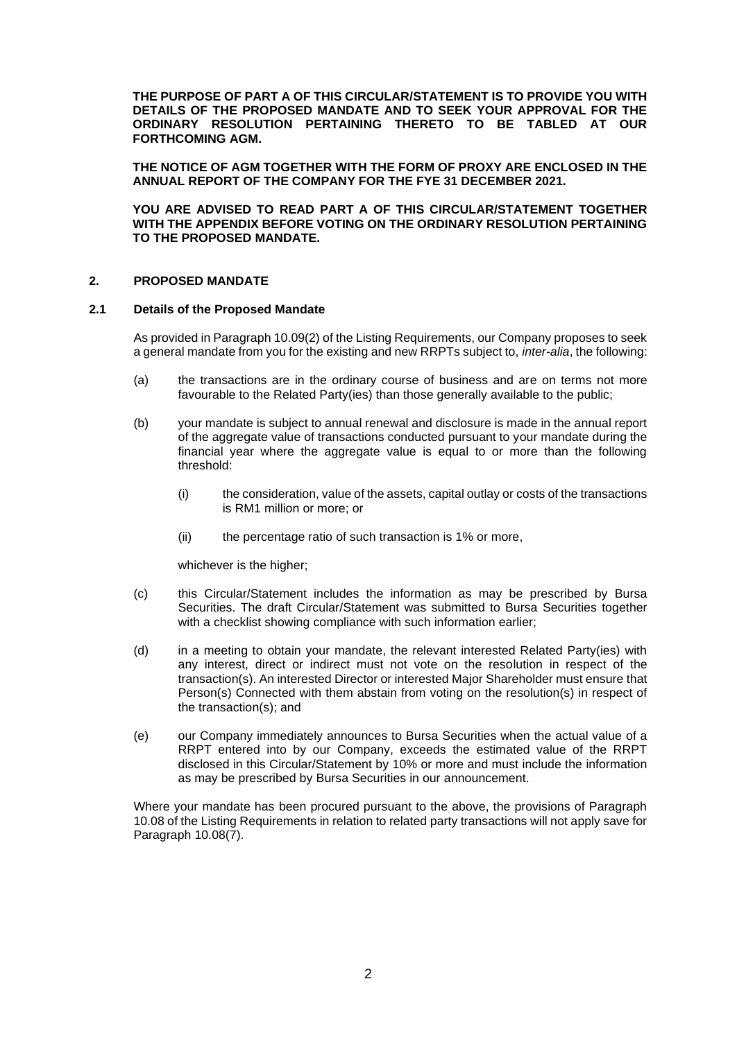**THE PURPOSE OF PART A OF THIS CIRCULAR/STATEMENT IS TO PROVIDE YOU WITH DETAILS OF THE PROPOSED MANDATE AND TO SEEK YOUR APPROVAL FOR THE ORDINARY RESOLUTION PERTAINING THERETO TO BE TABLED AT OUR FORTHCOMING AGM.** 

**THE NOTICE OF AGM TOGETHER WITH THE FORM OF PROXY ARE ENCLOSED IN THE ANNUAL REPORT OF THE COMPANY FOR THE FYE 31 DECEMBER 2021.**

**YOU ARE ADVISED TO READ PART A OF THIS CIRCULAR/STATEMENT TOGETHER WITH THE APPENDIX BEFORE VOTING ON THE ORDINARY RESOLUTION PERTAINING TO THE PROPOSED MANDATE.**

# <span id="page-7-0"></span>**2. PROPOSED MANDATE**

#### **2.1 Details of the Proposed Mandate**

As provided in Paragraph 10.09(2) of the Listing Requirements, our Company proposes to seek a general mandate from you for the existing and new RRPTs subject to, *inter-alia*, the following:

- (a) the transactions are in the ordinary course of business and are on terms not more favourable to the Related Party(ies) than those generally available to the public;
- (b) your mandate is subject to annual renewal and disclosure is made in the annual report of the aggregate value of transactions conducted pursuant to your mandate during the financial year where the aggregate value is equal to or more than the following threshold:
	- (i) the consideration, value of the assets, capital outlay or costs of the transactions is RM1 million or more; or
	- (ii) the percentage ratio of such transaction is 1% or more,

whichever is the higher;

- (c) this Circular/Statement includes the information as may be prescribed by Bursa Securities. The draft Circular/Statement was submitted to Bursa Securities together with a checklist showing compliance with such information earlier;
- (d) in a meeting to obtain your mandate, the relevant interested Related Party(ies) with any interest, direct or indirect must not vote on the resolution in respect of the transaction(s). An interested Director or interested Major Shareholder must ensure that Person(s) Connected with them abstain from voting on the resolution(s) in respect of the transaction(s); and
- (e) our Company immediately announces to Bursa Securities when the actual value of a RRPT entered into by our Company, exceeds the estimated value of the RRPT disclosed in this Circular/Statement by 10% or more and must include the information as may be prescribed by Bursa Securities in our announcement.

Where your mandate has been procured pursuant to the above, the provisions of Paragraph 10.08 of the Listing Requirements in relation to related party transactions will not apply save for Paragraph 10.08(7).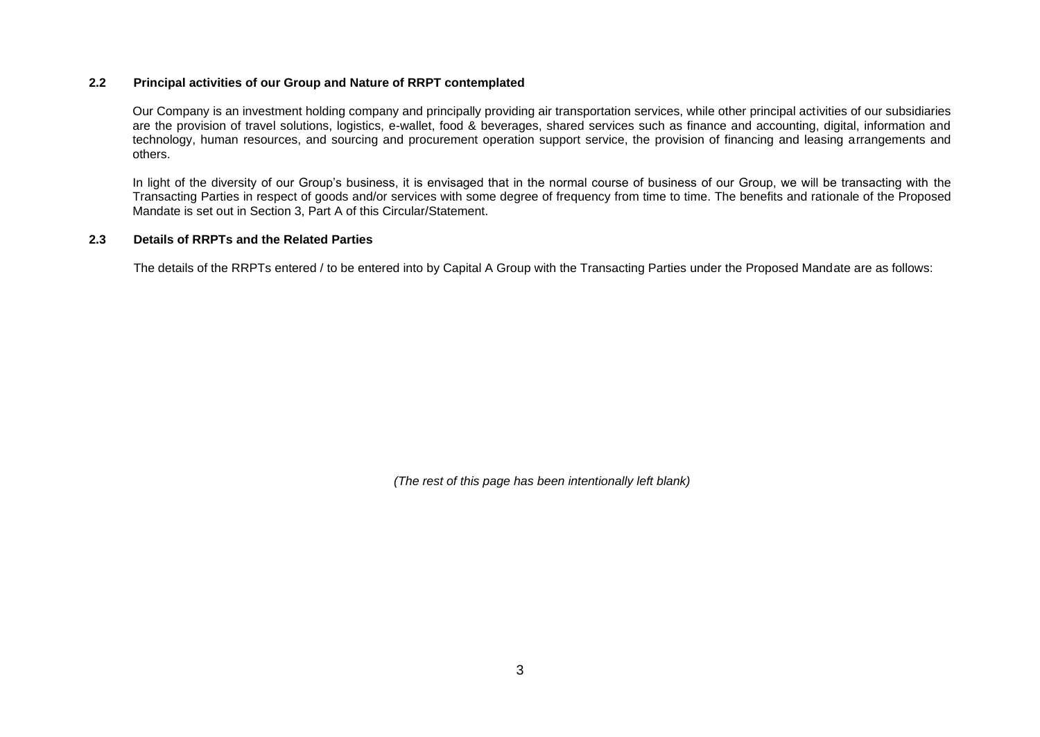# **2.2 Principal activities of our Group and Nature of RRPT contemplated**

Our Company is an investment holding company and principally providing air transportation services, while other principal activities of our subsidiaries are the provision of travel solutions, logistics, e-wallet, food & beverages, shared services such as finance and accounting, digital, information and technology, human resources, and sourcing and procurement operation support service, the provision of financing and leasing arrangements and others.

In light of the diversity of our Group's business, it is envisaged that in the normal course of business of our Group, we will be transacting with the Transacting Parties in respect of goods and/or services with some degree of frequency from time to time. The benefits and rationale of the Proposed Mandate is set out in Section 3, Part A of this Circular/Statement.

#### **2.3 Details of RRPTs and the Related Parties**

The details of the RRPTs entered / to be entered into by Capital A Group with the Transacting Parties under the Proposed Mandate are as follows:

*(The rest of this page has been intentionally left blank)*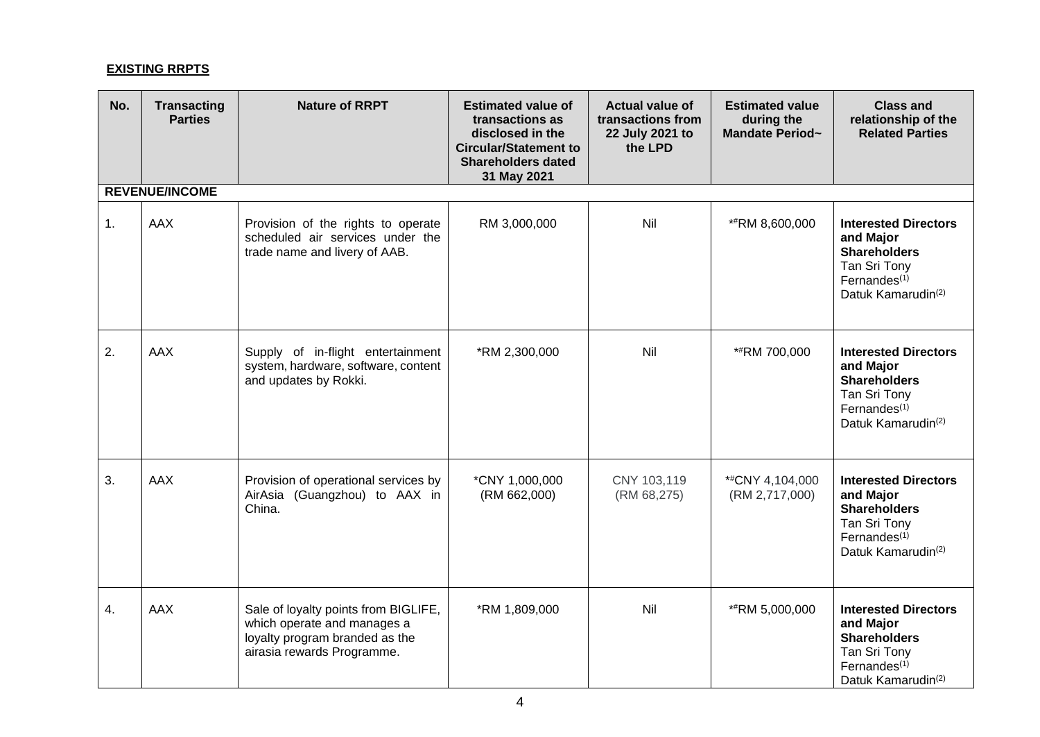# **EXISTING RRPTS**

| No. | <b>Transacting</b><br><b>Parties</b> | <b>Nature of RRPT</b>                                                                                                               | <b>Estimated value of</b><br>transactions as<br>disclosed in the<br><b>Circular/Statement to</b><br><b>Shareholders dated</b><br>31 May 2021 | <b>Actual value of</b><br>transactions from<br>22 July 2021 to<br>the LPD | <b>Estimated value</b><br>during the<br>Mandate Period~ | <b>Class and</b><br>relationship of the<br><b>Related Parties</b>                                                                             |  |  |  |  |
|-----|--------------------------------------|-------------------------------------------------------------------------------------------------------------------------------------|----------------------------------------------------------------------------------------------------------------------------------------------|---------------------------------------------------------------------------|---------------------------------------------------------|-----------------------------------------------------------------------------------------------------------------------------------------------|--|--|--|--|
|     | <b>REVENUE/INCOME</b>                |                                                                                                                                     |                                                                                                                                              |                                                                           |                                                         |                                                                                                                                               |  |  |  |  |
| 1.  | <b>AAX</b>                           | Provision of the rights to operate<br>scheduled air services under the<br>trade name and livery of AAB.                             | RM 3,000,000                                                                                                                                 | Nil                                                                       | *#RM 8,600,000                                          | <b>Interested Directors</b><br>and Major<br><b>Shareholders</b><br>Tan Sri Tony<br>Fernandes <sup>(1)</sup><br>Datuk Kamarudin <sup>(2)</sup> |  |  |  |  |
| 2.  | <b>AAX</b>                           | Supply of in-flight entertainment<br>system, hardware, software, content<br>and updates by Rokki.                                   | *RM 2,300,000                                                                                                                                | Nil                                                                       | **RM 700,000                                            | <b>Interested Directors</b><br>and Major<br><b>Shareholders</b><br>Tan Sri Tony<br>Fernandes <sup>(1)</sup><br>Datuk Kamarudin <sup>(2)</sup> |  |  |  |  |
| 3.  | <b>AAX</b>                           | Provision of operational services by<br>AirAsia (Guangzhou) to AAX in<br>China.                                                     | *CNY 1,000,000<br>(RM 662,000)                                                                                                               | CNY 103,119<br>(RM 68,275)                                                | *#CNY 4,104,000<br>(RM 2,717,000)                       | <b>Interested Directors</b><br>and Major<br><b>Shareholders</b><br>Tan Sri Tony<br>Fernandes $(1)$<br>Datuk Kamarudin <sup>(2)</sup>          |  |  |  |  |
| 4.  | <b>AAX</b>                           | Sale of loyalty points from BIGLIFE,<br>which operate and manages a<br>loyalty program branded as the<br>airasia rewards Programme. | *RM 1,809,000                                                                                                                                | Nil                                                                       | *#RM 5,000,000                                          | <b>Interested Directors</b><br>and Major<br><b>Shareholders</b><br>Tan Sri Tony<br>Fernandes $(1)$<br>Datuk Kamarudin <sup>(2)</sup>          |  |  |  |  |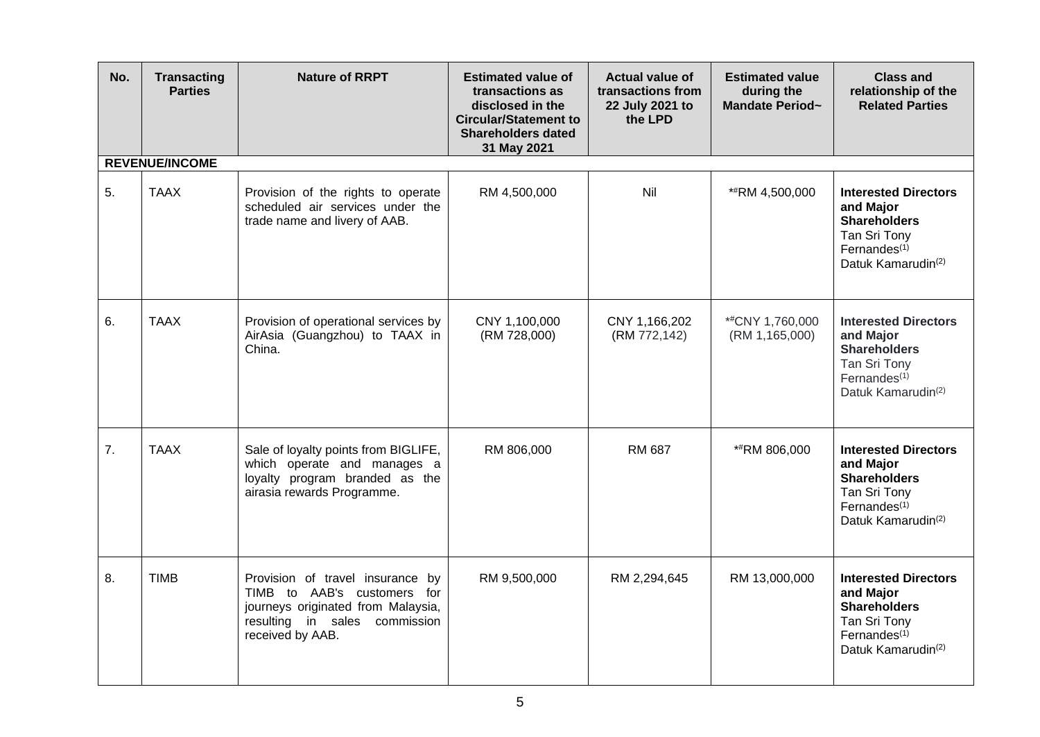| No. | <b>Transacting</b><br><b>Parties</b> | <b>Nature of RRPT</b>                                                                                                                                         | <b>Estimated value of</b><br>transactions as<br>disclosed in the<br><b>Circular/Statement to</b><br><b>Shareholders dated</b><br>31 May 2021 | <b>Actual value of</b><br>transactions from<br>22 July 2021 to<br>the LPD | <b>Estimated value</b><br>during the<br>Mandate Period~ | <b>Class and</b><br>relationship of the<br><b>Related Parties</b>                                                                    |
|-----|--------------------------------------|---------------------------------------------------------------------------------------------------------------------------------------------------------------|----------------------------------------------------------------------------------------------------------------------------------------------|---------------------------------------------------------------------------|---------------------------------------------------------|--------------------------------------------------------------------------------------------------------------------------------------|
|     | <b>REVENUE/INCOME</b>                |                                                                                                                                                               |                                                                                                                                              |                                                                           |                                                         |                                                                                                                                      |
| 5.  | <b>TAAX</b>                          | Provision of the rights to operate<br>scheduled air services under the<br>trade name and livery of AAB.                                                       | RM 4,500,000                                                                                                                                 | Nil                                                                       | *#RM 4,500,000                                          | <b>Interested Directors</b><br>and Major<br><b>Shareholders</b><br>Tan Sri Tony<br>Fernandes $(1)$<br>Datuk Kamarudin <sup>(2)</sup> |
| 6.  | <b>TAAX</b>                          | Provision of operational services by<br>AirAsia (Guangzhou) to TAAX in<br>China.                                                                              | CNY 1,100,000<br>(RM 728,000)                                                                                                                | CNY 1,166,202<br>(RM 772,142)                                             | *#CNY 1,760,000<br>(RM 1, 165, 000)                     | <b>Interested Directors</b><br>and Major<br><b>Shareholders</b><br>Tan Sri Tony<br>Fernandes $(1)$<br>Datuk Kamarudin <sup>(2)</sup> |
| 7.  | <b>TAAX</b>                          | Sale of loyalty points from BIGLIFE,<br>which operate and manages a<br>loyalty program branded as the<br>airasia rewards Programme.                           | RM 806,000                                                                                                                                   | RM 687                                                                    | **RM 806,000                                            | <b>Interested Directors</b><br>and Major<br><b>Shareholders</b><br>Tan Sri Tony<br>Fernandes $(1)$<br>Datuk Kamarudin <sup>(2)</sup> |
| 8.  | <b>TIMB</b>                          | Provision of travel insurance by<br>TIMB to AAB's customers for<br>journeys originated from Malaysia,<br>resulting in sales<br>commission<br>received by AAB. | RM 9,500,000                                                                                                                                 | RM 2,294,645                                                              | RM 13,000,000                                           | <b>Interested Directors</b><br>and Major<br><b>Shareholders</b><br>Tan Sri Tony<br>Fernandes $(1)$<br>Datuk Kamarudin <sup>(2)</sup> |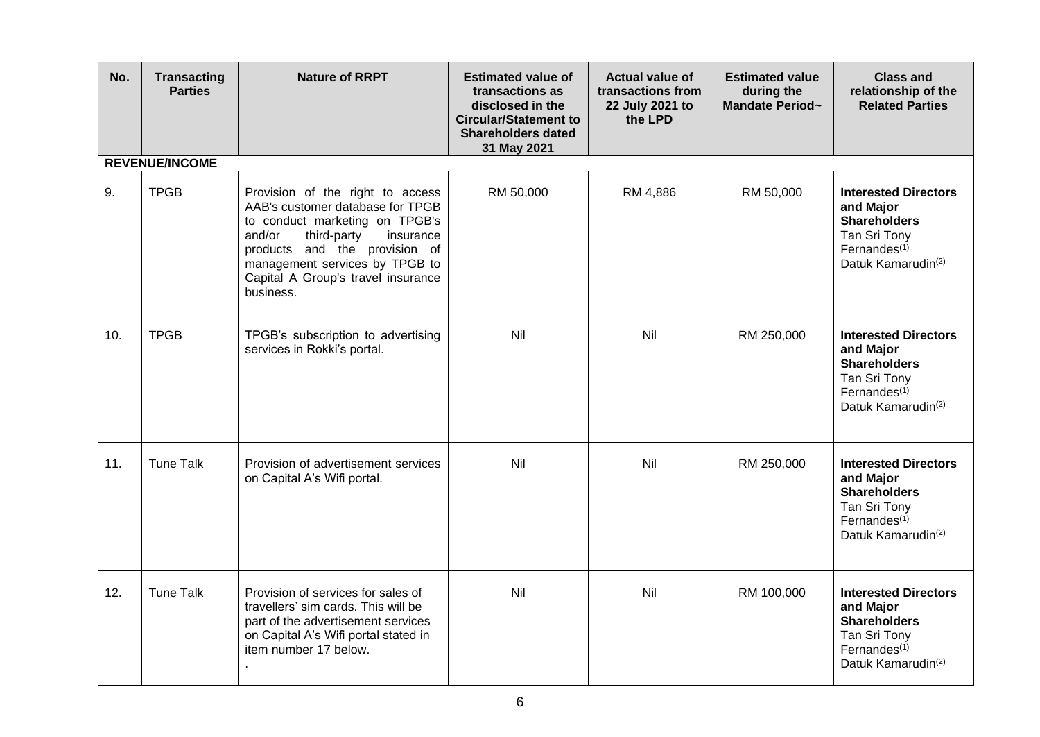| No. | <b>Transacting</b><br><b>Parties</b> | <b>Nature of RRPT</b>                                                                                                                                                                                                                                              | <b>Estimated value of</b><br>transactions as<br>disclosed in the<br><b>Circular/Statement to</b><br><b>Shareholders dated</b><br>31 May 2021 | <b>Actual value of</b><br>transactions from<br>22 July 2021 to<br>the LPD | <b>Estimated value</b><br>during the<br>Mandate Period~ | <b>Class and</b><br>relationship of the<br><b>Related Parties</b>                                                                    |
|-----|--------------------------------------|--------------------------------------------------------------------------------------------------------------------------------------------------------------------------------------------------------------------------------------------------------------------|----------------------------------------------------------------------------------------------------------------------------------------------|---------------------------------------------------------------------------|---------------------------------------------------------|--------------------------------------------------------------------------------------------------------------------------------------|
|     | <b>REVENUE/INCOME</b>                |                                                                                                                                                                                                                                                                    |                                                                                                                                              |                                                                           |                                                         |                                                                                                                                      |
| 9.  | <b>TPGB</b>                          | Provision of the right to access<br>AAB's customer database for TPGB<br>to conduct marketing on TPGB's<br>and/or<br>third-party<br>insurance<br>products and the provision of<br>management services by TPGB to<br>Capital A Group's travel insurance<br>business. | RM 50,000                                                                                                                                    | RM 4,886                                                                  | RM 50,000                                               | <b>Interested Directors</b><br>and Major<br><b>Shareholders</b><br>Tan Sri Tony<br>Fernandes $(1)$<br>Datuk Kamarudin <sup>(2)</sup> |
| 10. | <b>TPGB</b>                          | TPGB's subscription to advertising<br>services in Rokki's portal.                                                                                                                                                                                                  | Nil                                                                                                                                          | Nil                                                                       | RM 250,000                                              | <b>Interested Directors</b><br>and Major<br><b>Shareholders</b><br>Tan Sri Tony<br>Fernandes $(1)$<br>Datuk Kamarudin <sup>(2)</sup> |
| 11. | <b>Tune Talk</b>                     | Provision of advertisement services<br>on Capital A's Wifi portal.                                                                                                                                                                                                 | Nil                                                                                                                                          | Nil                                                                       | RM 250,000                                              | <b>Interested Directors</b><br>and Major<br><b>Shareholders</b><br>Tan Sri Tony<br>Fernandes $(1)$<br>Datuk Kamarudin <sup>(2)</sup> |
| 12. | <b>Tune Talk</b>                     | Provision of services for sales of<br>travellers' sim cards. This will be<br>part of the advertisement services<br>on Capital A's Wifi portal stated in<br>item number 17 below.                                                                                   | Nil                                                                                                                                          | Nil                                                                       | RM 100,000                                              | <b>Interested Directors</b><br>and Major<br><b>Shareholders</b><br>Tan Sri Tony<br>Fernandes $(1)$<br>Datuk Kamarudin <sup>(2)</sup> |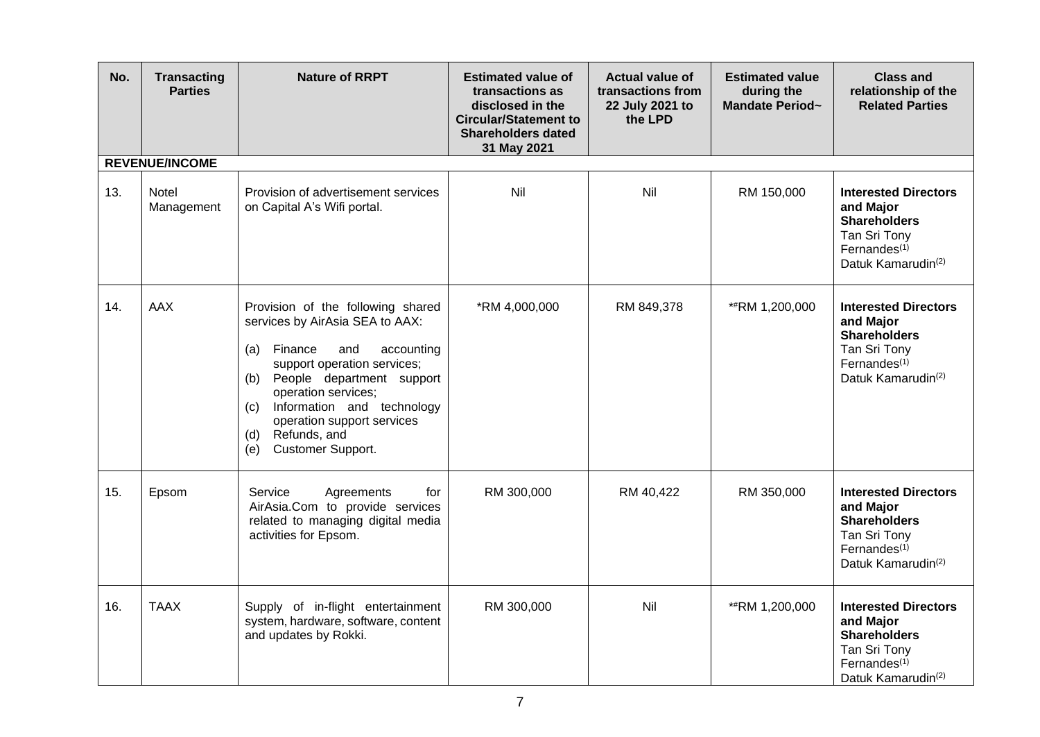| No. | <b>Transacting</b><br><b>Parties</b> | <b>Nature of RRPT</b>                                                                                                                                                                                                                                                                                                       | <b>Estimated value of</b><br>transactions as<br>disclosed in the<br><b>Circular/Statement to</b><br><b>Shareholders dated</b><br>31 May 2021 | <b>Actual value of</b><br>transactions from<br>22 July 2021 to<br>the LPD | <b>Estimated value</b><br>during the<br><b>Mandate Period~</b> | <b>Class and</b><br>relationship of the<br><b>Related Parties</b>                                                                             |
|-----|--------------------------------------|-----------------------------------------------------------------------------------------------------------------------------------------------------------------------------------------------------------------------------------------------------------------------------------------------------------------------------|----------------------------------------------------------------------------------------------------------------------------------------------|---------------------------------------------------------------------------|----------------------------------------------------------------|-----------------------------------------------------------------------------------------------------------------------------------------------|
|     | <b>REVENUE/INCOME</b>                |                                                                                                                                                                                                                                                                                                                             |                                                                                                                                              |                                                                           |                                                                |                                                                                                                                               |
| 13. | <b>Notel</b><br>Management           | Provision of advertisement services<br>on Capital A's Wifi portal.                                                                                                                                                                                                                                                          | Nil                                                                                                                                          | Nil                                                                       | RM 150,000                                                     | <b>Interested Directors</b><br>and Major<br><b>Shareholders</b><br>Tan Sri Tony<br>Fernandes $(1)$<br>Datuk Kamarudin <sup>(2)</sup>          |
| 14. | <b>AAX</b>                           | Provision of the following shared<br>services by AirAsia SEA to AAX:<br>Finance<br>and<br>accounting<br>(a)<br>support operation services;<br>People department support<br>(b)<br>operation services;<br>Information and technology<br>(C)<br>operation support services<br>Refunds, and<br>(d)<br>Customer Support.<br>(e) | *RM 4,000,000                                                                                                                                | RM 849,378                                                                | *#RM 1,200,000                                                 | <b>Interested Directors</b><br>and Major<br><b>Shareholders</b><br>Tan Sri Tony<br>Fernandes <sup>(1)</sup><br>Datuk Kamarudin <sup>(2)</sup> |
| 15. | Epsom                                | Service<br>Agreements<br>for<br>AirAsia.Com to provide services<br>related to managing digital media<br>activities for Epsom.                                                                                                                                                                                               | RM 300,000                                                                                                                                   | RM 40,422                                                                 | RM 350,000                                                     | <b>Interested Directors</b><br>and Major<br><b>Shareholders</b><br>Tan Sri Tony<br>Fernandes $(1)$<br>Datuk Kamarudin <sup>(2)</sup>          |
| 16. | <b>TAAX</b>                          | Supply of in-flight entertainment<br>system, hardware, software, content<br>and updates by Rokki.                                                                                                                                                                                                                           | RM 300,000                                                                                                                                   | Nil                                                                       | **RM 1,200,000                                                 | <b>Interested Directors</b><br>and Major<br><b>Shareholders</b><br>Tan Sri Tony<br>Fernandes <sup>(1)</sup><br>Datuk Kamarudin <sup>(2)</sup> |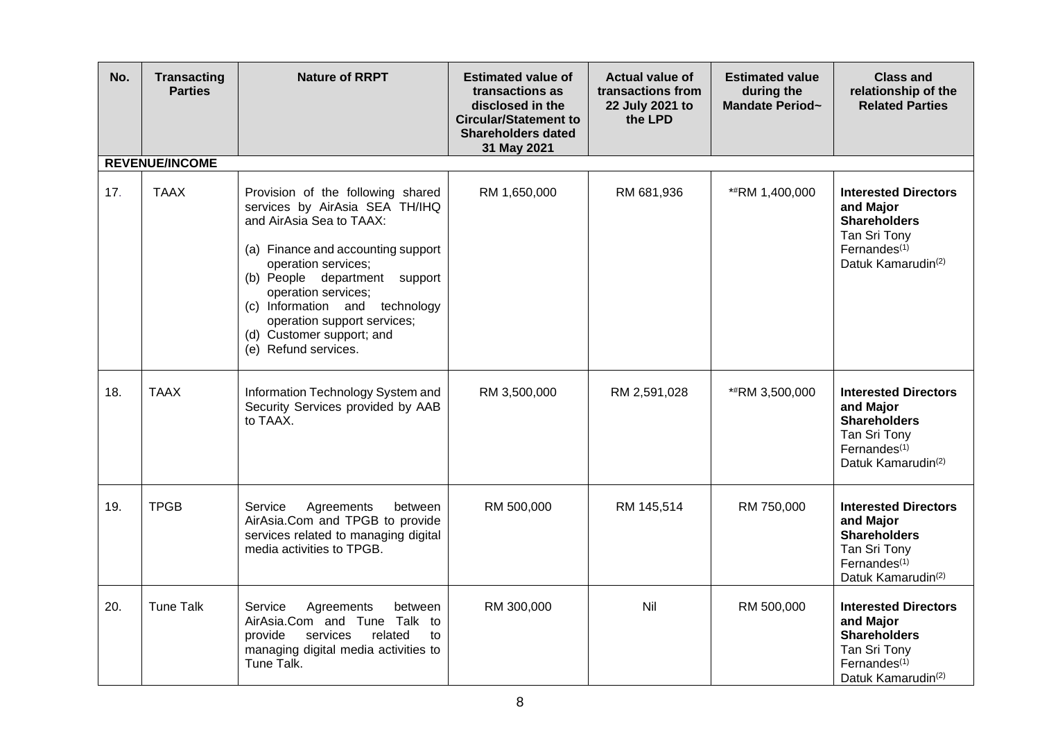| No. | <b>Transacting</b><br><b>Parties</b> | <b>Nature of RRPT</b>                                                                                                                                                                                                                                                                                                                      | <b>Estimated value of</b><br>transactions as<br>disclosed in the<br><b>Circular/Statement to</b><br><b>Shareholders dated</b><br>31 May 2021 | <b>Actual value of</b><br>transactions from<br>22 July 2021 to<br>the LPD | <b>Estimated value</b><br>during the<br>Mandate Period~ | <b>Class and</b><br>relationship of the<br><b>Related Parties</b>                                                                             |
|-----|--------------------------------------|--------------------------------------------------------------------------------------------------------------------------------------------------------------------------------------------------------------------------------------------------------------------------------------------------------------------------------------------|----------------------------------------------------------------------------------------------------------------------------------------------|---------------------------------------------------------------------------|---------------------------------------------------------|-----------------------------------------------------------------------------------------------------------------------------------------------|
|     | <b>REVENUE/INCOME</b>                |                                                                                                                                                                                                                                                                                                                                            |                                                                                                                                              |                                                                           |                                                         |                                                                                                                                               |
| 17. | <b>TAAX</b>                          | Provision of the following shared<br>services by AirAsia SEA TH/IHQ<br>and AirAsia Sea to TAAX:<br>(a) Finance and accounting support<br>operation services;<br>(b) People department support<br>operation services;<br>(c) Information and technology<br>operation support services;<br>(d) Customer support; and<br>(e) Refund services. | RM 1,650,000                                                                                                                                 | RM 681,936                                                                | *#RM 1,400,000                                          | <b>Interested Directors</b><br>and Major<br><b>Shareholders</b><br>Tan Sri Tony<br>Fernandes $(1)$<br>Datuk Kamarudin <sup>(2)</sup>          |
| 18. | <b>TAAX</b>                          | Information Technology System and<br>Security Services provided by AAB<br>to TAAX.                                                                                                                                                                                                                                                         | RM 3,500,000                                                                                                                                 | RM 2,591,028                                                              | *#RM 3,500,000                                          | <b>Interested Directors</b><br>and Major<br><b>Shareholders</b><br>Tan Sri Tony<br>Fernandes $(1)$<br>Datuk Kamarudin <sup>(2)</sup>          |
| 19. | <b>TPGB</b>                          | Agreements<br>Service<br>between<br>AirAsia.Com and TPGB to provide<br>services related to managing digital<br>media activities to TPGB.                                                                                                                                                                                                   | RM 500,000                                                                                                                                   | RM 145,514                                                                | RM 750,000                                              | <b>Interested Directors</b><br>and Major<br><b>Shareholders</b><br>Tan Sri Tony<br>Fernandes <sup>(1)</sup><br>Datuk Kamarudin <sup>(2)</sup> |
| 20. | <b>Tune Talk</b>                     | Agreements<br>Service<br>between<br>AirAsia.Com and Tune Talk to<br>provide<br>services<br>related<br>to<br>managing digital media activities to<br>Tune Talk.                                                                                                                                                                             | RM 300,000                                                                                                                                   | Nil                                                                       | RM 500,000                                              | <b>Interested Directors</b><br>and Major<br><b>Shareholders</b><br>Tan Sri Tony<br>Fernandes $(1)$<br>Datuk Kamarudin <sup>(2)</sup>          |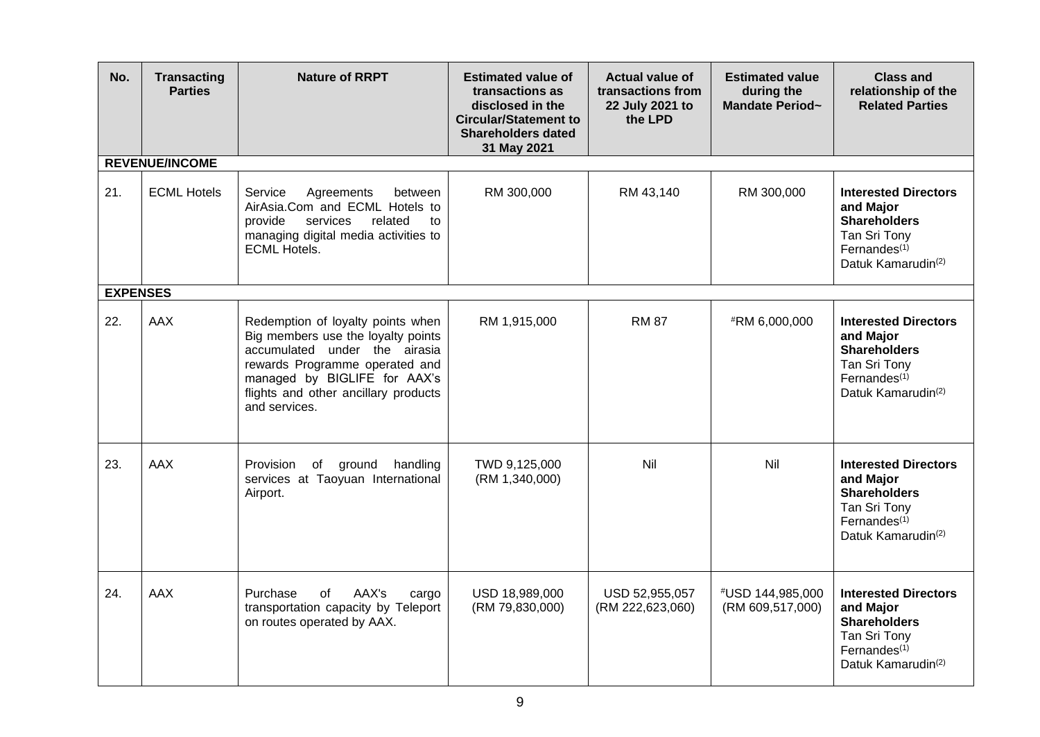| No.             | <b>Transacting</b><br><b>Parties</b> | <b>Nature of RRPT</b>                                                                                                                                                                                                               | <b>Estimated value of</b><br>transactions as<br>disclosed in the<br><b>Circular/Statement to</b><br><b>Shareholders dated</b><br>31 May 2021 | <b>Actual value of</b><br>transactions from<br>22 July 2021 to<br>the LPD | <b>Estimated value</b><br>during the<br>Mandate Period~ | <b>Class and</b><br>relationship of the<br><b>Related Parties</b>                                                                             |
|-----------------|--------------------------------------|-------------------------------------------------------------------------------------------------------------------------------------------------------------------------------------------------------------------------------------|----------------------------------------------------------------------------------------------------------------------------------------------|---------------------------------------------------------------------------|---------------------------------------------------------|-----------------------------------------------------------------------------------------------------------------------------------------------|
|                 | <b>REVENUE/INCOME</b>                |                                                                                                                                                                                                                                     |                                                                                                                                              |                                                                           |                                                         |                                                                                                                                               |
| 21.             | <b>ECML Hotels</b>                   | Service<br>Agreements<br>between<br>AirAsia.Com and ECML Hotels to<br>provide<br>related<br>services<br>to<br>managing digital media activities to<br><b>ECML Hotels.</b>                                                           | RM 300,000                                                                                                                                   | RM 43,140                                                                 | RM 300,000                                              | <b>Interested Directors</b><br>and Major<br><b>Shareholders</b><br>Tan Sri Tony<br>Fernandes $(1)$<br>Datuk Kamarudin <sup>(2)</sup>          |
| <b>EXPENSES</b> |                                      |                                                                                                                                                                                                                                     |                                                                                                                                              |                                                                           |                                                         |                                                                                                                                               |
| 22.             | <b>AAX</b>                           | Redemption of loyalty points when<br>Big members use the loyalty points<br>accumulated under the airasia<br>rewards Programme operated and<br>managed by BIGLIFE for AAX's<br>flights and other ancillary products<br>and services. | RM 1,915,000                                                                                                                                 | <b>RM 87</b>                                                              | #RM 6,000,000                                           | <b>Interested Directors</b><br>and Major<br><b>Shareholders</b><br>Tan Sri Tony<br>Fernandes <sup>(1)</sup><br>Datuk Kamarudin <sup>(2)</sup> |
| 23.             | <b>AAX</b>                           | <b>Provision</b><br>of ground<br>handling<br>services at Taoyuan International<br>Airport.                                                                                                                                          | TWD 9,125,000<br>(RM 1, 340, 000)                                                                                                            | Nil                                                                       | Nil                                                     | <b>Interested Directors</b><br>and Major<br><b>Shareholders</b><br>Tan Sri Tony<br>Fernandes $(1)$<br>Datuk Kamarudin <sup>(2)</sup>          |
| 24.             | <b>AAX</b>                           | AAX's<br>Purchase<br>of<br>cargo<br>transportation capacity by Teleport<br>on routes operated by AAX.                                                                                                                               | USD 18,989,000<br>(RM 79,830,000)                                                                                                            | USD 52,955,057<br>(RM 222,623,060)                                        | #USD 144,985,000<br>(RM 609,517,000)                    | <b>Interested Directors</b><br>and Major<br><b>Shareholders</b><br>Tan Sri Tony<br>Fernandes $(1)$<br>Datuk Kamarudin <sup>(2)</sup>          |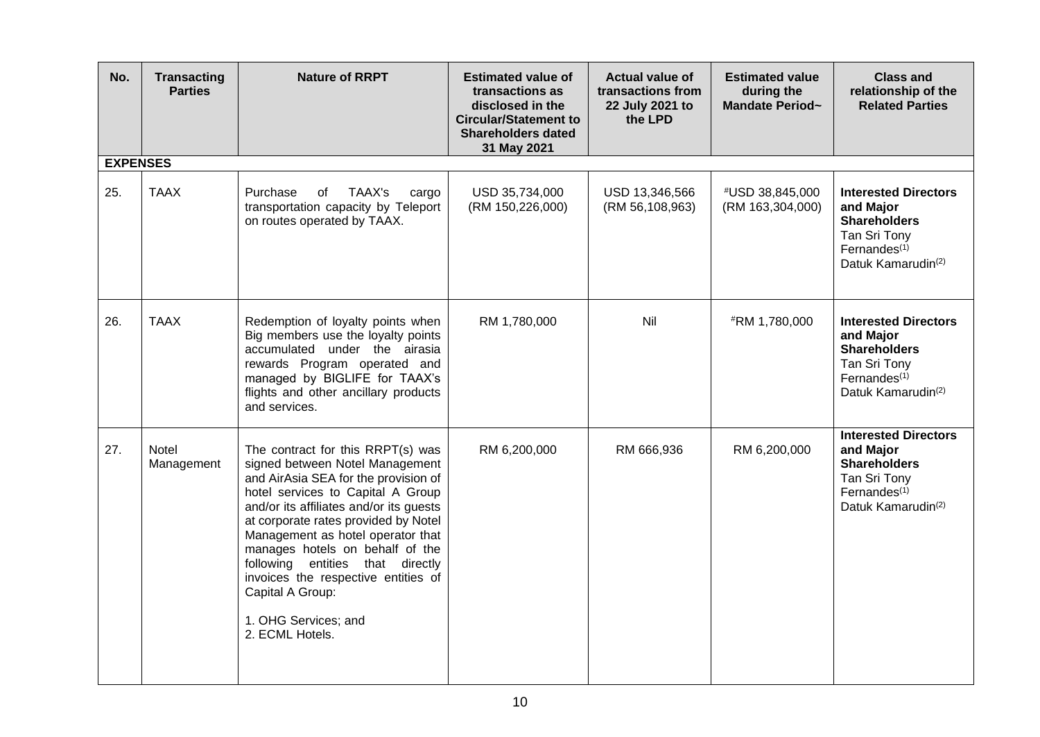| No.             | <b>Transacting</b><br><b>Parties</b> | <b>Nature of RRPT</b>                                                                                                                                                                                                                                                                                                                                                                                                                                  | <b>Estimated value of</b><br>transactions as<br>disclosed in the<br><b>Circular/Statement to</b><br><b>Shareholders dated</b><br>31 May 2021 | <b>Actual value of</b><br>transactions from<br>22 July 2021 to<br>the LPD | <b>Estimated value</b><br>during the<br>Mandate Period~ | <b>Class and</b><br>relationship of the<br><b>Related Parties</b>                                                                             |
|-----------------|--------------------------------------|--------------------------------------------------------------------------------------------------------------------------------------------------------------------------------------------------------------------------------------------------------------------------------------------------------------------------------------------------------------------------------------------------------------------------------------------------------|----------------------------------------------------------------------------------------------------------------------------------------------|---------------------------------------------------------------------------|---------------------------------------------------------|-----------------------------------------------------------------------------------------------------------------------------------------------|
| <b>EXPENSES</b> |                                      |                                                                                                                                                                                                                                                                                                                                                                                                                                                        |                                                                                                                                              |                                                                           |                                                         |                                                                                                                                               |
| 25.             | <b>TAAX</b>                          | Purchase<br>TAAX's<br>0f<br>cargo<br>transportation capacity by Teleport<br>on routes operated by TAAX.                                                                                                                                                                                                                                                                                                                                                | USD 35,734,000<br>(RM 150,226,000)                                                                                                           | USD 13,346,566<br>(RM 56,108,963)                                         | #USD 38,845,000<br>(RM 163,304,000)                     | <b>Interested Directors</b><br>and Major<br><b>Shareholders</b><br>Tan Sri Tony<br>Fernandes $(1)$<br>Datuk Kamarudin <sup>(2)</sup>          |
| 26.             | <b>TAAX</b>                          | Redemption of loyalty points when<br>Big members use the loyalty points<br>accumulated under the airasia<br>rewards Program operated and<br>managed by BIGLIFE for TAAX's<br>flights and other ancillary products<br>and services.                                                                                                                                                                                                                     | RM 1,780,000                                                                                                                                 | Nil                                                                       | #RM 1,780,000                                           | <b>Interested Directors</b><br>and Major<br><b>Shareholders</b><br>Tan Sri Tony<br>Fernandes $(1)$<br>Datuk Kamarudin <sup>(2)</sup>          |
| 27.             | Notel<br>Management                  | The contract for this RRPT(s) was<br>signed between Notel Management<br>and AirAsia SEA for the provision of<br>hotel services to Capital A Group<br>and/or its affiliates and/or its guests<br>at corporate rates provided by Notel<br>Management as hotel operator that<br>manages hotels on behalf of the<br>following entities that directly<br>invoices the respective entities of<br>Capital A Group:<br>1. OHG Services; and<br>2. ECML Hotels. | RM 6,200,000                                                                                                                                 | RM 666,936                                                                | RM 6,200,000                                            | <b>Interested Directors</b><br>and Major<br><b>Shareholders</b><br>Tan Sri Tony<br>Fernandes <sup>(1)</sup><br>Datuk Kamarudin <sup>(2)</sup> |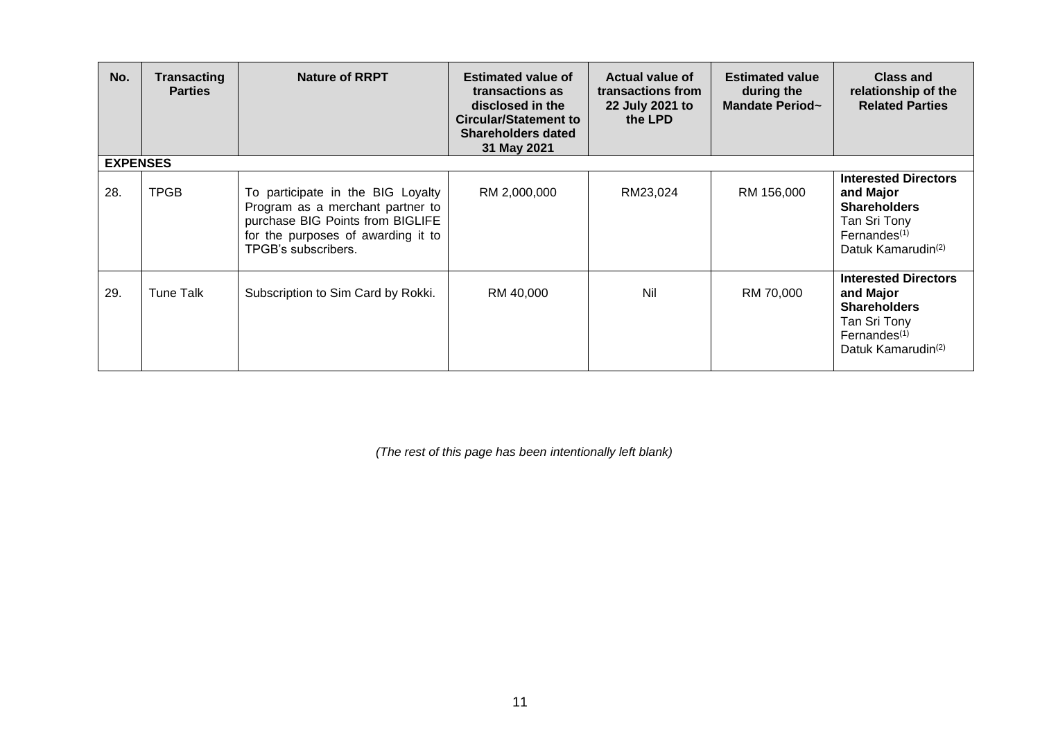| No.             | <b>Transacting</b><br><b>Parties</b> | <b>Nature of RRPT</b>                                                                                                                                                  | <b>Estimated value of</b><br>transactions as<br>disclosed in the<br><b>Circular/Statement to</b><br><b>Shareholders dated</b><br>31 May 2021 | <b>Actual value of</b><br>transactions from<br>22 July 2021 to<br>the LPD | <b>Estimated value</b><br>during the<br>Mandate Period~ | <b>Class and</b><br>relationship of the<br><b>Related Parties</b>                                                                             |
|-----------------|--------------------------------------|------------------------------------------------------------------------------------------------------------------------------------------------------------------------|----------------------------------------------------------------------------------------------------------------------------------------------|---------------------------------------------------------------------------|---------------------------------------------------------|-----------------------------------------------------------------------------------------------------------------------------------------------|
| <b>EXPENSES</b> |                                      |                                                                                                                                                                        |                                                                                                                                              |                                                                           |                                                         |                                                                                                                                               |
| 28.             | <b>TPGB</b>                          | To participate in the BIG Loyalty<br>Program as a merchant partner to<br>purchase BIG Points from BIGLIFE<br>for the purposes of awarding it to<br>TPGB's subscribers. | RM 2,000,000                                                                                                                                 | RM23,024                                                                  | RM 156,000                                              | <b>Interested Directors</b><br>and Major<br><b>Shareholders</b><br>Tan Sri Tony<br>Fernandes $(1)$<br>Datuk Kamarudin <sup>(2)</sup>          |
| 29.             | Tune Talk                            | Subscription to Sim Card by Rokki.                                                                                                                                     | RM 40,000                                                                                                                                    | Nil                                                                       | RM 70,000                                               | <b>Interested Directors</b><br>and Major<br><b>Shareholders</b><br>Tan Sri Tony<br>Fernandes <sup>(1)</sup><br>Datuk Kamarudin <sup>(2)</sup> |

*(The rest of this page has been intentionally left blank)*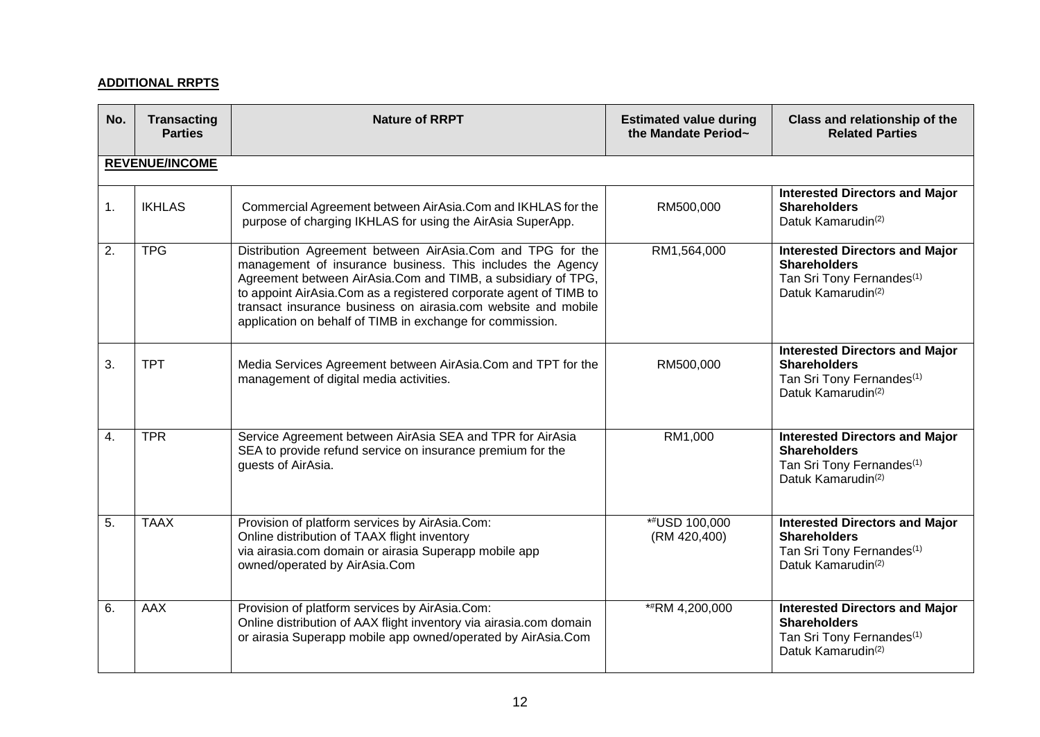# **ADDITIONAL RRPTS**

| No. | <b>Transacting</b><br><b>Parties</b> | <b>Nature of RRPT</b>                                                                                                                                                                                                                                                                                                                                                                        | <b>Estimated value during</b><br>the Mandate Period~ | Class and relationship of the<br><b>Related Parties</b>                                                                                 |
|-----|--------------------------------------|----------------------------------------------------------------------------------------------------------------------------------------------------------------------------------------------------------------------------------------------------------------------------------------------------------------------------------------------------------------------------------------------|------------------------------------------------------|-----------------------------------------------------------------------------------------------------------------------------------------|
|     | <b>REVENUE/INCOME</b>                |                                                                                                                                                                                                                                                                                                                                                                                              |                                                      |                                                                                                                                         |
| 1.  | <b>IKHLAS</b>                        | Commercial Agreement between AirAsia.Com and IKHLAS for the<br>purpose of charging IKHLAS for using the AirAsia SuperApp.                                                                                                                                                                                                                                                                    | RM500,000                                            | <b>Interested Directors and Major</b><br><b>Shareholders</b><br>Datuk Kamarudin <sup>(2)</sup>                                          |
| 2.  | <b>TPG</b>                           | Distribution Agreement between AirAsia.Com and TPG for the<br>management of insurance business. This includes the Agency<br>Agreement between AirAsia.Com and TIMB, a subsidiary of TPG,<br>to appoint AirAsia. Com as a registered corporate agent of TIMB to<br>transact insurance business on airasia.com website and mobile<br>application on behalf of TIMB in exchange for commission. | RM1,564,000                                          | <b>Interested Directors and Major</b><br><b>Shareholders</b><br>Tan Sri Tony Fernandes <sup>(1)</sup><br>Datuk Kamarudin <sup>(2)</sup> |
| 3.  | <b>TPT</b>                           | Media Services Agreement between AirAsia.Com and TPT for the<br>management of digital media activities.                                                                                                                                                                                                                                                                                      | RM500,000                                            | <b>Interested Directors and Major</b><br><b>Shareholders</b><br>Tan Sri Tony Fernandes <sup>(1)</sup><br>Datuk Kamarudin <sup>(2)</sup> |
| 4.  | <b>TPR</b>                           | Service Agreement between AirAsia SEA and TPR for AirAsia<br>SEA to provide refund service on insurance premium for the<br>quests of AirAsia.                                                                                                                                                                                                                                                | RM1,000                                              | <b>Interested Directors and Major</b><br><b>Shareholders</b><br>Tan Sri Tony Fernandes <sup>(1)</sup><br>Datuk Kamarudin <sup>(2)</sup> |
| 5.  | <b>TAAX</b>                          | Provision of platform services by AirAsia.Com:<br>Online distribution of TAAX flight inventory<br>via airasia.com domain or airasia Superapp mobile app<br>owned/operated by AirAsia.Com                                                                                                                                                                                                     | *#USD 100,000<br>(RM 420,400)                        | <b>Interested Directors and Major</b><br><b>Shareholders</b><br>Tan Sri Tony Fernandes <sup>(1)</sup><br>Datuk Kamarudin <sup>(2)</sup> |
| 6.  | <b>AAX</b>                           | Provision of platform services by AirAsia.Com:<br>Online distribution of AAX flight inventory via airasia.com domain<br>or airasia Superapp mobile app owned/operated by AirAsia.Com                                                                                                                                                                                                         | **RM 4,200,000                                       | <b>Interested Directors and Major</b><br><b>Shareholders</b><br>Tan Sri Tony Fernandes <sup>(1)</sup><br>Datuk Kamarudin <sup>(2)</sup> |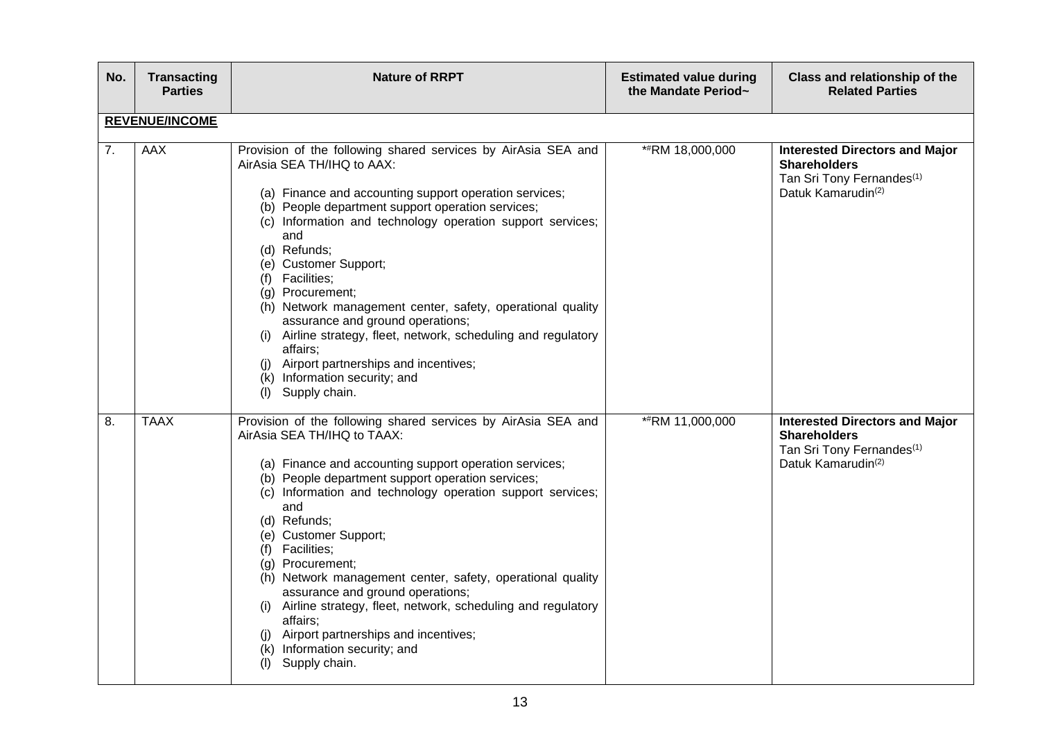| No. | <b>Transacting</b><br><b>Parties</b> | <b>Nature of RRPT</b>                                                                                                                                                                                                                                                                                                                                                                                                                                                                                                                                                                                                                                       | <b>Estimated value during</b><br>the Mandate Period~ | Class and relationship of the<br><b>Related Parties</b>                                                                                 |
|-----|--------------------------------------|-------------------------------------------------------------------------------------------------------------------------------------------------------------------------------------------------------------------------------------------------------------------------------------------------------------------------------------------------------------------------------------------------------------------------------------------------------------------------------------------------------------------------------------------------------------------------------------------------------------------------------------------------------------|------------------------------------------------------|-----------------------------------------------------------------------------------------------------------------------------------------|
|     | <b>REVENUE/INCOME</b>                |                                                                                                                                                                                                                                                                                                                                                                                                                                                                                                                                                                                                                                                             |                                                      |                                                                                                                                         |
| 7.  | <b>AAX</b>                           | Provision of the following shared services by AirAsia SEA and<br>AirAsia SEA TH/IHQ to AAX:<br>(a) Finance and accounting support operation services;<br>(b) People department support operation services;<br>(c) Information and technology operation support services;<br>and<br>(d) Refunds;<br>(e) Customer Support;<br>(f) Facilities;<br>(g) Procurement;<br>(h) Network management center, safety, operational quality<br>assurance and ground operations;<br>Airline strategy, fleet, network, scheduling and regulatory<br>(i)<br>affairs;<br>Airport partnerships and incentives;<br>(i)<br>(k) Information security; and<br>Supply chain.<br>(1) | *#RM 18,000,000                                      | <b>Interested Directors and Major</b><br><b>Shareholders</b><br>Tan Sri Tony Fernandes <sup>(1)</sup><br>Datuk Kamarudin <sup>(2)</sup> |
| 8.  | <b>TAAX</b>                          | Provision of the following shared services by AirAsia SEA and<br>AirAsia SEA TH/IHQ to TAAX:<br>(a) Finance and accounting support operation services;<br>(b) People department support operation services;<br>(c) Information and technology operation support services;<br>and<br>(d) Refunds;<br>(e) Customer Support;<br>(f) Facilities;<br>(g) Procurement;<br>(h) Network management center, safety, operational quality<br>assurance and ground operations;<br>(i) Airline strategy, fleet, network, scheduling and regulatory<br>affairs;<br>Airport partnerships and incentives;<br>(k) Information security; and<br>Supply chain.<br>(1)          | **RM 11,000,000                                      | <b>Interested Directors and Major</b><br><b>Shareholders</b><br>Tan Sri Tony Fernandes <sup>(1)</sup><br>Datuk Kamarudin <sup>(2)</sup> |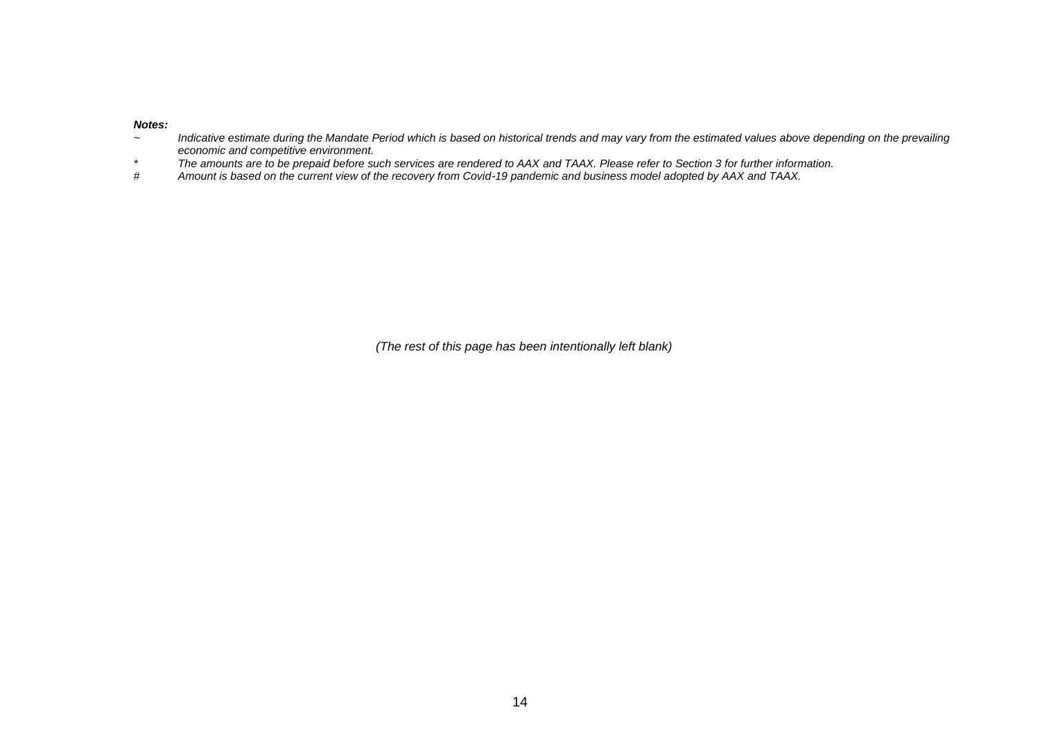#### *Notes:*

- *~ Indicative estimate during the Mandate Period which is based on historical trends and may vary from the estimated values above depending on the prevailing economic and competitive environment.*
- *\* The amounts are to be prepaid before such services are rendered to AAX and TAAX. Please refer to Section 3 for further information.*
- *# Amount is based on the current view of the recovery from Covid-19 pandemic and business model adopted by AAX and TAAX.*

*(The rest of this page has been intentionally left blank)*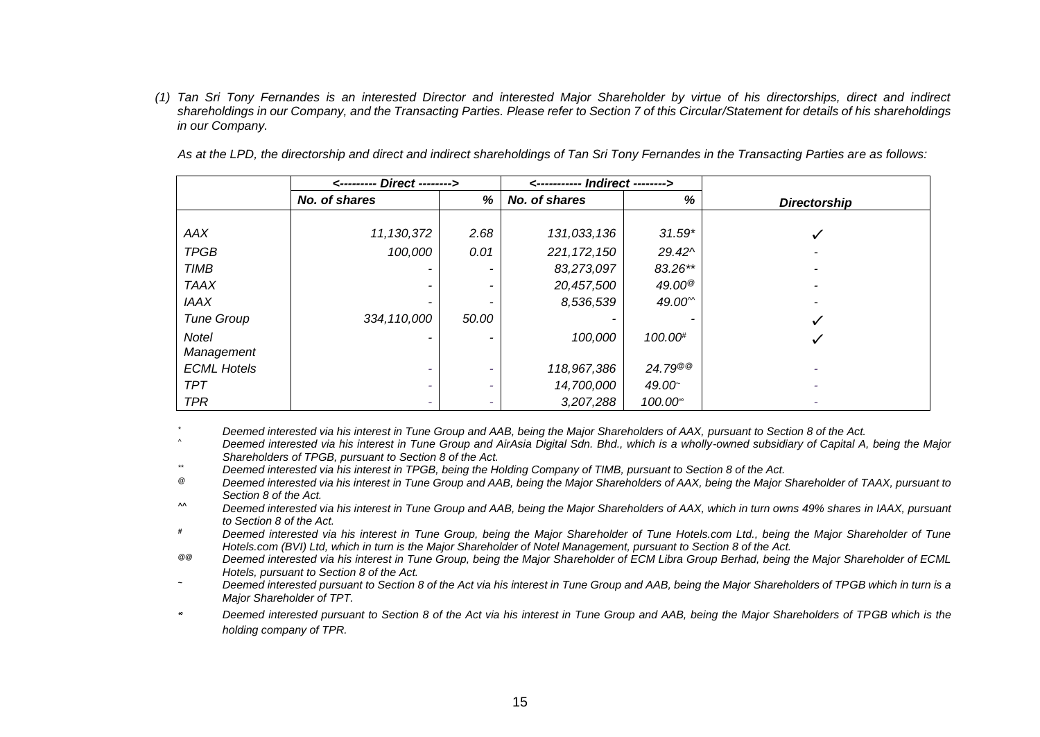*(1) Tan Sri Tony Fernandes is an interested Director and interested Major Shareholder by virtue of his directorships, direct and indirect shareholdings in our Company, and the Transacting Parties. Please refer to Section 7 of this Circular/Statement for details of his shareholdings in our Company.*

|                    | <--------- Direct --------> |       |               |                                       |                     |
|--------------------|-----------------------------|-------|---------------|---------------------------------------|---------------------|
|                    | No. of shares               | %     | No. of shares | %                                     | <b>Directorship</b> |
|                    |                             |       |               |                                       |                     |
| AAX                | 11,130,372                  | 2.68  | 131,033,136   | $31.59*$                              |                     |
| <b>TPGB</b>        | 100,000                     | 0.01  | 221, 172, 150 | $29.42^{\circ}$                       |                     |
| TIMB               |                             |       | 83,273,097    | 83.26**                               |                     |
| <b>TAAX</b>        |                             |       | 20,457,500    | 49.00 $^\circledR$                    |                     |
| <b>IAAX</b>        |                             |       | 8,536,539     | 49.00 <sup><math>\degree</math></sup> |                     |
| <b>Tune Group</b>  | 334, 110,000                | 50.00 |               |                                       | ✓                   |
| <b>Notel</b>       |                             |       | 100,000       | 100.00#                               |                     |
| Management         |                             |       |               |                                       |                     |
| <b>ECML Hotels</b> |                             |       | 118,967,386   | $24.79^{\circledR}$                   |                     |
| <b>TPT</b>         |                             | -     | 14,700,000    | 49.00                                 |                     |
| <b>TPR</b>         |                             |       | 3,207,288     | $100.00^{\circ}$                      | ٠                   |

*As at the LPD, the directorship and direct and indirect shareholdings of Tan Sri Tony Fernandes in the Transacting Parties are as follows:* 

*\* Deemed interested via his interest in Tune Group and AAB, being the Major Shareholders of AAX, pursuant to Section 8 of the Act.*

*^ Deemed interested via his interest in Tune Group and AirAsia Digital Sdn. Bhd., which is a wholly-owned subsidiary of Capital A, being the Major Shareholders of TPGB, pursuant to Section 8 of the Act.* 

*\*\* Deemed interested via his interest in TPGB, being the Holding Company of TIMB, pursuant to Section 8 of the Act.* 

*@ Deemed interested via his interest in Tune Group and AAB, being the Major Shareholders of AAX, being the Major Shareholder of TAAX, pursuant to Section 8 of the Act.*

- *^^ Deemed interested via his interest in Tune Group and AAB, being the Major Shareholders of AAX, which in turn owns 49% shares in IAAX, pursuant to Section 8 of the Act.*
- *# Deemed interested via his interest in Tune Group, being the Major Shareholder of Tune Hotels.com Ltd., being the Major Shareholder of Tune Hotels.com (BVI) Ltd, which in turn is the Major Shareholder of Notel Management, pursuant to Section 8 of the Act.*
- *@@ Deemed interested via his interest in Tune Group, being the Major Shareholder of ECM Libra Group Berhad, being the Major Shareholder of ECML Hotels, pursuant to Section 8 of the Act.*
- *<sup>~</sup> Deemed interested pursuant to Section 8 of the Act via his interest in Tune Group and AAB, being the Major Shareholders of TPGB which in turn is a Major Shareholder of TPT.*
- *Deemed interested pursuant to Section 8 of the Act via his interest in Tune Group and AAB, being the Major Shareholders of TPGB which is the holding company of TPR.*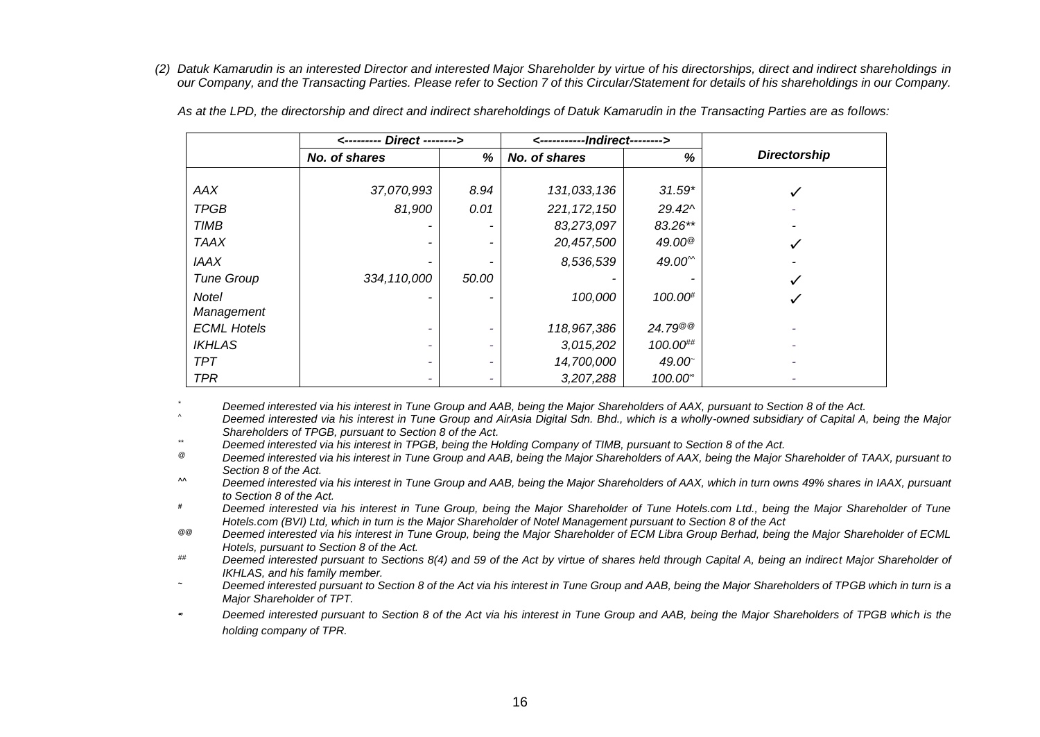*(2) Datuk Kamarudin is an interested Director and interested Major Shareholder by virtue of his directorships, direct and indirect shareholdings in our Company, and the Transacting Parties. Please refer to Section 7 of this Circular/Statement for details of his shareholdings in our Company.*

|                    | <--------- Direct --------> |                          | <-----------lndirect--------> |                                       |                     |
|--------------------|-----------------------------|--------------------------|-------------------------------|---------------------------------------|---------------------|
|                    | No. of shares               | %                        | No. of shares                 | %                                     | <b>Directorship</b> |
|                    |                             |                          |                               |                                       |                     |
| AAX                | 37,070,993                  | 8.94                     | 131,033,136                   | $31.59*$                              | $\checkmark$        |
| <b>TPGB</b>        | 81,900                      | 0.01                     | 221, 172, 150                 | $29.42^{\circ}$                       |                     |
| <b>TIMB</b>        |                             | -                        | 83,273,097                    | 83.26**                               |                     |
| <b>TAAX</b>        |                             | $\overline{\phantom{a}}$ | 20,457,500                    | $49.00^{\circ}$                       | ✓                   |
| <b>IAAX</b>        |                             |                          | 8,536,539                     | 49.00 <sup><math>\degree</math></sup> |                     |
| <b>Tune Group</b>  | 334, 110,000                | 50.00                    |                               |                                       | ✓                   |
| <b>Notel</b>       |                             | -                        | 100,000                       | 100.00#                               | ✓                   |
| Management         |                             |                          |                               |                                       |                     |
| <b>ECML Hotels</b> | -                           | ۰                        | 118,967,386                   | $24.79^{\circ\circ}$                  |                     |
| <b>IKHLAS</b>      | -                           | ٠                        | 3,015,202                     | 100.00##                              |                     |
| <b>TPT</b>         | -                           | ٠                        | 14,700,000                    | 49.00                                 |                     |
| <b>TPR</b>         | -                           | ٠                        | 3,207,288                     | 100.00 <sup>*</sup>                   |                     |

*As at the LPD, the directorship and direct and indirect shareholdings of Datuk Kamarudin in the Transacting Parties are as follows:* 

*\* Deemed interested via his interest in Tune Group and AAB, being the Major Shareholders of AAX, pursuant to Section 8 of the Act.*

*^ Deemed interested via his interest in Tune Group and AirAsia Digital Sdn. Bhd., which is a wholly-owned subsidiary of Capital A, being the Major Shareholders of TPGB, pursuant to Section 8 of the Act.*

*\*\* Deemed interested via his interest in TPGB, being the Holding Company of TIMB, pursuant to Section 8 of the Act.* 

*@ Deemed interested via his interest in Tune Group and AAB, being the Major Shareholders of AAX, being the Major Shareholder of TAAX, pursuant to Section 8 of the Act.*

*^^ Deemed interested via his interest in Tune Group and AAB, being the Major Shareholders of AAX, which in turn owns 49% shares in IAAX, pursuant to Section 8 of the Act.*

*# Deemed interested via his interest in Tune Group, being the Major Shareholder of Tune Hotels.com Ltd., being the Major Shareholder of Tune Hotels.com (BVI) Ltd, which in turn is the Major Shareholder of Notel Management pursuant to Section 8 of the Act*

*@@ Deemed interested via his interest in Tune Group, being the Major Shareholder of ECM Libra Group Berhad, being the Major Shareholder of ECML Hotels, pursuant to Section 8 of the Act.*

*## Deemed interested pursuant to Sections 8(4) and 59 of the Act by virtue of shares held through Capital A, being an indirect Major Shareholder of IKHLAS, and his family member.*

*<sup>~</sup> Deemed interested pursuant to Section 8 of the Act via his interest in Tune Group and AAB, being the Major Shareholders of TPGB which in turn is a Major Shareholder of TPT.*

∞ *Deemed interested pursuant to Section 8 of the Act via his interest in Tune Group and AAB, being the Major Shareholders of TPGB which is the holding company of TPR.*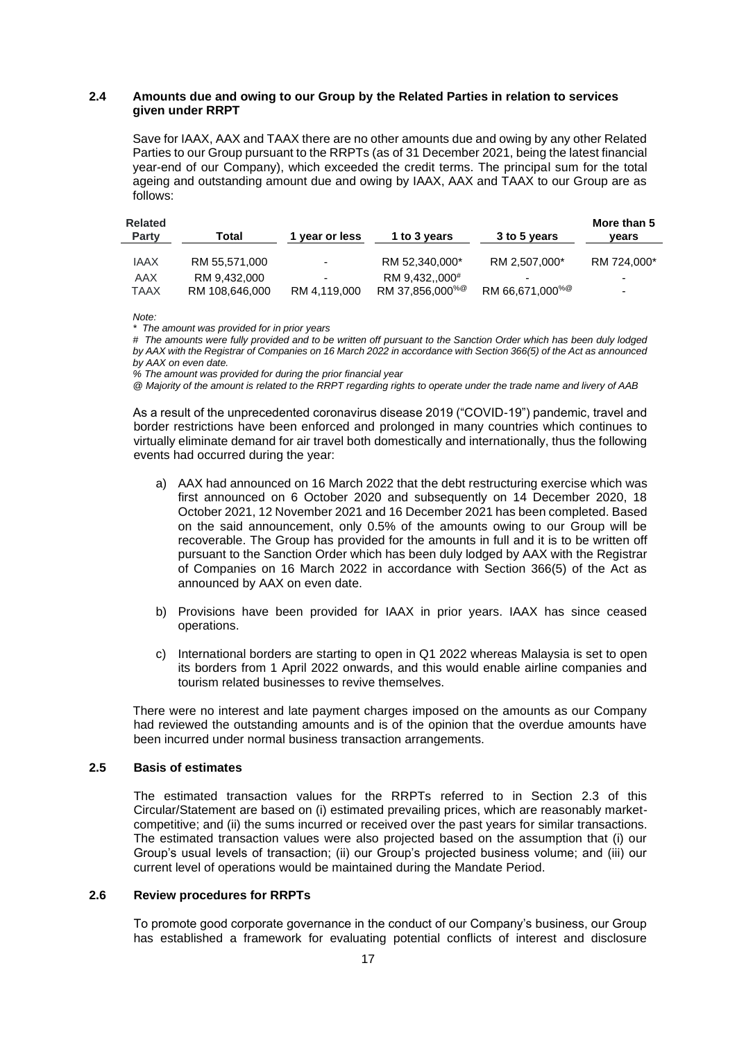#### **2.4 Amounts due and owing to our Group by the Related Parties in relation to services given under RRPT**

Save for IAAX, AAX and TAAX there are no other amounts due and owing by any other Related Parties to our Group pursuant to the RRPTs (as of 31 December 2021, being the latest financial year-end of our Company), which exceeded the credit terms. The principal sum for the total ageing and outstanding amount due and owing by IAAX, AAX and TAAX to our Group are as follows:

| <b>Related</b><br>Party | Total          | 1 year or less | 1 to 3 years                | 3 to 5 years                | More than 5<br>vears     |
|-------------------------|----------------|----------------|-----------------------------|-----------------------------|--------------------------|
| <b>JAAX</b>             | RM 55.571.000  | -              | RM 52.340.000*              | RM 2.507.000*               | RM 724.000*              |
| AAX                     | RM 9.432,000   | -              | RM 9.432000 <sup>#</sup>    |                             | -                        |
| TAAX                    | RM 108,646,000 | RM 4,119,000   | RM 37,856,000 <sup>%@</sup> | RM 66,671,000 <sup>%@</sup> | $\overline{\phantom{0}}$ |

*Note:*

*\* The amount was provided for in prior years*

*# The amounts were fully provided and to be written off pursuant to the Sanction Order which has been duly lodged by AAX with the Registrar of Companies on 16 March 2022 in accordance with Section 366(5) of the Act as announced by AAX on even date.*

*% The amount was provided for during the prior financial year*

*@ Majority of the amount is related to the RRPT regarding rights to operate under the trade name and livery of AAB*

As a result of the unprecedented coronavirus disease 2019 ("COVID-19") pandemic, travel and border restrictions have been enforced and prolonged in many countries which continues to virtually eliminate demand for air travel both domestically and internationally, thus the following events had occurred during the year:

- a) AAX had announced on 16 March 2022 that the debt restructuring exercise which was first announced on 6 October 2020 and subsequently on 14 December 2020, 18 October 2021, 12 November 2021 and 16 December 2021 has been completed. Based on the said announcement, only 0.5% of the amounts owing to our Group will be recoverable. The Group has provided for the amounts in full and it is to be written off pursuant to the Sanction Order which has been duly lodged by AAX with the Registrar of Companies on 16 March 2022 in accordance with Section 366(5) of the Act as announced by AAX on even date.
- b) Provisions have been provided for IAAX in prior years. IAAX has since ceased operations.
- c) International borders are starting to open in Q1 2022 whereas Malaysia is set to open its borders from 1 April 2022 onwards, and this would enable airline companies and tourism related businesses to revive themselves.

There were no interest and late payment charges imposed on the amounts as our Company had reviewed the outstanding amounts and is of the opinion that the overdue amounts have been incurred under normal business transaction arrangements.

# **2.5 Basis of estimates**

The estimated transaction values for the RRPTs referred to in Section 2.3 of this Circular/Statement are based on (i) estimated prevailing prices, which are reasonably marketcompetitive; and (ii) the sums incurred or received over the past years for similar transactions. The estimated transaction values were also projected based on the assumption that (i) our Group's usual levels of transaction; (ii) our Group's projected business volume; and (iii) our current level of operations would be maintained during the Mandate Period.

#### **2.6 Review procedures for RRPTs**

To promote good corporate governance in the conduct of our Company's business, our Group has established a framework for evaluating potential conflicts of interest and disclosure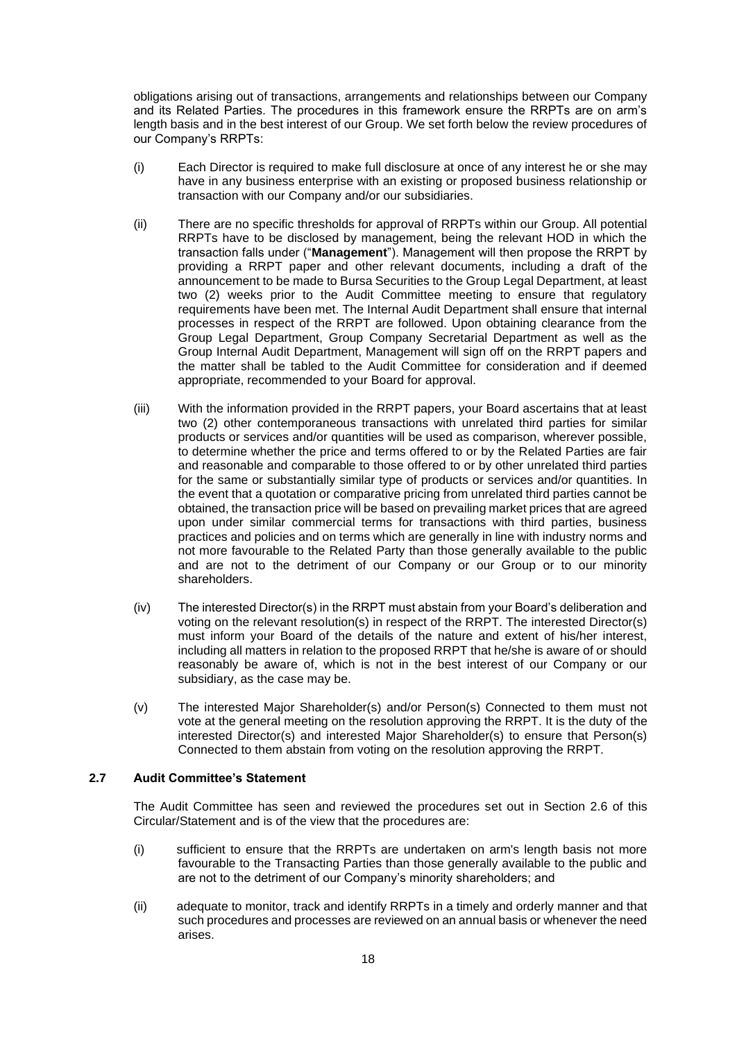obligations arising out of transactions, arrangements and relationships between our Company and its Related Parties. The procedures in this framework ensure the RRPTs are on arm's length basis and in the best interest of our Group. We set forth below the review procedures of our Company's RRPTs:

- (i) Each Director is required to make full disclosure at once of any interest he or she may have in any business enterprise with an existing or proposed business relationship or transaction with our Company and/or our subsidiaries.
- (ii) There are no specific thresholds for approval of RRPTs within our Group. All potential RRPTs have to be disclosed by management, being the relevant HOD in which the transaction falls under ("**Management**"). Management will then propose the RRPT by providing a RRPT paper and other relevant documents, including a draft of the announcement to be made to Bursa Securities to the Group Legal Department, at least two (2) weeks prior to the Audit Committee meeting to ensure that regulatory requirements have been met. The Internal Audit Department shall ensure that internal processes in respect of the RRPT are followed. Upon obtaining clearance from the Group Legal Department, Group Company Secretarial Department as well as the Group Internal Audit Department, Management will sign off on the RRPT papers and the matter shall be tabled to the Audit Committee for consideration and if deemed appropriate, recommended to your Board for approval.
- (iii) With the information provided in the RRPT papers, your Board ascertains that at least two (2) other contemporaneous transactions with unrelated third parties for similar products or services and/or quantities will be used as comparison, wherever possible, to determine whether the price and terms offered to or by the Related Parties are fair and reasonable and comparable to those offered to or by other unrelated third parties for the same or substantially similar type of products or services and/or quantities. In the event that a quotation or comparative pricing from unrelated third parties cannot be obtained, the transaction price will be based on prevailing market prices that are agreed upon under similar commercial terms for transactions with third parties, business practices and policies and on terms which are generally in line with industry norms and not more favourable to the Related Party than those generally available to the public and are not to the detriment of our Company or our Group or to our minority shareholders.
- (iv) The interested Director(s) in the RRPT must abstain from your Board's deliberation and voting on the relevant resolution(s) in respect of the RRPT. The interested Director(s) must inform your Board of the details of the nature and extent of his/her interest, including all matters in relation to the proposed RRPT that he/she is aware of or should reasonably be aware of, which is not in the best interest of our Company or our subsidiary, as the case may be.
- (v) The interested Major Shareholder(s) and/or Person(s) Connected to them must not vote at the general meeting on the resolution approving the RRPT. It is the duty of the interested Director(s) and interested Major Shareholder(s) to ensure that Person(s) Connected to them abstain from voting on the resolution approving the RRPT.

# **2.7 Audit Committee's Statement**

The Audit Committee has seen and reviewed the procedures set out in Section 2.6 of this Circular/Statement and is of the view that the procedures are:

- (i) sufficient to ensure that the RRPTs are undertaken on arm's length basis not more favourable to the Transacting Parties than those generally available to the public and are not to the detriment of our Company's minority shareholders; and
- (ii) adequate to monitor, track and identify RRPTs in a timely and orderly manner and that such procedures and processes are reviewed on an annual basis or whenever the need arises.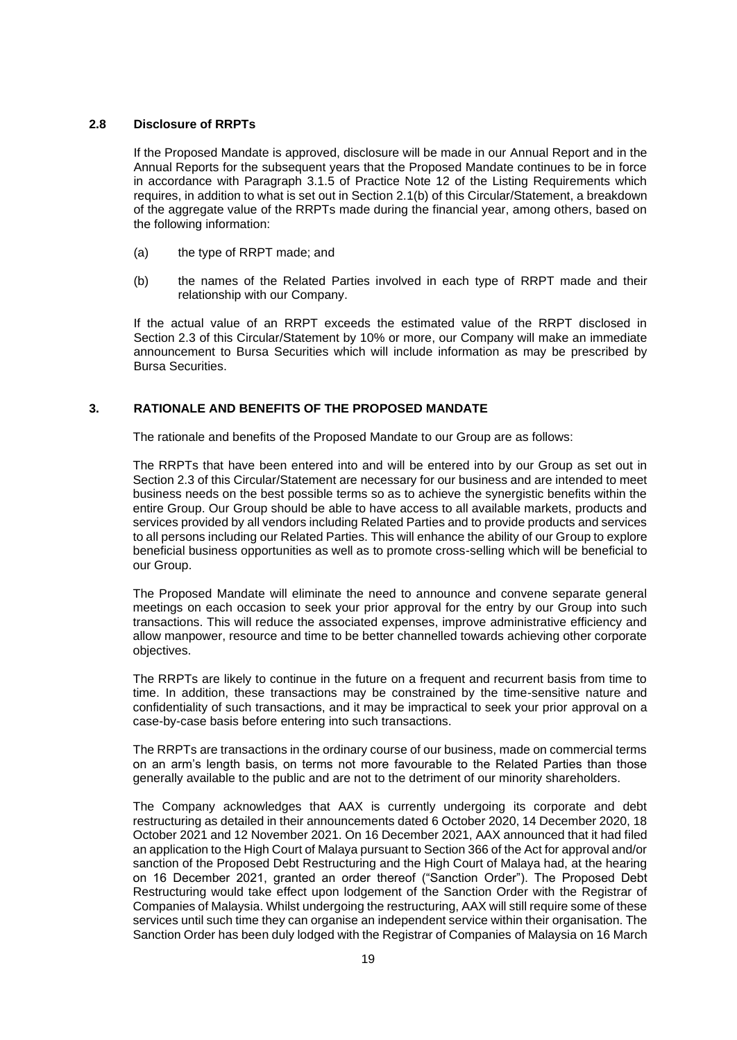# **2.8 Disclosure of RRPTs**

If the Proposed Mandate is approved, disclosure will be made in our Annual Report and in the Annual Reports for the subsequent years that the Proposed Mandate continues to be in force in accordance with Paragraph 3.1.5 of Practice Note 12 of the Listing Requirements which requires, in addition to what is set out in Section 2.1(b) of this Circular/Statement, a breakdown of the aggregate value of the RRPTs made during the financial year, among others, based on the following information:

- (a) the type of RRPT made; and
- (b) the names of the Related Parties involved in each type of RRPT made and their relationship with our Company.

If the actual value of an RRPT exceeds the estimated value of the RRPT disclosed in Section 2.3 of this Circular/Statement by 10% or more, our Company will make an immediate announcement to Bursa Securities which will include information as may be prescribed by Bursa Securities.

# <span id="page-24-0"></span>**3. RATIONALE AND BENEFITS OF THE PROPOSED MANDATE**

The rationale and benefits of the Proposed Mandate to our Group are as follows:

The RRPTs that have been entered into and will be entered into by our Group as set out in Section 2.3 of this Circular/Statement are necessary for our business and are intended to meet business needs on the best possible terms so as to achieve the synergistic benefits within the entire Group. Our Group should be able to have access to all available markets, products and services provided by all vendors including Related Parties and to provide products and services to all persons including our Related Parties. This will enhance the ability of our Group to explore beneficial business opportunities as well as to promote cross-selling which will be beneficial to our Group.

The Proposed Mandate will eliminate the need to announce and convene separate general meetings on each occasion to seek your prior approval for the entry by our Group into such transactions. This will reduce the associated expenses, improve administrative efficiency and allow manpower, resource and time to be better channelled towards achieving other corporate objectives.

The RRPTs are likely to continue in the future on a frequent and recurrent basis from time to time. In addition, these transactions may be constrained by the time-sensitive nature and confidentiality of such transactions, and it may be impractical to seek your prior approval on a case-by-case basis before entering into such transactions.

The RRPTs are transactions in the ordinary course of our business, made on commercial terms on an arm's length basis, on terms not more favourable to the Related Parties than those generally available to the public and are not to the detriment of our minority shareholders.

The Company acknowledges that AAX is currently undergoing its corporate and debt restructuring as detailed in their announcements dated 6 October 2020, 14 December 2020, 18 October 2021 and 12 November 2021. On 16 December 2021, AAX announced that it had filed an application to the High Court of Malaya pursuant to Section 366 of the Act for approval and/or sanction of the Proposed Debt Restructuring and the High Court of Malaya had, at the hearing on 16 December 2021, granted an order thereof ("Sanction Order"). The Proposed Debt Restructuring would take effect upon lodgement of the Sanction Order with the Registrar of Companies of Malaysia. Whilst undergoing the restructuring, AAX will still require some of these services until such time they can organise an independent service within their organisation. The Sanction Order has been duly lodged with the Registrar of Companies of Malaysia on 16 March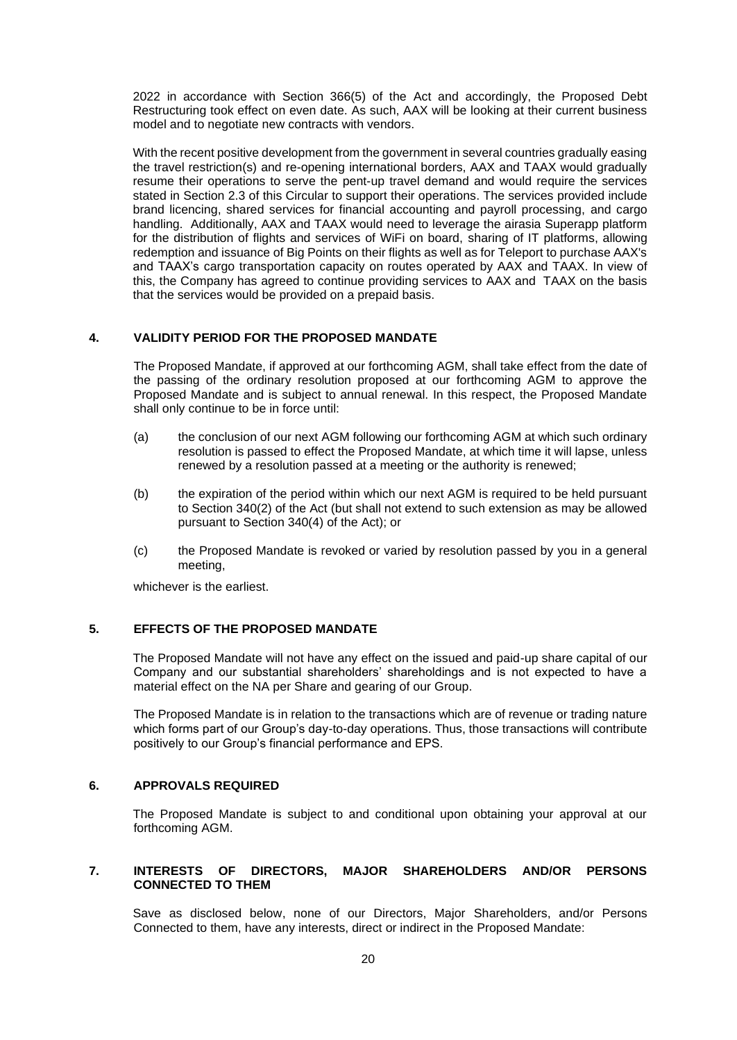2022 in accordance with Section 366(5) of the Act and accordingly, the Proposed Debt Restructuring took effect on even date. As such, AAX will be looking at their current business model and to negotiate new contracts with vendors.

With the recent positive development from the government in several countries gradually easing the travel restriction(s) and re-opening international borders, AAX and TAAX would gradually resume their operations to serve the pent-up travel demand and would require the services stated in Section 2.3 of this Circular to support their operations. The services provided include brand licencing, shared services for financial accounting and payroll processing, and cargo handling. Additionally, AAX and TAAX would need to leverage the airasia Superapp platform for the distribution of flights and services of WiFi on board, sharing of IT platforms, allowing redemption and issuance of Big Points on their flights as well as for Teleport to purchase AAX's and TAAX's cargo transportation capacity on routes operated by AAX and TAAX. In view of this, the Company has agreed to continue providing services to AAX and TAAX on the basis that the services would be provided on a prepaid basis.

# <span id="page-25-0"></span>**4. VALIDITY PERIOD FOR THE PROPOSED MANDATE**

The Proposed Mandate, if approved at our forthcoming AGM, shall take effect from the date of the passing of the ordinary resolution proposed at our forthcoming AGM to approve the Proposed Mandate and is subject to annual renewal. In this respect, the Proposed Mandate shall only continue to be in force until:

- (a) the conclusion of our next AGM following our forthcoming AGM at which such ordinary resolution is passed to effect the Proposed Mandate, at which time it will lapse, unless renewed by a resolution passed at a meeting or the authority is renewed;
- (b) the expiration of the period within which our next AGM is required to be held pursuant to Section 340(2) of the Act (but shall not extend to such extension as may be allowed pursuant to Section 340(4) of the Act); or
- (c) the Proposed Mandate is revoked or varied by resolution passed by you in a general meeting,

whichever is the earliest.

# <span id="page-25-1"></span>**5. EFFECTS OF THE PROPOSED MANDATE**

The Proposed Mandate will not have any effect on the issued and paid-up share capital of our Company and our substantial shareholders' shareholdings and is not expected to have a material effect on the NA per Share and gearing of our Group.

The Proposed Mandate is in relation to the transactions which are of revenue or trading nature which forms part of our Group's day-to-day operations. Thus, those transactions will contribute positively to our Group's financial performance and EPS.

# <span id="page-25-2"></span>**6. APPROVALS REQUIRED**

The Proposed Mandate is subject to and conditional upon obtaining your approval at our forthcoming AGM.

# <span id="page-25-3"></span>**7. INTERESTS OF DIRECTORS, MAJOR SHAREHOLDERS AND/OR PERSONS CONNECTED TO THEM**

Save as disclosed below, none of our Directors, Major Shareholders, and/or Persons Connected to them, have any interests, direct or indirect in the Proposed Mandate: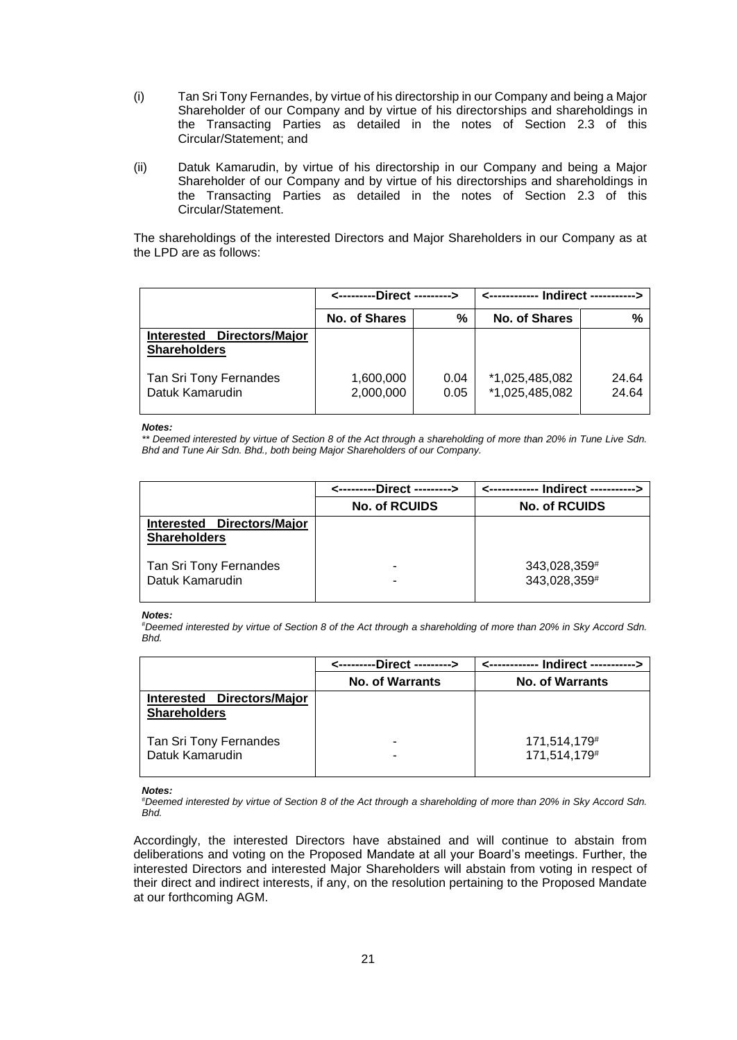- (i) Tan Sri Tony Fernandes, by virtue of his directorship in our Company and being a Major Shareholder of our Company and by virtue of his directorships and shareholdings in the Transacting Parties as detailed in the notes of Section 2.3 of this Circular/Statement; and
- (ii) Datuk Kamarudin, by virtue of his directorship in our Company and being a Major Shareholder of our Company and by virtue of his directorships and shareholdings in the Transacting Parties as detailed in the notes of Section 2.3 of this Circular/Statement.

The shareholdings of the interested Directors and Major Shareholders in our Company as at the LPD are as follows:

|                                                             | <---------Direct ---------> |              |                                  |                |  |
|-------------------------------------------------------------|-----------------------------|--------------|----------------------------------|----------------|--|
|                                                             | <b>No. of Shares</b>        | %            | <b>No. of Shares</b>             | %              |  |
| Directors/Major<br><b>Interested</b><br><b>Shareholders</b> |                             |              |                                  |                |  |
| Tan Sri Tony Fernandes<br>Datuk Kamarudin                   | 1,600,000<br>2,000,000      | 0.04<br>0.05 | *1,025,485,082<br>*1,025,485,082 | 24.64<br>24.64 |  |

#### *Notes:*

*\*\* Deemed interested by virtue of Section 8 of the Act through a shareholding of more than 20% in Tune Live Sdn. Bhd and Tune Air Sdn. Bhd., both being Major Shareholders of our Company.*

|                                                   | <---------Direct ---------> |                              |
|---------------------------------------------------|-----------------------------|------------------------------|
|                                                   | <b>No. of RCUIDS</b>        | <b>No. of RCUIDS</b>         |
| Interested Directors/Major<br><b>Shareholders</b> |                             |                              |
| Tan Sri Tony Fernandes<br>Datuk Kamarudin         | -<br>-                      | 343,028,359#<br>343,028,359# |

#### *Notes:*

#*Deemed interested by virtue of Section 8 of the Act through a shareholding of more than 20% in Sky Accord Sdn. Bhd.*

|                                                   | <---------Direct ---------> |                                          |
|---------------------------------------------------|-----------------------------|------------------------------------------|
|                                                   | <b>No. of Warrants</b>      | <b>No. of Warrants</b>                   |
| Interested Directors/Major<br><b>Shareholders</b> |                             |                                          |
| Tan Sri Tony Fernandes<br>Datuk Kamarudin         | -<br>-                      | 171,514,179 <sup>#</sup><br>171,514,179# |

#### *Notes:*

#*Deemed interested by virtue of Section 8 of the Act through a shareholding of more than 20% in Sky Accord Sdn. Bhd.*

Accordingly, the interested Directors have abstained and will continue to abstain from deliberations and voting on the Proposed Mandate at all your Board's meetings. Further, the interested Directors and interested Major Shareholders will abstain from voting in respect of their direct and indirect interests, if any, on the resolution pertaining to the Proposed Mandate at our forthcoming AGM.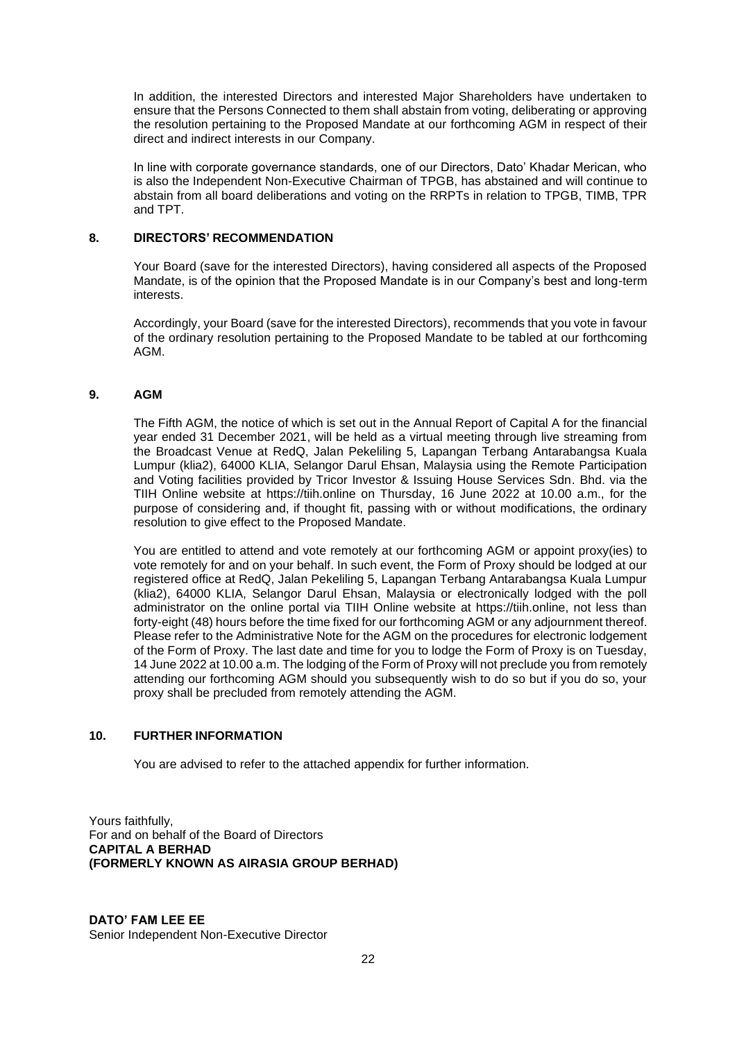In addition, the interested Directors and interested Major Shareholders have undertaken to ensure that the Persons Connected to them shall abstain from voting, deliberating or approving the resolution pertaining to the Proposed Mandate at our forthcoming AGM in respect of their direct and indirect interests in our Company.

In line with corporate governance standards, one of our Directors, Dato' Khadar Merican, who is also the Independent Non-Executive Chairman of TPGB, has abstained and will continue to abstain from all board deliberations and voting on the RRPTs in relation to TPGB, TIMB, TPR and TPT.

# <span id="page-27-0"></span>**8. DIRECTORS' RECOMMENDATION**

Your Board (save for the interested Directors), having considered all aspects of the Proposed Mandate, is of the opinion that the Proposed Mandate is in our Company's best and long-term interests.

Accordingly, your Board (save for the interested Directors), recommends that you vote in favour of the ordinary resolution pertaining to the Proposed Mandate to be tabled at our forthcoming AGM.

# <span id="page-27-1"></span>**9. AGM**

The Fifth AGM, the notice of which is set out in the Annual Report of Capital A for the financial year ended 31 December 2021, will be held as a virtual meeting through live streaming from the Broadcast Venue at RedQ, Jalan Pekeliling 5, Lapangan Terbang Antarabangsa Kuala Lumpur (klia2), 64000 KLIA, Selangor Darul Ehsan, Malaysia using the Remote Participation and Voting facilities provided by Tricor Investor & Issuing House Services Sdn. Bhd. via the TIIH Online website at https://tiih.online on Thursday, 16 June 2022 at 10.00 a.m., for the purpose of considering and, if thought fit, passing with or without modifications, the ordinary resolution to give effect to the Proposed Mandate.

You are entitled to attend and vote remotely at our forthcoming AGM or appoint proxy(ies) to vote remotely for and on your behalf. In such event, the Form of Proxy should be lodged at our registered office at RedQ, Jalan Pekeliling 5, Lapangan Terbang Antarabangsa Kuala Lumpur (klia2), 64000 KLIA, Selangor Darul Ehsan, Malaysia or electronically lodged with the poll administrator on the online portal via TIIH Online website at https://tiih.online, not less than forty-eight (48) hours before the time fixed for our forthcoming AGM or any adjournment thereof. Please refer to the Administrative Note for the AGM on the procedures for electronic lodgement of the Form of Proxy. The last date and time for you to lodge the Form of Proxy is on Tuesday, 14 June 2022 at 10.00 a.m. The lodging of the Form of Proxy will not preclude you from remotely attending our forthcoming AGM should you subsequently wish to do so but if you do so, your proxy shall be precluded from remotely attending the AGM.

# <span id="page-27-2"></span>**10. FURTHER INFORMATION**

You are advised to refer to the attached appendix for further information.

Yours faithfully, For and on behalf of the Board of Directors **CAPITAL A BERHAD (FORMERLY KNOWN AS AIRASIA GROUP BERHAD)**

# **DATO' FAM LEE EE**  Senior Independent Non-Executive Director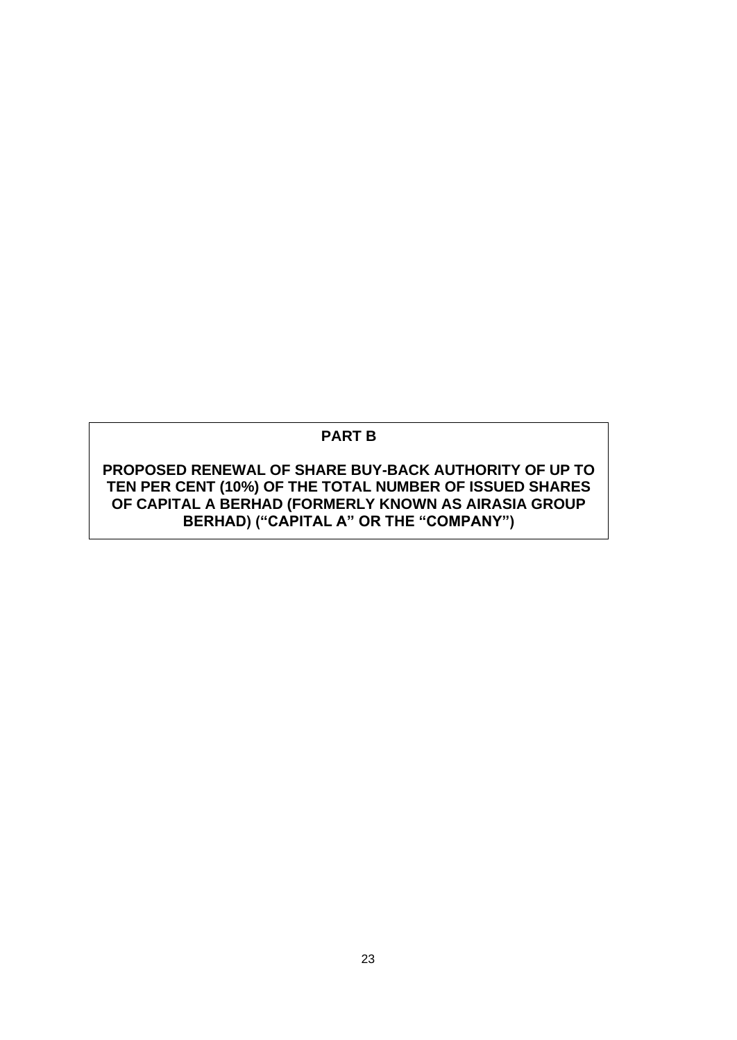# **PART B**

**PROPOSED RENEWAL OF SHARE BUY-BACK AUTHORITY OF UP TO TEN PER CENT (10%) OF THE TOTAL NUMBER OF ISSUED SHARES OF CAPITAL A BERHAD (FORMERLY KNOWN AS AIRASIA GROUP BERHAD) ("CAPITAL A" OR THE "COMPANY")**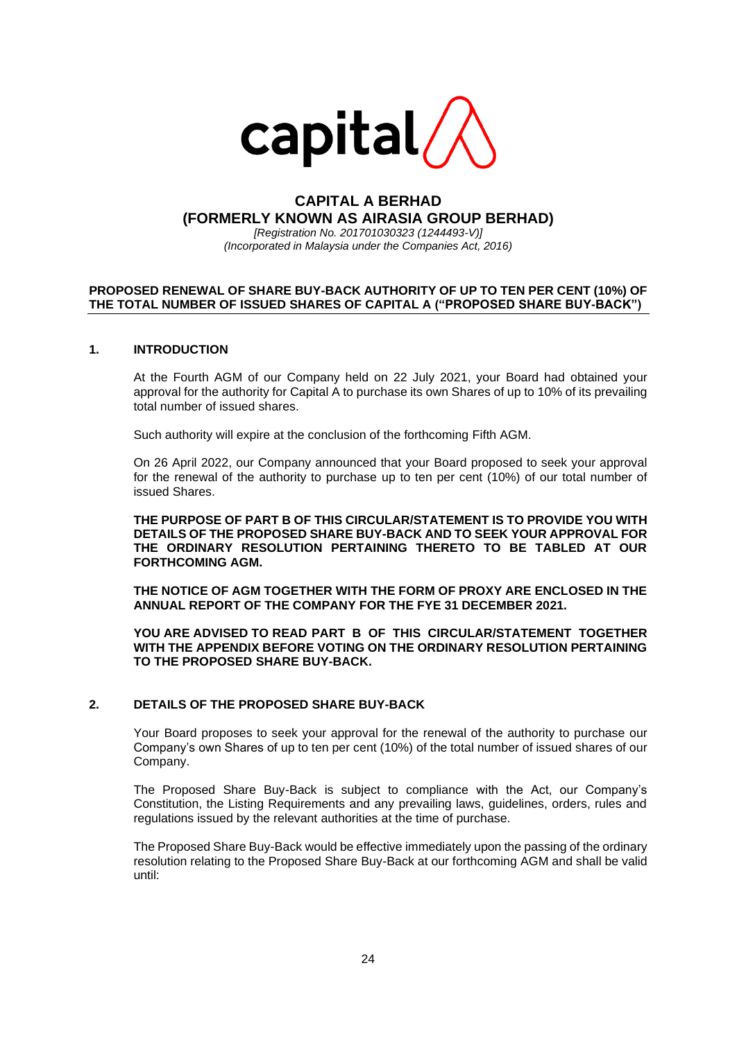

# **CAPITAL A BERHAD (FORMERLY KNOWN AS AIRASIA GROUP BERHAD)**

*[Registration No. 201701030323 (1244493-V)] (Incorporated in Malaysia under the Companies Act, 2016)*

## **PROPOSED RENEWAL OF SHARE BUY-BACK AUTHORITY OF UP TO TEN PER CENT (10%) OF THE TOTAL NUMBER OF ISSUED SHARES OF CAPITAL A ("PROPOSED SHARE BUY-BACK")**

#### **1. INTRODUCTION**

At the Fourth AGM of our Company held on 22 July 2021, your Board had obtained your approval for the authority for Capital A to purchase its own Shares of up to 10% of its prevailing total number of issued shares.

Such authority will expire at the conclusion of the forthcoming Fifth AGM.

On 26 April 2022, our Company announced that your Board proposed to seek your approval for the renewal of the authority to purchase up to ten per cent (10%) of our total number of issued Shares.

**THE PURPOSE OF PART B OF THIS CIRCULAR/STATEMENT IS TO PROVIDE YOU WITH DETAILS OF THE PROPOSED SHARE BUY-BACK AND TO SEEK YOUR APPROVAL FOR THE ORDINARY RESOLUTION PERTAINING THERETO TO BE TABLED AT OUR FORTHCOMING AGM.** 

**THE NOTICE OF AGM TOGETHER WITH THE FORM OF PROXY ARE ENCLOSED IN THE ANNUAL REPORT OF THE COMPANY FOR THE FYE 31 DECEMBER 2021.**

**YOU ARE ADVISED TO READ PART B OF THIS CIRCULAR/STATEMENT TOGETHER WITH THE APPENDIX BEFORE VOTING ON THE ORDINARY RESOLUTION PERTAINING TO THE PROPOSED SHARE BUY-BACK.**

#### **2. DETAILS OF THE PROPOSED SHARE BUY-BACK**

Your Board proposes to seek your approval for the renewal of the authority to purchase our Company's own Shares of up to ten per cent (10%) of the total number of issued shares of our Company.

The Proposed Share Buy-Back is subject to compliance with the Act, our Company's Constitution, the Listing Requirements and any prevailing laws, guidelines, orders, rules and regulations issued by the relevant authorities at the time of purchase.

The Proposed Share Buy-Back would be effective immediately upon the passing of the ordinary resolution relating to the Proposed Share Buy-Back at our forthcoming AGM and shall be valid until: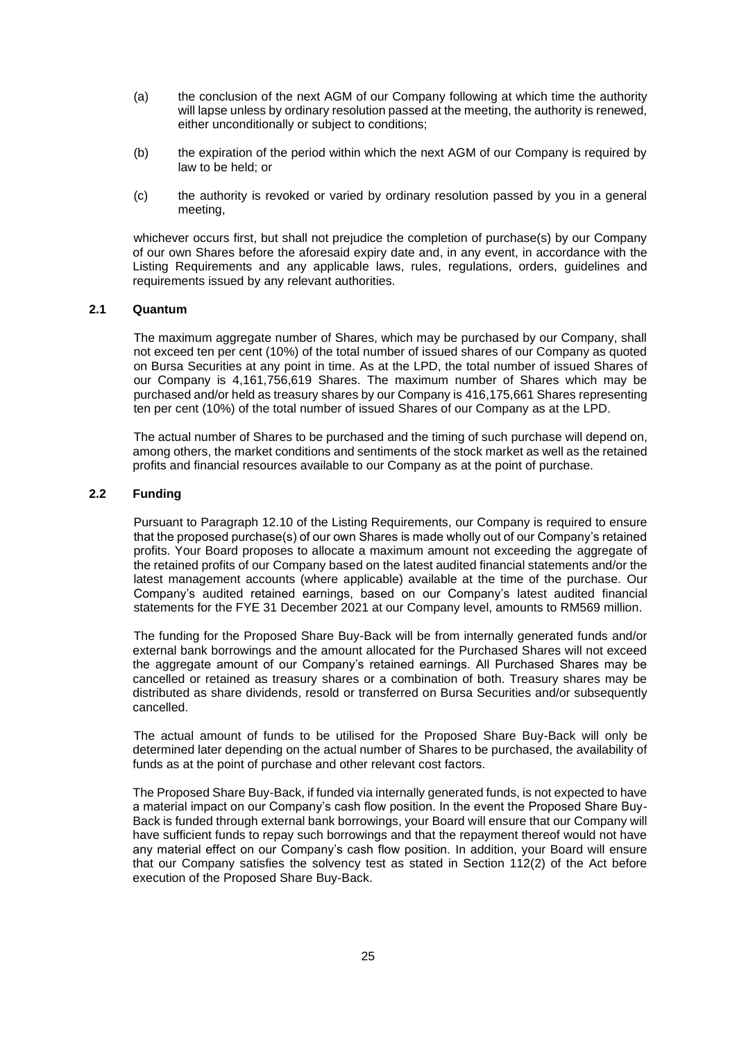- (a) the conclusion of the next AGM of our Company following at which time the authority will lapse unless by ordinary resolution passed at the meeting, the authority is renewed, either unconditionally or subject to conditions;
- (b) the expiration of the period within which the next AGM of our Company is required by law to be held; or
- (c) the authority is revoked or varied by ordinary resolution passed by you in a general meeting,

whichever occurs first, but shall not prejudice the completion of purchase(s) by our Company of our own Shares before the aforesaid expiry date and, in any event, in accordance with the Listing Requirements and any applicable laws, rules, regulations, orders, guidelines and requirements issued by any relevant authorities.

#### **2.1 Quantum**

The maximum aggregate number of Shares, which may be purchased by our Company, shall not exceed ten per cent (10%) of the total number of issued shares of our Company as quoted on Bursa Securities at any point in time. As at the LPD, the total number of issued Shares of our Company is 4,161,756,619 Shares. The maximum number of Shares which may be purchased and/or held as treasury shares by our Company is 416,175,661 Shares representing ten per cent (10%) of the total number of issued Shares of our Company as at the LPD.

The actual number of Shares to be purchased and the timing of such purchase will depend on, among others, the market conditions and sentiments of the stock market as well as the retained profits and financial resources available to our Company as at the point of purchase.

#### **2.2 Funding**

Pursuant to Paragraph 12.10 of the Listing Requirements, our Company is required to ensure that the proposed purchase(s) of our own Shares is made wholly out of our Company's retained profits. Your Board proposes to allocate a maximum amount not exceeding the aggregate of the retained profits of our Company based on the latest audited financial statements and/or the latest management accounts (where applicable) available at the time of the purchase. Our Company's audited retained earnings, based on our Company's latest audited financial statements for the FYE 31 December 2021 at our Company level, amounts to RM569 million.

The funding for the Proposed Share Buy-Back will be from internally generated funds and/or external bank borrowings and the amount allocated for the Purchased Shares will not exceed the aggregate amount of our Company's retained earnings. All Purchased Shares may be cancelled or retained as treasury shares or a combination of both. Treasury shares may be distributed as share dividends, resold or transferred on Bursa Securities and/or subsequently cancelled.

The actual amount of funds to be utilised for the Proposed Share Buy-Back will only be determined later depending on the actual number of Shares to be purchased, the availability of funds as at the point of purchase and other relevant cost factors.

The Proposed Share Buy-Back, if funded via internally generated funds, is not expected to have a material impact on our Company's cash flow position. In the event the Proposed Share Buy-Back is funded through external bank borrowings, your Board will ensure that our Company will have sufficient funds to repay such borrowings and that the repayment thereof would not have any material effect on our Company's cash flow position. In addition, your Board will ensure that our Company satisfies the solvency test as stated in Section 112(2) of the Act before execution of the Proposed Share Buy-Back.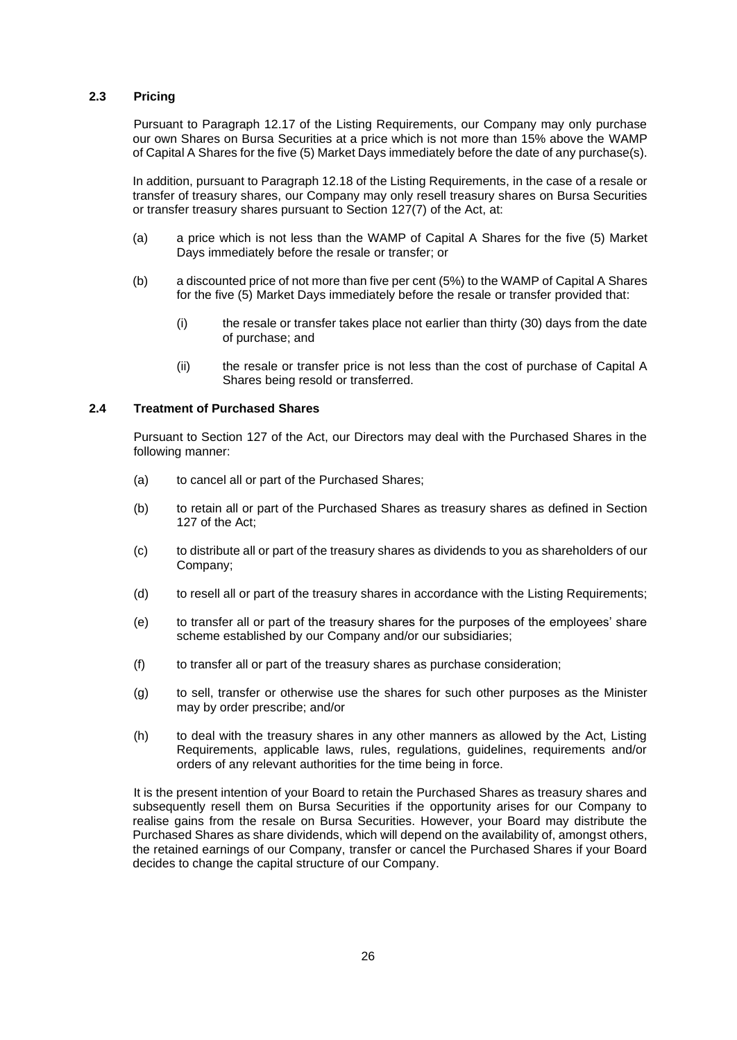# **2.3 Pricing**

Pursuant to Paragraph 12.17 of the Listing Requirements, our Company may only purchase our own Shares on Bursa Securities at a price which is not more than 15% above the WAMP of Capital A Shares for the five (5) Market Days immediately before the date of any purchase(s).

In addition, pursuant to Paragraph 12.18 of the Listing Requirements, in the case of a resale or transfer of treasury shares, our Company may only resell treasury shares on Bursa Securities or transfer treasury shares pursuant to Section 127(7) of the Act, at:

- (a) a price which is not less than the WAMP of Capital A Shares for the five (5) Market Days immediately before the resale or transfer; or
- (b) a discounted price of not more than five per cent (5%) to the WAMP of Capital A Shares for the five (5) Market Days immediately before the resale or transfer provided that:
	- (i) the resale or transfer takes place not earlier than thirty (30) days from the date of purchase; and
	- (ii) the resale or transfer price is not less than the cost of purchase of Capital A Shares being resold or transferred.

#### **2.4 Treatment of Purchased Shares**

Pursuant to Section 127 of the Act, our Directors may deal with the Purchased Shares in the following manner:

- (a) to cancel all or part of the Purchased Shares;
- (b) to retain all or part of the Purchased Shares as treasury shares as defined in Section 127 of the Act;
- (c) to distribute all or part of the treasury shares as dividends to you as shareholders of our Company;
- (d) to resell all or part of the treasury shares in accordance with the Listing Requirements;
- (e) to transfer all or part of the treasury shares for the purposes of the employees' share scheme established by our Company and/or our subsidiaries;
- (f) to transfer all or part of the treasury shares as purchase consideration;
- (g) to sell, transfer or otherwise use the shares for such other purposes as the Minister may by order prescribe; and/or
- (h) to deal with the treasury shares in any other manners as allowed by the Act, Listing Requirements, applicable laws, rules, regulations, guidelines, requirements and/or orders of any relevant authorities for the time being in force.

It is the present intention of your Board to retain the Purchased Shares as treasury shares and subsequently resell them on Bursa Securities if the opportunity arises for our Company to realise gains from the resale on Bursa Securities. However, your Board may distribute the Purchased Shares as share dividends, which will depend on the availability of, amongst others, the retained earnings of our Company, transfer or cancel the Purchased Shares if your Board decides to change the capital structure of our Company.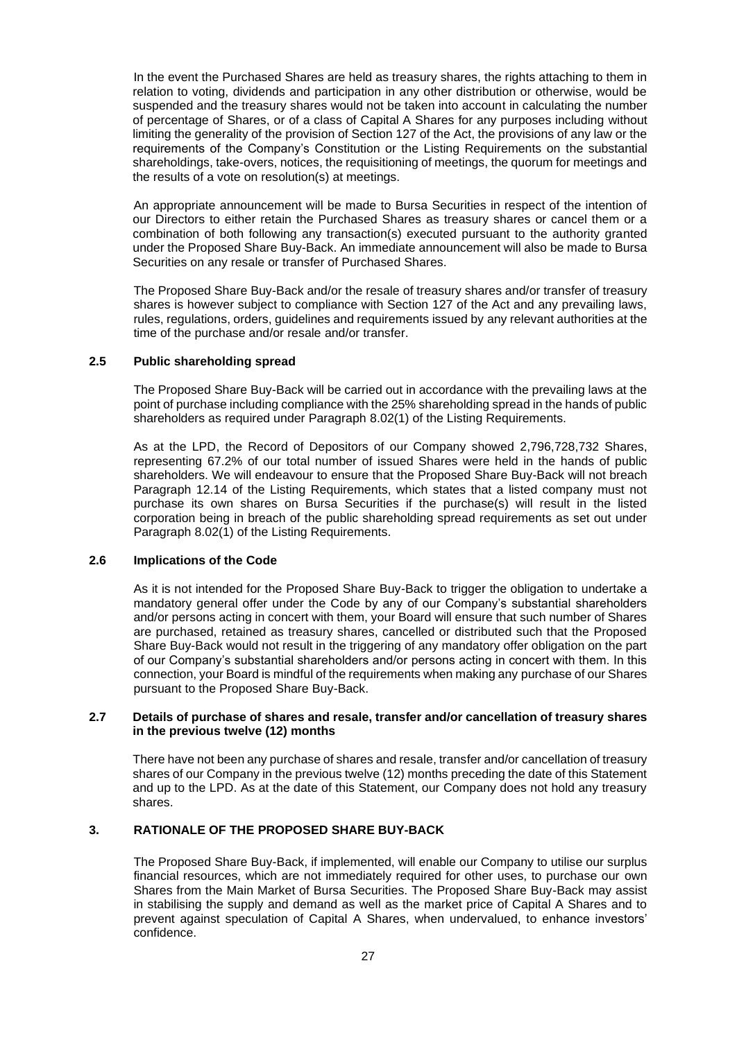In the event the Purchased Shares are held as treasury shares, the rights attaching to them in relation to voting, dividends and participation in any other distribution or otherwise, would be suspended and the treasury shares would not be taken into account in calculating the number of percentage of Shares, or of a class of Capital A Shares for any purposes including without limiting the generality of the provision of Section 127 of the Act, the provisions of any law or the requirements of the Company's Constitution or the Listing Requirements on the substantial shareholdings, take-overs, notices, the requisitioning of meetings, the quorum for meetings and the results of a vote on resolution(s) at meetings.

An appropriate announcement will be made to Bursa Securities in respect of the intention of our Directors to either retain the Purchased Shares as treasury shares or cancel them or a combination of both following any transaction(s) executed pursuant to the authority granted under the Proposed Share Buy-Back. An immediate announcement will also be made to Bursa Securities on any resale or transfer of Purchased Shares.

The Proposed Share Buy-Back and/or the resale of treasury shares and/or transfer of treasury shares is however subject to compliance with Section 127 of the Act and any prevailing laws, rules, regulations, orders, guidelines and requirements issued by any relevant authorities at the time of the purchase and/or resale and/or transfer.

#### **2.5 Public shareholding spread**

The Proposed Share Buy-Back will be carried out in accordance with the prevailing laws at the point of purchase including compliance with the 25% shareholding spread in the hands of public shareholders as required under Paragraph 8.02(1) of the Listing Requirements.

As at the LPD, the Record of Depositors of our Company showed 2,796,728,732 Shares, representing 67.2% of our total number of issued Shares were held in the hands of public shareholders. We will endeavour to ensure that the Proposed Share Buy-Back will not breach Paragraph 12.14 of the Listing Requirements, which states that a listed company must not purchase its own shares on Bursa Securities if the purchase(s) will result in the listed corporation being in breach of the public shareholding spread requirements as set out under Paragraph 8.02(1) of the Listing Requirements.

## **2.6 Implications of the Code**

As it is not intended for the Proposed Share Buy-Back to trigger the obligation to undertake a mandatory general offer under the Code by any of our Company's substantial shareholders and/or persons acting in concert with them, your Board will ensure that such number of Shares are purchased, retained as treasury shares, cancelled or distributed such that the Proposed Share Buy-Back would not result in the triggering of any mandatory offer obligation on the part of our Company's substantial shareholders and/or persons acting in concert with them. In this connection, your Board is mindful of the requirements when making any purchase of our Shares pursuant to the Proposed Share Buy-Back.

#### **2.7 Details of purchase of shares and resale, transfer and/or cancellation of treasury shares in the previous twelve (12) months**

There have not been any purchase of shares and resale, transfer and/or cancellation of treasury shares of our Company in the previous twelve (12) months preceding the date of this Statement and up to the LPD. As at the date of this Statement, our Company does not hold any treasury shares.

# **3. RATIONALE OF THE PROPOSED SHARE BUY-BACK**

The Proposed Share Buy-Back, if implemented, will enable our Company to utilise our surplus financial resources, which are not immediately required for other uses, to purchase our own Shares from the Main Market of Bursa Securities. The Proposed Share Buy-Back may assist in stabilising the supply and demand as well as the market price of Capital A Shares and to prevent against speculation of Capital A Shares, when undervalued, to enhance investors' confidence.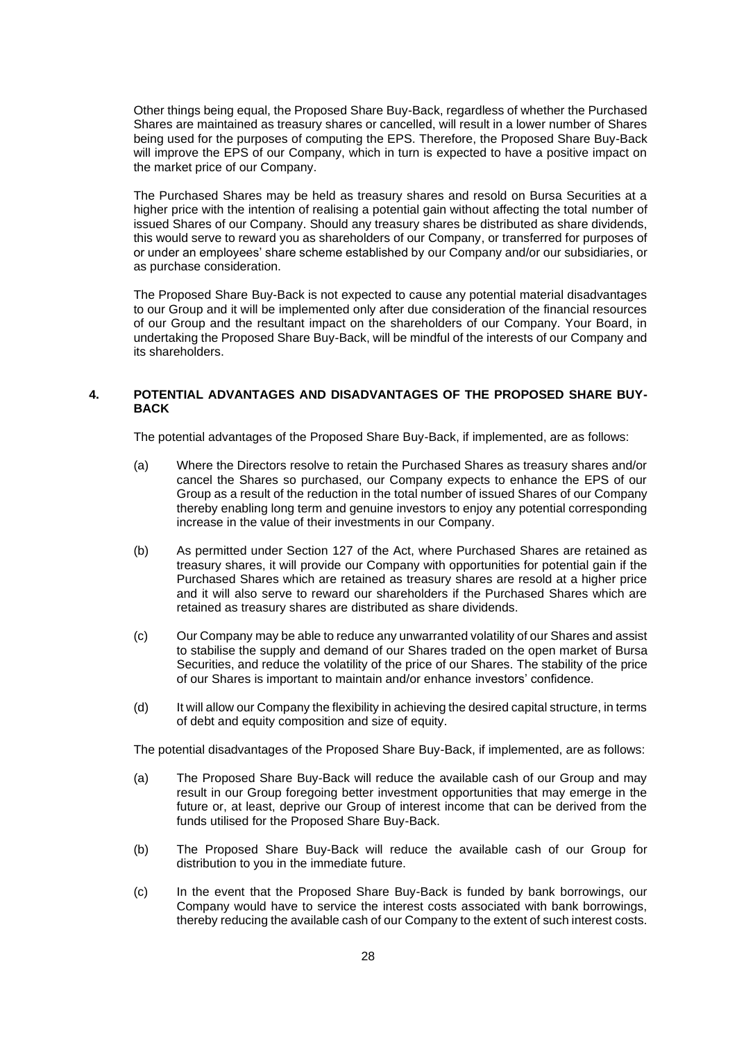Other things being equal, the Proposed Share Buy-Back, regardless of whether the Purchased Shares are maintained as treasury shares or cancelled, will result in a lower number of Shares being used for the purposes of computing the EPS. Therefore, the Proposed Share Buy-Back will improve the EPS of our Company, which in turn is expected to have a positive impact on the market price of our Company.

The Purchased Shares may be held as treasury shares and resold on Bursa Securities at a higher price with the intention of realising a potential gain without affecting the total number of issued Shares of our Company. Should any treasury shares be distributed as share dividends, this would serve to reward you as shareholders of our Company, or transferred for purposes of or under an employees' share scheme established by our Company and/or our subsidiaries, or as purchase consideration.

The Proposed Share Buy-Back is not expected to cause any potential material disadvantages to our Group and it will be implemented only after due consideration of the financial resources of our Group and the resultant impact on the shareholders of our Company. Your Board, in undertaking the Proposed Share Buy-Back, will be mindful of the interests of our Company and its shareholders.

#### **4. POTENTIAL ADVANTAGES AND DISADVANTAGES OF THE PROPOSED SHARE BUY-BACK**

The potential advantages of the Proposed Share Buy-Back, if implemented, are as follows:

- (a) Where the Directors resolve to retain the Purchased Shares as treasury shares and/or cancel the Shares so purchased, our Company expects to enhance the EPS of our Group as a result of the reduction in the total number of issued Shares of our Company thereby enabling long term and genuine investors to enjoy any potential corresponding increase in the value of their investments in our Company.
- (b) As permitted under Section 127 of the Act, where Purchased Shares are retained as treasury shares, it will provide our Company with opportunities for potential gain if the Purchased Shares which are retained as treasury shares are resold at a higher price and it will also serve to reward our shareholders if the Purchased Shares which are retained as treasury shares are distributed as share dividends.
- (c) Our Company may be able to reduce any unwarranted volatility of our Shares and assist to stabilise the supply and demand of our Shares traded on the open market of Bursa Securities, and reduce the volatility of the price of our Shares. The stability of the price of our Shares is important to maintain and/or enhance investors' confidence.
- (d) It will allow our Company the flexibility in achieving the desired capital structure, in terms of debt and equity composition and size of equity.

The potential disadvantages of the Proposed Share Buy-Back, if implemented, are as follows:

- (a) The Proposed Share Buy-Back will reduce the available cash of our Group and may result in our Group foregoing better investment opportunities that may emerge in the future or, at least, deprive our Group of interest income that can be derived from the funds utilised for the Proposed Share Buy-Back.
- (b) The Proposed Share Buy-Back will reduce the available cash of our Group for distribution to you in the immediate future.
- (c) In the event that the Proposed Share Buy-Back is funded by bank borrowings, our Company would have to service the interest costs associated with bank borrowings, thereby reducing the available cash of our Company to the extent of such interest costs.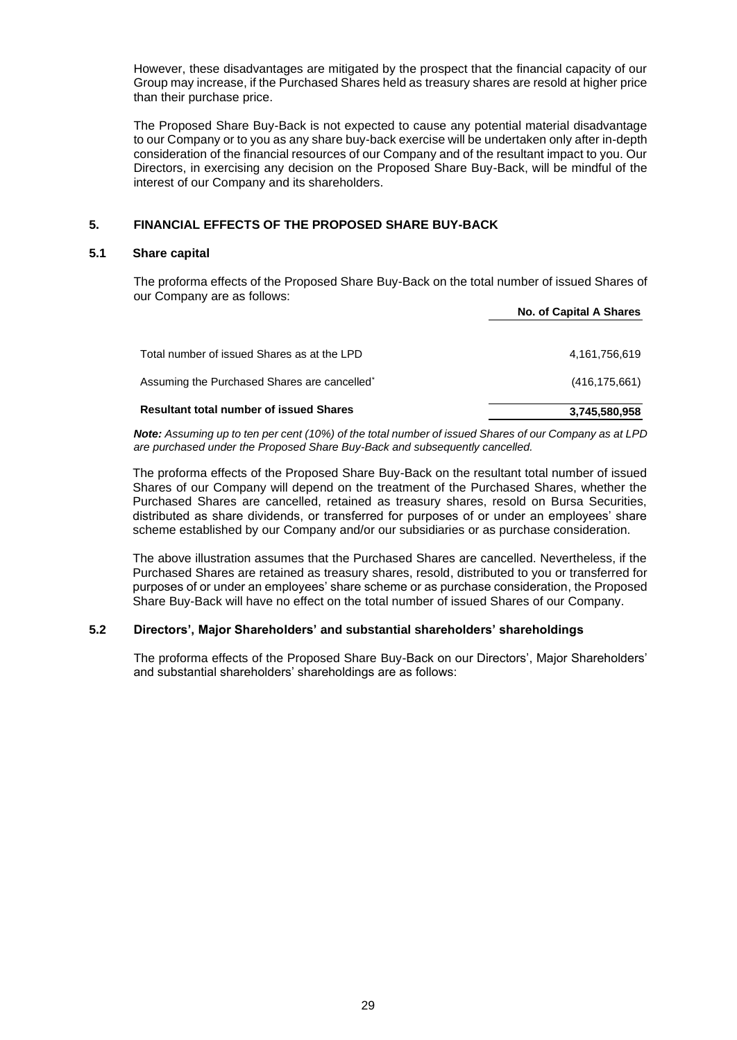However, these disadvantages are mitigated by the prospect that the financial capacity of our Group may increase, if the Purchased Shares held as treasury shares are resold at higher price than their purchase price.

The Proposed Share Buy-Back is not expected to cause any potential material disadvantage to our Company or to you as any share buy-back exercise will be undertaken only after in-depth consideration of the financial resources of our Company and of the resultant impact to you. Our Directors, in exercising any decision on the Proposed Share Buy-Back, will be mindful of the interest of our Company and its shareholders.

# **5. FINANCIAL EFFECTS OF THE PROPOSED SHARE BUY-BACK**

#### **5.1 Share capital**

The proforma effects of the Proposed Share Buy-Back on the total number of issued Shares of our Company are as follows: **No. of Capital A Shares** 

|                                                | No. of Capital A Shares |
|------------------------------------------------|-------------------------|
|                                                |                         |
| Total number of issued Shares as at the LPD    | 4,161,756,619           |
| Assuming the Purchased Shares are cancelled*   | (416, 175, 661)         |
| <b>Resultant total number of issued Shares</b> | 3,745,580,958           |

*Note: Assuming up to ten per cent (10%) of the total number of issued Shares of our Company as at LPD are purchased under the Proposed Share Buy-Back and subsequently cancelled.* 

The proforma effects of the Proposed Share Buy-Back on the resultant total number of issued Shares of our Company will depend on the treatment of the Purchased Shares, whether the Purchased Shares are cancelled, retained as treasury shares, resold on Bursa Securities, distributed as share dividends, or transferred for purposes of or under an employees' share scheme established by our Company and/or our subsidiaries or as purchase consideration.

The above illustration assumes that the Purchased Shares are cancelled. Nevertheless, if the Purchased Shares are retained as treasury shares, resold, distributed to you or transferred for purposes of or under an employees' share scheme or as purchase consideration, the Proposed Share Buy-Back will have no effect on the total number of issued Shares of our Company.

# **5.2 Directors', Major Shareholders' and substantial shareholders' shareholdings**

The proforma effects of the Proposed Share Buy-Back on our Directors', Major Shareholders' and substantial shareholders' shareholdings are as follows: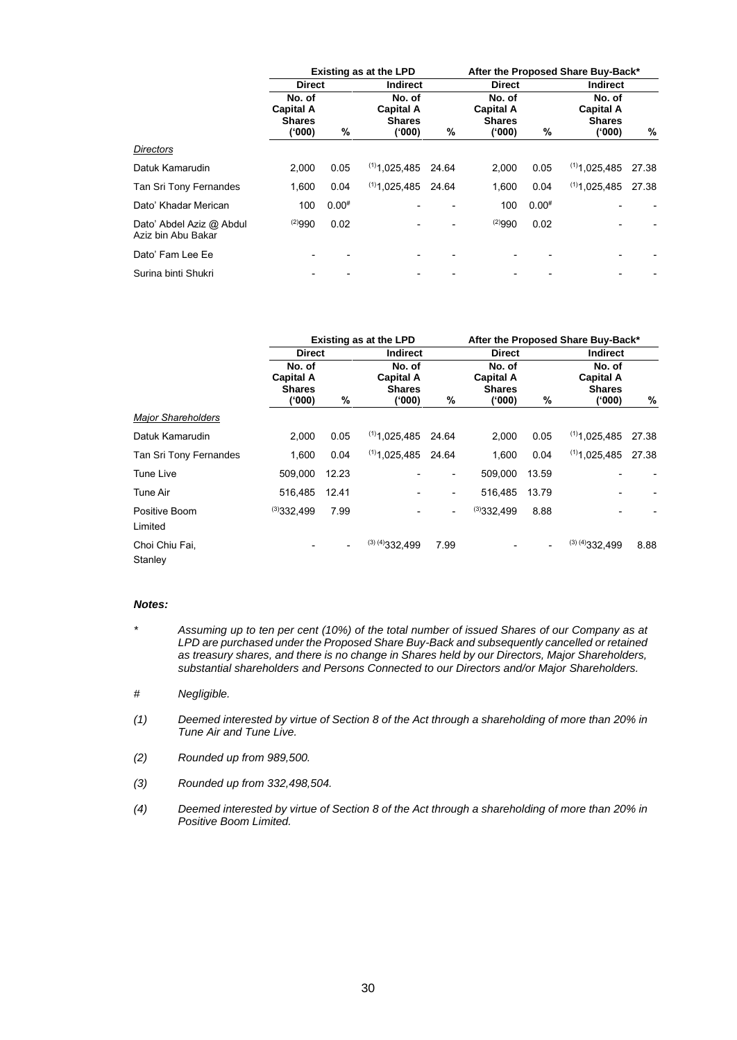|                                                | <b>Existing as at the LPD</b>                         |            |                                                       |       | After the Proposed Share Buy-Back*                   |            |                                                       |       |
|------------------------------------------------|-------------------------------------------------------|------------|-------------------------------------------------------|-------|------------------------------------------------------|------------|-------------------------------------------------------|-------|
|                                                | <b>Direct</b>                                         |            | <b>Indirect</b>                                       |       | <b>Direct</b>                                        |            | <b>Indirect</b>                                       |       |
|                                                | No. of<br><b>Capital A</b><br><b>Shares</b><br>('000) | %          | No. of<br><b>Capital A</b><br><b>Shares</b><br>('000) | %     | No. of<br><b>Capital A</b><br><b>Shares</b><br>(000) | %          | No. of<br><b>Capital A</b><br><b>Shares</b><br>('000) | %     |
| <b>Directors</b>                               |                                                       |            |                                                       |       |                                                      |            |                                                       |       |
| Datuk Kamarudin                                | 2.000                                                 | 0.05       | $(1)$ 1.025.485                                       | 24.64 | 2.000                                                | 0.05       | $(1)$ 1.025.485                                       | 27.38 |
| Tan Sri Tony Fernandes                         | 1.600                                                 | 0.04       | $(1)$ 1,025,485                                       | 24.64 | 1,600                                                | 0.04       | $(1)$ 1.025.485                                       | 27.38 |
| Dato' Khadar Merican                           | 100                                                   | $0.00^{#}$ |                                                       |       | 100                                                  | $0.00^{#}$ |                                                       |       |
| Dato' Abdel Aziz @ Abdul<br>Aziz bin Abu Bakar | (2)990                                                | 0.02       |                                                       |       | (2)990                                               | 0.02       |                                                       |       |
| Dato' Fam Lee Ee                               |                                                       |            |                                                       |       |                                                      |            |                                                       |       |
| Surina binti Shukri                            |                                                       |            |                                                       |       |                                                      |            |                                                       |       |

|                           | <b>Existing as at the LPD</b>                         |       |                                                      | After the Proposed Share Buy-Back* |                                                      |       |                                                      |       |
|---------------------------|-------------------------------------------------------|-------|------------------------------------------------------|------------------------------------|------------------------------------------------------|-------|------------------------------------------------------|-------|
|                           | <b>Direct</b>                                         |       | <b>Indirect</b>                                      |                                    | <b>Direct</b>                                        |       | <b>Indirect</b>                                      |       |
|                           | No. of<br><b>Capital A</b><br><b>Shares</b><br>('000) | %     | No. of<br><b>Capital A</b><br><b>Shares</b><br>(000) | %                                  | No. of<br><b>Capital A</b><br><b>Shares</b><br>(000) | %     | No. of<br><b>Capital A</b><br><b>Shares</b><br>(000) | %     |
| <b>Major Shareholders</b> |                                                       |       |                                                      |                                    |                                                      |       |                                                      |       |
| Datuk Kamarudin           | 2.000                                                 | 0.05  | $(1)$ 1.025.485                                      | 24.64                              | 2.000                                                | 0.05  | $(1)$ 1.025.485                                      | 27.38 |
| Tan Sri Tony Fernandes    | 1,600                                                 | 0.04  | $(1)$ 1,025,485                                      | 24.64                              | 1,600                                                | 0.04  | $(1)$ 1,025,485                                      | 27.38 |
| Tune Live                 | 509,000                                               | 12.23 |                                                      |                                    | 509,000                                              | 13.59 |                                                      |       |
| Tune Air                  | 516.485                                               | 12.41 |                                                      | $\overline{\phantom{a}}$           | 516.485                                              | 13.79 |                                                      |       |
| Positive Boom<br>Limited  | (3)332.499                                            | 7.99  |                                                      | $\overline{\phantom{0}}$           | (3)332.499                                           | 8.88  |                                                      |       |
| Choi Chiu Fai,<br>Stanley |                                                       |       | $(3)$ (4) 332, 499                                   | 7.99                               |                                                      |       | $(3)$ (4) 332, 499                                   | 8.88  |

## *Notes:*

- *\* Assuming up to ten per cent (10%) of the total number of issued Shares of our Company as at LPD are purchased under the Proposed Share Buy-Back and subsequently cancelled or retained as treasury shares, and there is no change in Shares held by our Directors, Major Shareholders, substantial shareholders and Persons Connected to our Directors and/or Major Shareholders.*
- *# Negligible.*
- *(1) Deemed interested by virtue of Section 8 of the Act through a shareholding of more than 20% in Tune Air and Tune Live.*
- *(2) Rounded up from 989,500.*
- *(3) Rounded up from 332,498,504.*
- *(4) Deemed interested by virtue of Section 8 of the Act through a shareholding of more than 20% in Positive Boom Limited.*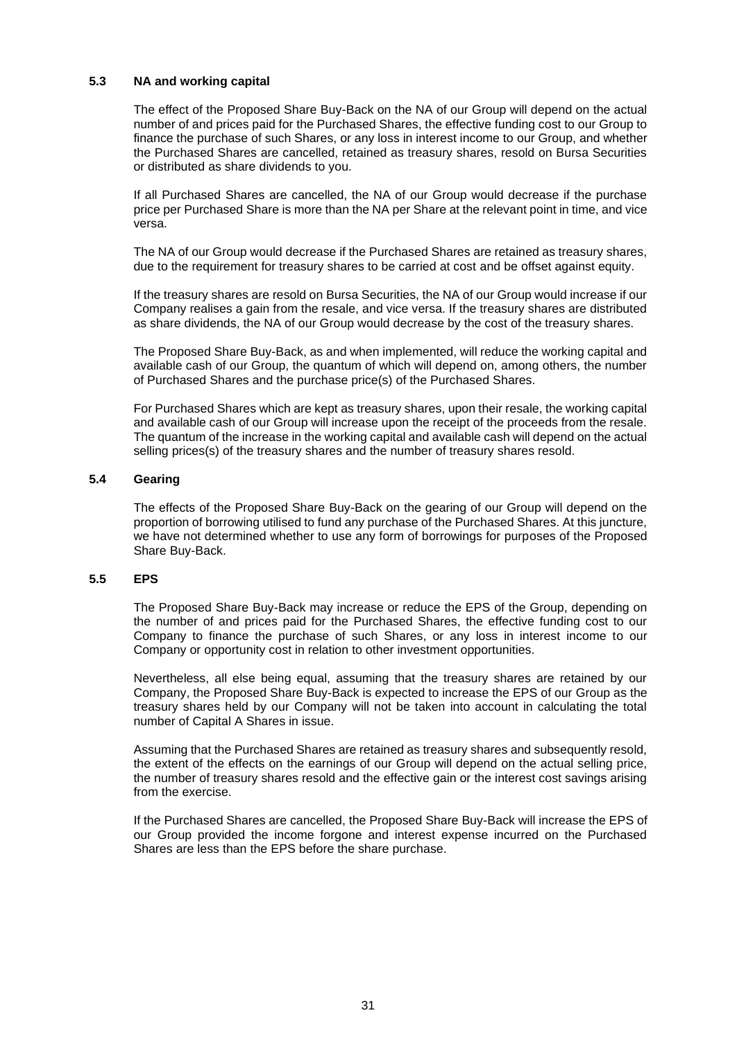# **5.3 NA and working capital**

The effect of the Proposed Share Buy-Back on the NA of our Group will depend on the actual number of and prices paid for the Purchased Shares, the effective funding cost to our Group to finance the purchase of such Shares, or any loss in interest income to our Group, and whether the Purchased Shares are cancelled, retained as treasury shares, resold on Bursa Securities or distributed as share dividends to you.

If all Purchased Shares are cancelled, the NA of our Group would decrease if the purchase price per Purchased Share is more than the NA per Share at the relevant point in time, and vice versa.

The NA of our Group would decrease if the Purchased Shares are retained as treasury shares, due to the requirement for treasury shares to be carried at cost and be offset against equity.

If the treasury shares are resold on Bursa Securities, the NA of our Group would increase if our Company realises a gain from the resale, and vice versa. If the treasury shares are distributed as share dividends, the NA of our Group would decrease by the cost of the treasury shares.

The Proposed Share Buy-Back, as and when implemented, will reduce the working capital and available cash of our Group, the quantum of which will depend on, among others, the number of Purchased Shares and the purchase price(s) of the Purchased Shares.

For Purchased Shares which are kept as treasury shares, upon their resale, the working capital and available cash of our Group will increase upon the receipt of the proceeds from the resale. The quantum of the increase in the working capital and available cash will depend on the actual selling prices(s) of the treasury shares and the number of treasury shares resold.

# **5.4 Gearing**

The effects of the Proposed Share Buy-Back on the gearing of our Group will depend on the proportion of borrowing utilised to fund any purchase of the Purchased Shares. At this juncture, we have not determined whether to use any form of borrowings for purposes of the Proposed Share Buy-Back.

# **5.5 EPS**

The Proposed Share Buy-Back may increase or reduce the EPS of the Group, depending on the number of and prices paid for the Purchased Shares, the effective funding cost to our Company to finance the purchase of such Shares, or any loss in interest income to our Company or opportunity cost in relation to other investment opportunities.

Nevertheless, all else being equal, assuming that the treasury shares are retained by our Company, the Proposed Share Buy-Back is expected to increase the EPS of our Group as the treasury shares held by our Company will not be taken into account in calculating the total number of Capital A Shares in issue.

Assuming that the Purchased Shares are retained as treasury shares and subsequently resold, the extent of the effects on the earnings of our Group will depend on the actual selling price, the number of treasury shares resold and the effective gain or the interest cost savings arising from the exercise.

If the Purchased Shares are cancelled, the Proposed Share Buy-Back will increase the EPS of our Group provided the income forgone and interest expense incurred on the Purchased Shares are less than the EPS before the share purchase.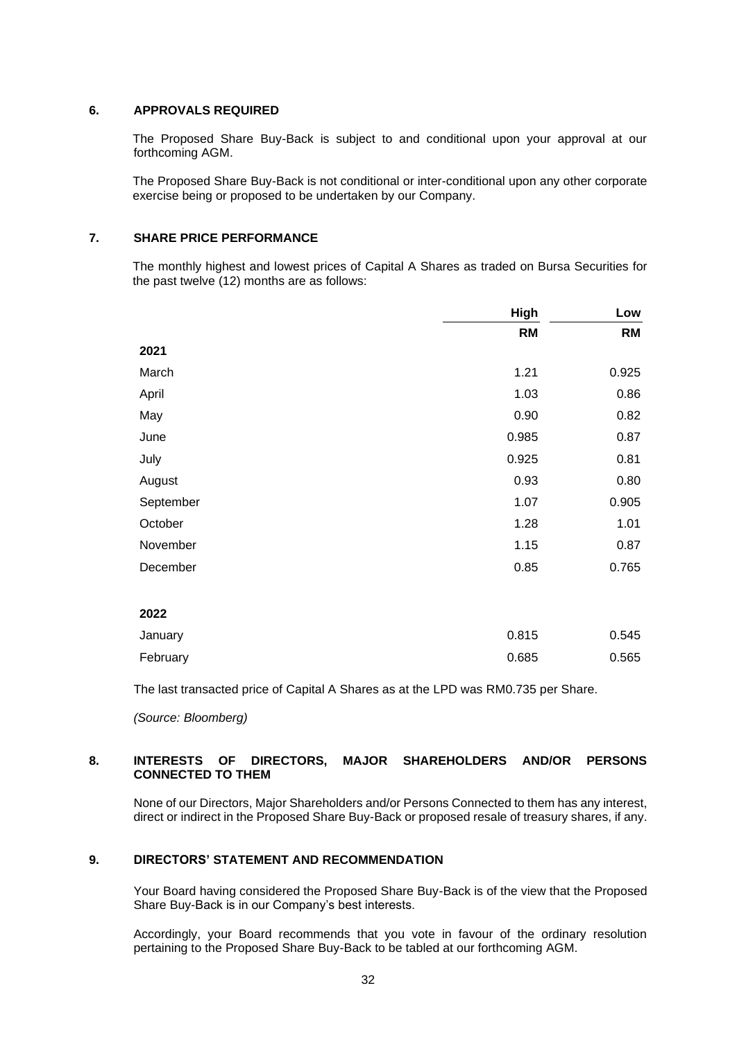# **6. APPROVALS REQUIRED**

The Proposed Share Buy-Back is subject to and conditional upon your approval at our forthcoming AGM.

The Proposed Share Buy-Back is not conditional or inter-conditional upon any other corporate exercise being or proposed to be undertaken by our Company.

# **7. SHARE PRICE PERFORMANCE**

The monthly highest and lowest prices of Capital A Shares as traded on Bursa Securities for the past twelve (12) months are as follows:

|           | High      | Low       |
|-----------|-----------|-----------|
|           | <b>RM</b> | <b>RM</b> |
| 2021      |           |           |
| March     | 1.21      | 0.925     |
| April     | 1.03      | 0.86      |
| May       | 0.90      | 0.82      |
| June      | 0.985     | 0.87      |
| July      | 0.925     | 0.81      |
| August    | 0.93      | 0.80      |
| September | 1.07      | 0.905     |
| October   | 1.28      | 1.01      |
| November  | 1.15      | 0.87      |
| December  | 0.85      | 0.765     |

**2022**

| January  | 0.815 | 0.545 |
|----------|-------|-------|
| February | 0.685 | 0.565 |

The last transacted price of Capital A Shares as at the LPD was RM0.735 per Share.

*(Source: Bloomberg)*

# **8. INTERESTS OF DIRECTORS, MAJOR SHAREHOLDERS AND/OR PERSONS CONNECTED TO THEM**

None of our Directors, Major Shareholders and/or Persons Connected to them has any interest, direct or indirect in the Proposed Share Buy-Back or proposed resale of treasury shares, if any.

# **9. DIRECTORS' STATEMENT AND RECOMMENDATION**

Your Board having considered the Proposed Share Buy-Back is of the view that the Proposed Share Buy-Back is in our Company's best interests.

Accordingly, your Board recommends that you vote in favour of the ordinary resolution pertaining to the Proposed Share Buy-Back to be tabled at our forthcoming AGM.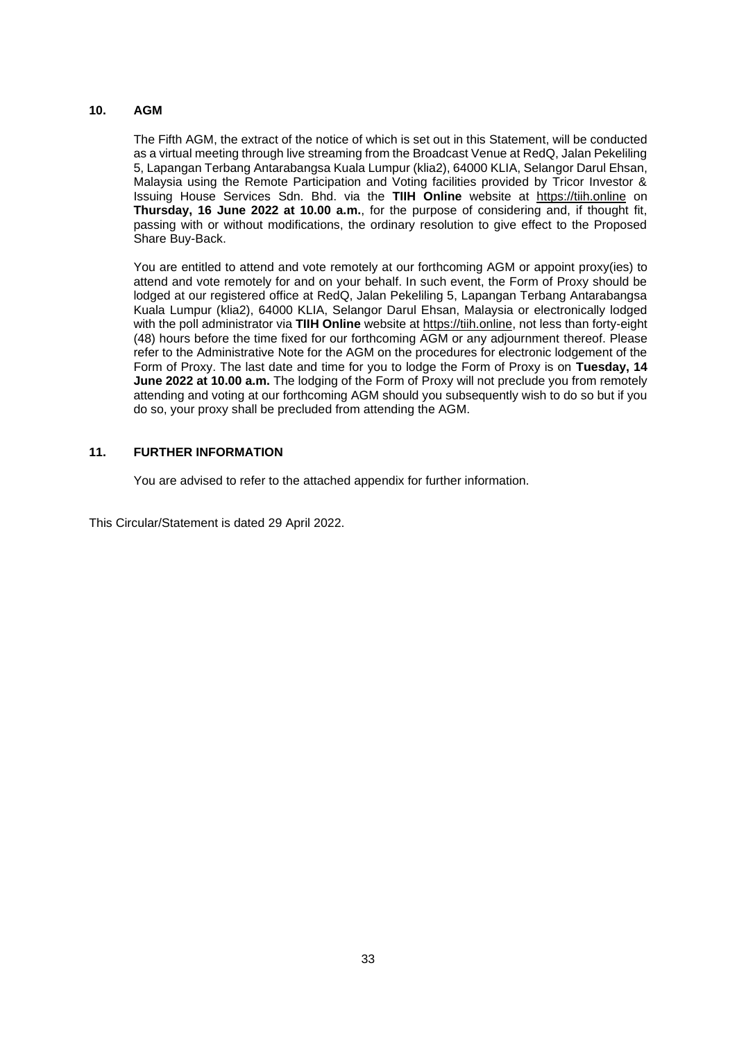# **10. AGM**

The Fifth AGM, the extract of the notice of which is set out in this Statement, will be conducted as a virtual meeting through live streaming from the Broadcast Venue at RedQ, Jalan Pekeliling 5, Lapangan Terbang Antarabangsa Kuala Lumpur (klia2), 64000 KLIA, Selangor Darul Ehsan, Malaysia using the Remote Participation and Voting facilities provided by Tricor Investor & Issuing House Services Sdn. Bhd. via the **TIIH Online** website at [https://tiih.online](https://tiih.online/) on **Thursday, 16 June 2022 at 10.00 a.m.**, for the purpose of considering and, if thought fit, passing with or without modifications, the ordinary resolution to give effect to the Proposed Share Buy-Back.

You are entitled to attend and vote remotely at our forthcoming AGM or appoint proxy(ies) to attend and vote remotely for and on your behalf. In such event, the Form of Proxy should be lodged at our registered office at RedQ, Jalan Pekeliling 5, Lapangan Terbang Antarabangsa Kuala Lumpur (klia2), 64000 KLIA, Selangor Darul Ehsan, Malaysia or electronically lodged with the poll administrator via **TIIH Online** website at [https://tiih.online,](https://tiih.online/) not less than forty-eight (48) hours before the time fixed for our forthcoming AGM or any adjournment thereof. Please refer to the Administrative Note for the AGM on the procedures for electronic lodgement of the Form of Proxy. The last date and time for you to lodge the Form of Proxy is on **Tuesday, 14 June 2022 at 10.00 a.m.** The lodging of the Form of Proxy will not preclude you from remotely attending and voting at our forthcoming AGM should you subsequently wish to do so but if you do so, your proxy shall be precluded from attending the AGM.

# **11. FURTHER INFORMATION**

You are advised to refer to the attached appendix for further information.

This Circular/Statement is dated 29 April 2022.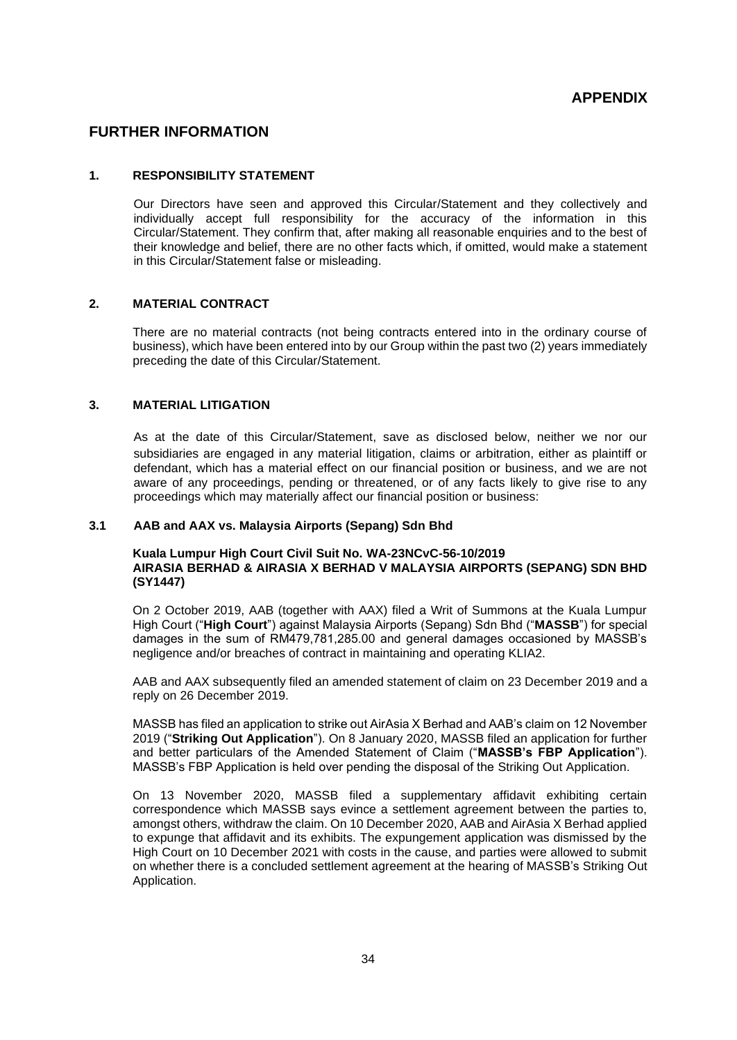# **FURTHER INFORMATION**

## **1. RESPONSIBILITY STATEMENT**

Our Directors have seen and approved this Circular/Statement and they collectively and individually accept full responsibility for the accuracy of the information in this Circular/Statement. They confirm that, after making all reasonable enquiries and to the best of their knowledge and belief, there are no other facts which, if omitted, would make a statement in this Circular/Statement false or misleading.

# **2. MATERIAL CONTRACT**

There are no material contracts (not being contracts entered into in the ordinary course of business), which have been entered into by our Group within the past two (2) years immediately preceding the date of this Circular/Statement.

# **3. MATERIAL LITIGATION**

As at the date of this Circular/Statement, save as disclosed below, neither we nor our subsidiaries are engaged in any material litigation, claims or arbitration, either as plaintiff or defendant, which has a material effect on our financial position or business, and we are not aware of any proceedings, pending or threatened, or of any facts likely to give rise to any proceedings which may materially affect our financial position or business:

#### **3.1 AAB and AAX vs. Malaysia Airports (Sepang) Sdn Bhd**

#### **Kuala Lumpur High Court Civil Suit No. WA-23NCvC-56-10/2019 AIRASIA BERHAD & AIRASIA X BERHAD V MALAYSIA AIRPORTS (SEPANG) SDN BHD (SY1447)**

On 2 October 2019, AAB (together with AAX) filed a Writ of Summons at the Kuala Lumpur High Court ("**High Court**") against Malaysia Airports (Sepang) Sdn Bhd ("**MASSB**") for special damages in the sum of RM479,781,285.00 and general damages occasioned by MASSB's negligence and/or breaches of contract in maintaining and operating KLIA2.

AAB and AAX subsequently filed an amended statement of claim on 23 December 2019 and a reply on 26 December 2019.

MASSB has filed an application to strike out AirAsia X Berhad and AAB's claim on 12 November 2019 ("**Striking Out Application**"). On 8 January 2020, MASSB filed an application for further and better particulars of the Amended Statement of Claim ("**MASSB's FBP Application**"). MASSB's FBP Application is held over pending the disposal of the Striking Out Application.

On 13 November 2020, MASSB filed a supplementary affidavit exhibiting certain correspondence which MASSB says evince a settlement agreement between the parties to, amongst others, withdraw the claim. On 10 December 2020, AAB and AirAsia X Berhad applied to expunge that affidavit and its exhibits. The expungement application was dismissed by the High Court on 10 December 2021 with costs in the cause, and parties were allowed to submit on whether there is a concluded settlement agreement at the hearing of MASSB's Striking Out Application.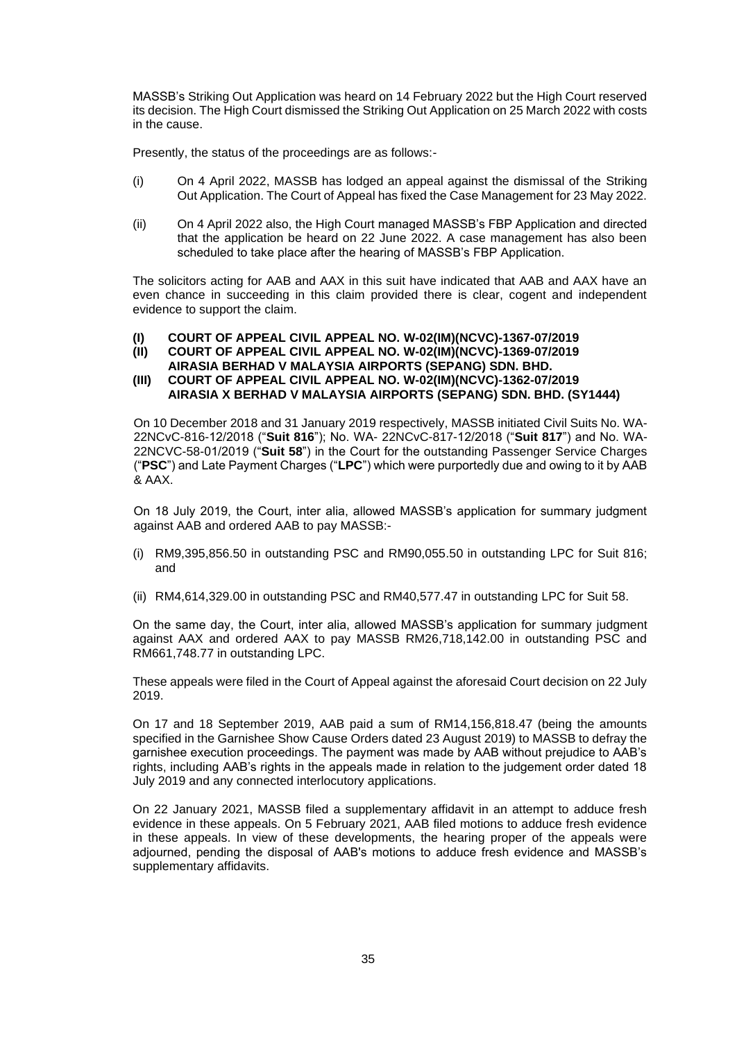MASSB's Striking Out Application was heard on 14 February 2022 but the High Court reserved its decision. The High Court dismissed the Striking Out Application on 25 March 2022 with costs in the cause.

Presently, the status of the proceedings are as follows:-

- (i) On 4 April 2022, MASSB has lodged an appeal against the dismissal of the Striking Out Application. The Court of Appeal has fixed the Case Management for 23 May 2022.
- (ii) On 4 April 2022 also, the High Court managed MASSB's FBP Application and directed that the application be heard on 22 June 2022. A case management has also been scheduled to take place after the hearing of MASSB's FBP Application.

The solicitors acting for AAB and AAX in this suit have indicated that AAB and AAX have an even chance in succeeding in this claim provided there is clear, cogent and independent evidence to support the claim.

#### **(I) COURT OF APPEAL CIVIL APPEAL NO. W-02(IM)(NCVC)-1367-07/2019**

**(II) COURT OF APPEAL CIVIL APPEAL NO. W-02(IM)(NCVC)-1369-07/2019** 

**AIRASIA BERHAD V MALAYSIA AIRPORTS (SEPANG) SDN. BHD.**

# **(III) COURT OF APPEAL CIVIL APPEAL NO. W-02(IM)(NCVC)-1362-07/2019 AIRASIA X BERHAD V MALAYSIA AIRPORTS (SEPANG) SDN. BHD. (SY1444)**

On 10 December 2018 and 31 January 2019 respectively, MASSB initiated Civil Suits No. WA-22NCvC-816-12/2018 ("**Suit 816**"); No. WA- 22NCvC-817-12/2018 ("**Suit 817**") and No. WA-22NCVC-58-01/2019 ("**Suit 58**") in the Court for the outstanding Passenger Service Charges ("**PSC**") and Late Payment Charges ("**LPC**") which were purportedly due and owing to it by AAB & AAX.

On 18 July 2019, the Court, inter alia, allowed MASSB's application for summary judgment against AAB and ordered AAB to pay MASSB:-

- (i) RM9,395,856.50 in outstanding PSC and RM90,055.50 in outstanding LPC for Suit 816; and
- (ii) RM4,614,329.00 in outstanding PSC and RM40,577.47 in outstanding LPC for Suit 58.

On the same day, the Court, inter alia, allowed MASSB's application for summary judgment against AAX and ordered AAX to pay MASSB RM26,718,142.00 in outstanding PSC and RM661,748.77 in outstanding LPC.

These appeals were filed in the Court of Appeal against the aforesaid Court decision on 22 July 2019.

On 17 and 18 September 2019, AAB paid a sum of RM14,156,818.47 (being the amounts specified in the Garnishee Show Cause Orders dated 23 August 2019) to MASSB to defray the garnishee execution proceedings. The payment was made by AAB without prejudice to AAB's rights, including AAB's rights in the appeals made in relation to the judgement order dated 18 July 2019 and any connected interlocutory applications.

On 22 January 2021, MASSB filed a supplementary affidavit in an attempt to adduce fresh evidence in these appeals. On 5 February 2021, AAB filed motions to adduce fresh evidence in these appeals. In view of these developments, the hearing proper of the appeals were adjourned, pending the disposal of AAB's motions to adduce fresh evidence and MASSB's supplementary affidavits.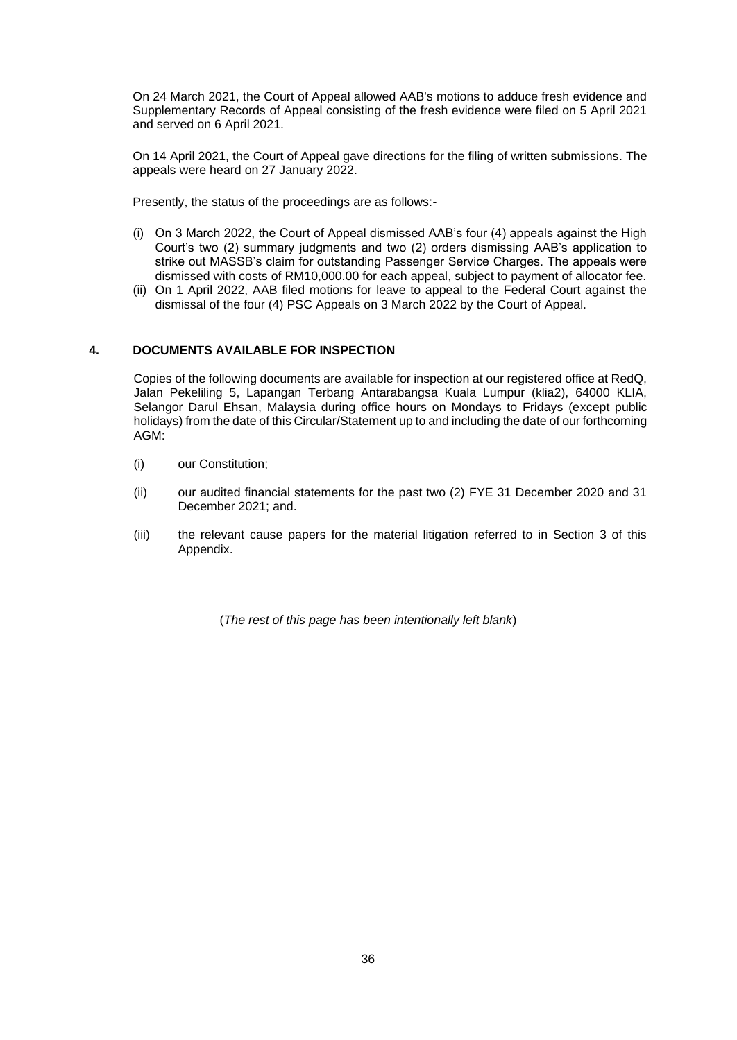On 24 March 2021, the Court of Appeal allowed AAB's motions to adduce fresh evidence and Supplementary Records of Appeal consisting of the fresh evidence were filed on 5 April 2021 and served on 6 April 2021.

On 14 April 2021, the Court of Appeal gave directions for the filing of written submissions. The appeals were heard on 27 January 2022.

Presently, the status of the proceedings are as follows:-

- (i) On 3 March 2022, the Court of Appeal dismissed AAB's four (4) appeals against the High Court's two (2) summary judgments and two (2) orders dismissing AAB's application to strike out MASSB's claim for outstanding Passenger Service Charges. The appeals were dismissed with costs of RM10,000.00 for each appeal, subject to payment of allocator fee.
- (ii) On 1 April 2022, AAB filed motions for leave to appeal to the Federal Court against the dismissal of the four (4) PSC Appeals on 3 March 2022 by the Court of Appeal.

# **4. DOCUMENTS AVAILABLE FOR INSPECTION**

Copies of the following documents are available for inspection at our registered office at RedQ, Jalan Pekeliling 5, Lapangan Terbang Antarabangsa Kuala Lumpur (klia2), 64000 KLIA, Selangor Darul Ehsan, Malaysia during office hours on Mondays to Fridays (except public holidays) from the date of this Circular/Statement up to and including the date of our forthcoming AGM:

- (i) our Constitution;
- (ii) our audited financial statements for the past two (2) FYE 31 December 2020 and 31 December 2021; and.
- (iii) the relevant cause papers for the material litigation referred to in Section 3 of this Appendix.

(*The rest of this page has been intentionally left blank*)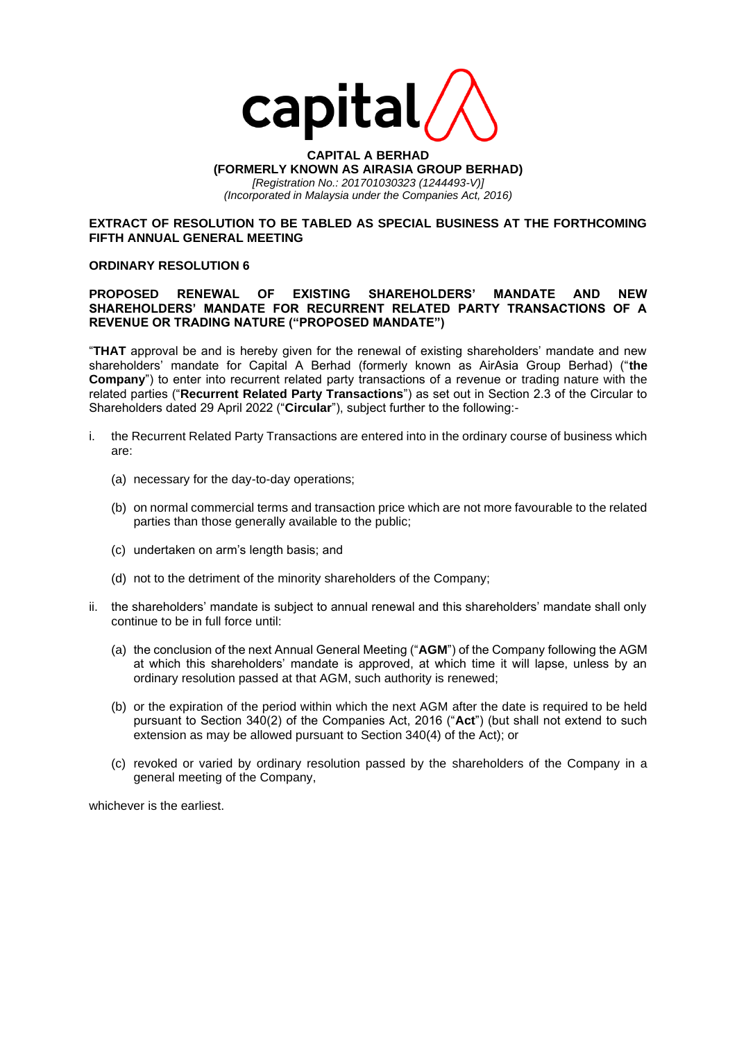

#### **CAPITAL A BERHAD (FORMERLY KNOWN AS AIRASIA GROUP BERHAD)** *[Registration No.: 201701030323 (1244493-V)] (Incorporated in Malaysia under the Companies Act, 2016)*

## **EXTRACT OF RESOLUTION TO BE TABLED AS SPECIAL BUSINESS AT THE FORTHCOMING FIFTH ANNUAL GENERAL MEETING**

# **ORDINARY RESOLUTION 6**

# **PROPOSED RENEWAL OF EXISTING SHAREHOLDERS' MANDATE AND NEW SHAREHOLDERS' MANDATE FOR RECURRENT RELATED PARTY TRANSACTIONS OF A REVENUE OR TRADING NATURE ("PROPOSED MANDATE")**

"**THAT** approval be and is hereby given for the renewal of existing shareholders' mandate and new shareholders' mandate for Capital A Berhad (formerly known as AirAsia Group Berhad) ("**the Company**") to enter into recurrent related party transactions of a revenue or trading nature with the related parties ("**Recurrent Related Party Transactions**") as set out in Section 2.3 of the Circular to Shareholders dated 29 April 2022 ("**Circular**"), subject further to the following:-

- i. the Recurrent Related Party Transactions are entered into in the ordinary course of business which are:
	- (a) necessary for the day-to-day operations;
	- (b) on normal commercial terms and transaction price which are not more favourable to the related parties than those generally available to the public;
	- (c) undertaken on arm's length basis; and
	- (d) not to the detriment of the minority shareholders of the Company;
- ii. the shareholders' mandate is subject to annual renewal and this shareholders' mandate shall only continue to be in full force until:
	- (a) the conclusion of the next Annual General Meeting ("**AGM**") of the Company following the AGM at which this shareholders' mandate is approved, at which time it will lapse, unless by an ordinary resolution passed at that AGM, such authority is renewed;
	- (b) or the expiration of the period within which the next AGM after the date is required to be held pursuant to Section 340(2) of the Companies Act, 2016 ("**Act**") (but shall not extend to such extension as may be allowed pursuant to Section 340(4) of the Act); or
	- (c) revoked or varied by ordinary resolution passed by the shareholders of the Company in a general meeting of the Company,

whichever is the earliest.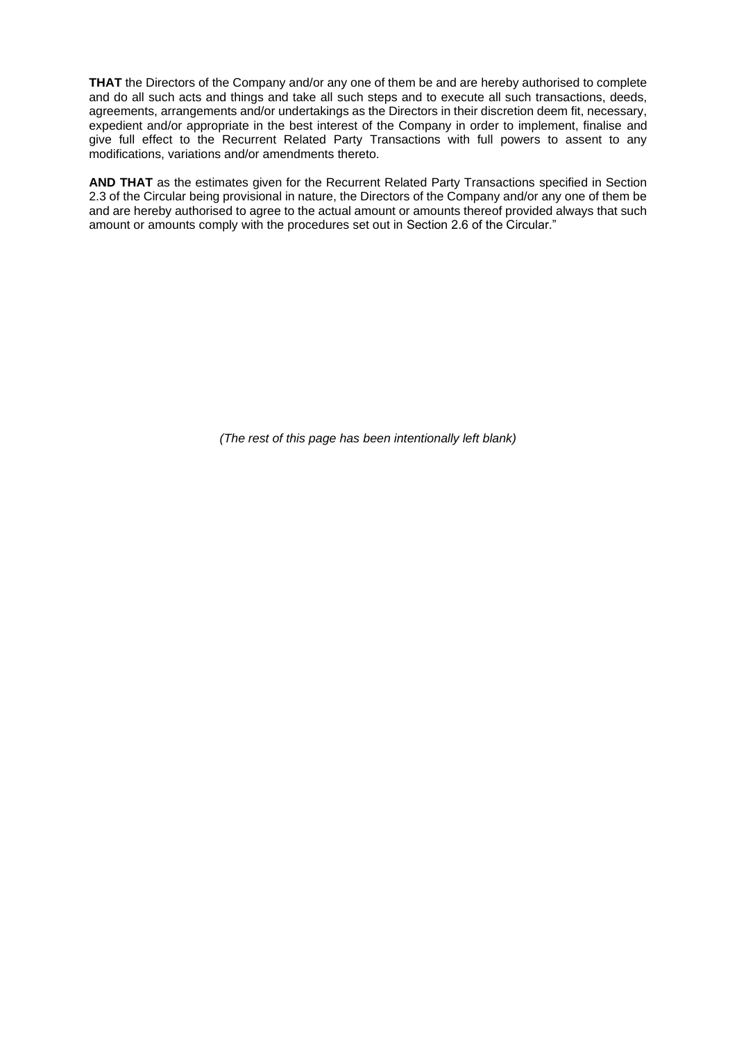**THAT** the Directors of the Company and/or any one of them be and are hereby authorised to complete and do all such acts and things and take all such steps and to execute all such transactions, deeds, agreements, arrangements and/or undertakings as the Directors in their discretion deem fit, necessary, expedient and/or appropriate in the best interest of the Company in order to implement, finalise and give full effect to the Recurrent Related Party Transactions with full powers to assent to any modifications, variations and/or amendments thereto.

**AND THAT** as the estimates given for the Recurrent Related Party Transactions specified in Section 2.3 of the Circular being provisional in nature, the Directors of the Company and/or any one of them be and are hereby authorised to agree to the actual amount or amounts thereof provided always that such amount or amounts comply with the procedures set out in Section 2.6 of the Circular."

*(The rest of this page has been intentionally left blank)*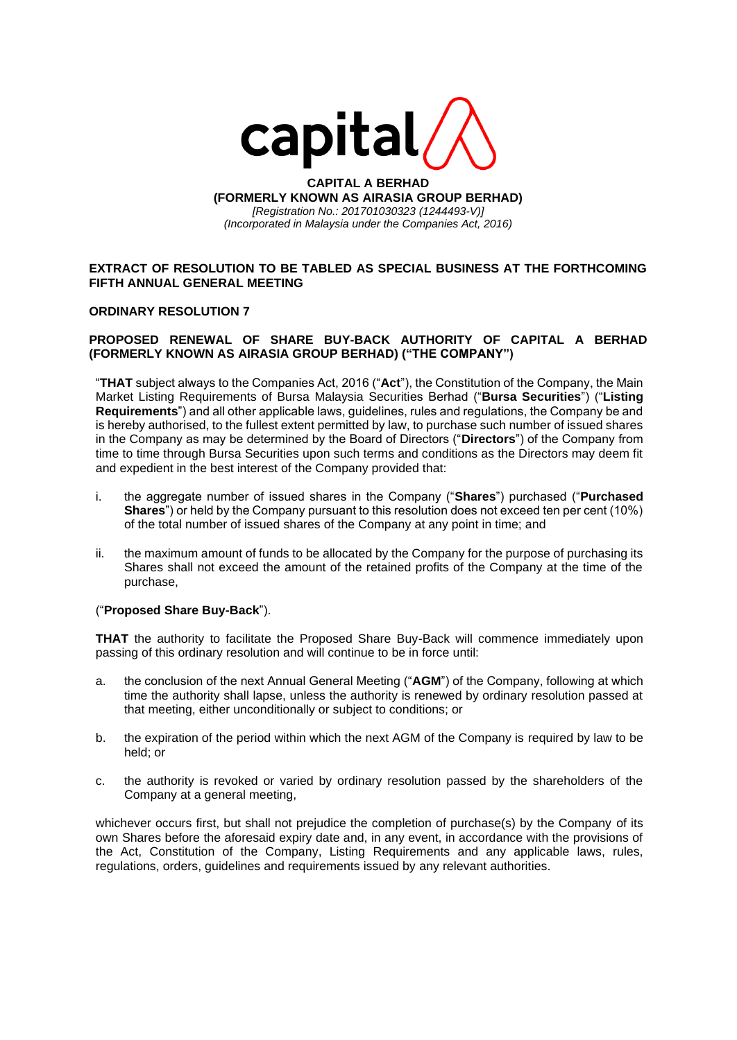

**CAPITAL A BERHAD (FORMERLY KNOWN AS AIRASIA GROUP BERHAD)** *[Registration No.: 201701030323 (1244493-V)] (Incorporated in Malaysia under the Companies Act, 2016)*

# **EXTRACT OF RESOLUTION TO BE TABLED AS SPECIAL BUSINESS AT THE FORTHCOMING FIFTH ANNUAL GENERAL MEETING**

#### **ORDINARY RESOLUTION 7**

# **PROPOSED RENEWAL OF SHARE BUY-BACK AUTHORITY OF CAPITAL A BERHAD (FORMERLY KNOWN AS AIRASIA GROUP BERHAD) ("THE COMPANY")**

"**THAT** subject always to the Companies Act, 2016 ("**Act**"), the Constitution of the Company, the Main Market Listing Requirements of Bursa Malaysia Securities Berhad ("**Bursa Securities**") ("**Listing Requirements**") and all other applicable laws, guidelines, rules and regulations, the Company be and is hereby authorised, to the fullest extent permitted by law, to purchase such number of issued shares in the Company as may be determined by the Board of Directors ("**Directors**") of the Company from time to time through Bursa Securities upon such terms and conditions as the Directors may deem fit and expedient in the best interest of the Company provided that:

- i. the aggregate number of issued shares in the Company ("**Shares**") purchased ("**Purchased Shares**") or held by the Company pursuant to this resolution does not exceed ten per cent (10%) of the total number of issued shares of the Company at any point in time; and
- ii. the maximum amount of funds to be allocated by the Company for the purpose of purchasing its Shares shall not exceed the amount of the retained profits of the Company at the time of the purchase,

#### ("**Proposed Share Buy-Back**").

**THAT** the authority to facilitate the Proposed Share Buy-Back will commence immediately upon passing of this ordinary resolution and will continue to be in force until:

- a. the conclusion of the next Annual General Meeting ("**AGM**") of the Company, following at which time the authority shall lapse, unless the authority is renewed by ordinary resolution passed at that meeting, either unconditionally or subject to conditions; or
- b. the expiration of the period within which the next AGM of the Company is required by law to be held; or
- c. the authority is revoked or varied by ordinary resolution passed by the shareholders of the Company at a general meeting,

whichever occurs first, but shall not prejudice the completion of purchase(s) by the Company of its own Shares before the aforesaid expiry date and, in any event, in accordance with the provisions of the Act, Constitution of the Company, Listing Requirements and any applicable laws, rules, regulations, orders, guidelines and requirements issued by any relevant authorities.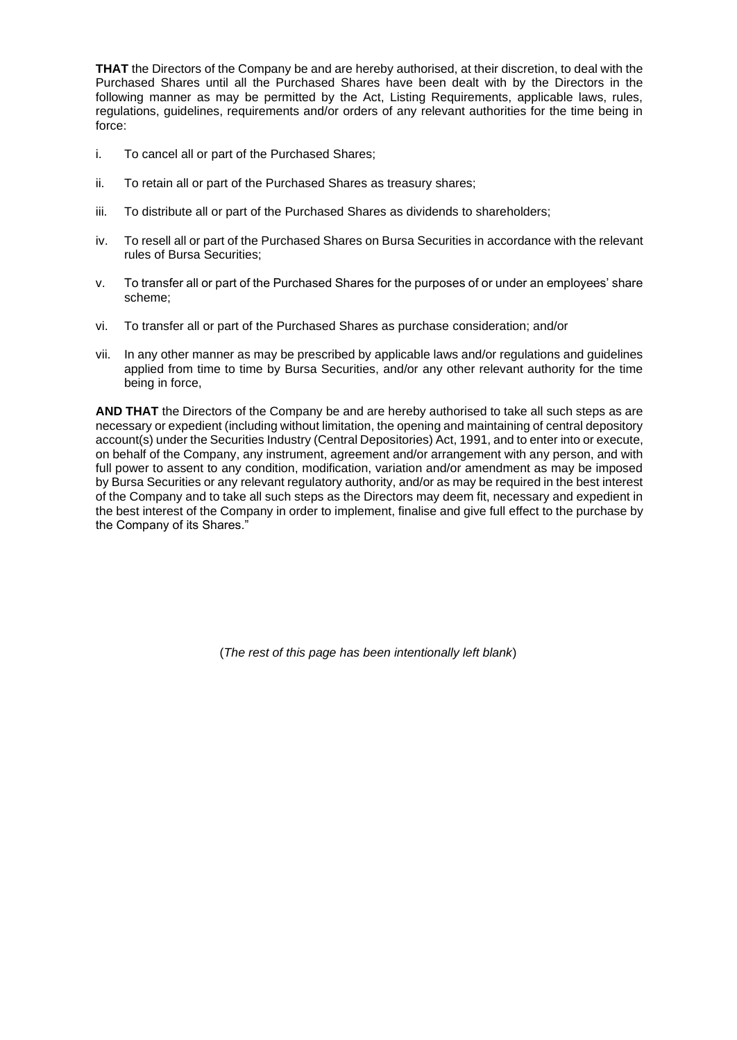**THAT** the Directors of the Company be and are hereby authorised, at their discretion, to deal with the Purchased Shares until all the Purchased Shares have been dealt with by the Directors in the following manner as may be permitted by the Act, Listing Requirements, applicable laws, rules, regulations, guidelines, requirements and/or orders of any relevant authorities for the time being in force:

- i. To cancel all or part of the Purchased Shares;
- ii. To retain all or part of the Purchased Shares as treasury shares;
- iii. To distribute all or part of the Purchased Shares as dividends to shareholders;
- iv. To resell all or part of the Purchased Shares on Bursa Securities in accordance with the relevant rules of Bursa Securities;
- v. To transfer all or part of the Purchased Shares for the purposes of or under an employees' share scheme;
- vi. To transfer all or part of the Purchased Shares as purchase consideration; and/or
- vii. In any other manner as may be prescribed by applicable laws and/or regulations and guidelines applied from time to time by Bursa Securities, and/or any other relevant authority for the time being in force,

**AND THAT** the Directors of the Company be and are hereby authorised to take all such steps as are necessary or expedient (including without limitation, the opening and maintaining of central depository account(s) under the Securities Industry (Central Depositories) Act, 1991, and to enter into or execute, on behalf of the Company, any instrument, agreement and/or arrangement with any person, and with full power to assent to any condition, modification, variation and/or amendment as may be imposed by Bursa Securities or any relevant regulatory authority, and/or as may be required in the best interest of the Company and to take all such steps as the Directors may deem fit, necessary and expedient in the best interest of the Company in order to implement, finalise and give full effect to the purchase by the Company of its Shares."

(*The rest of this page has been intentionally left blank*)